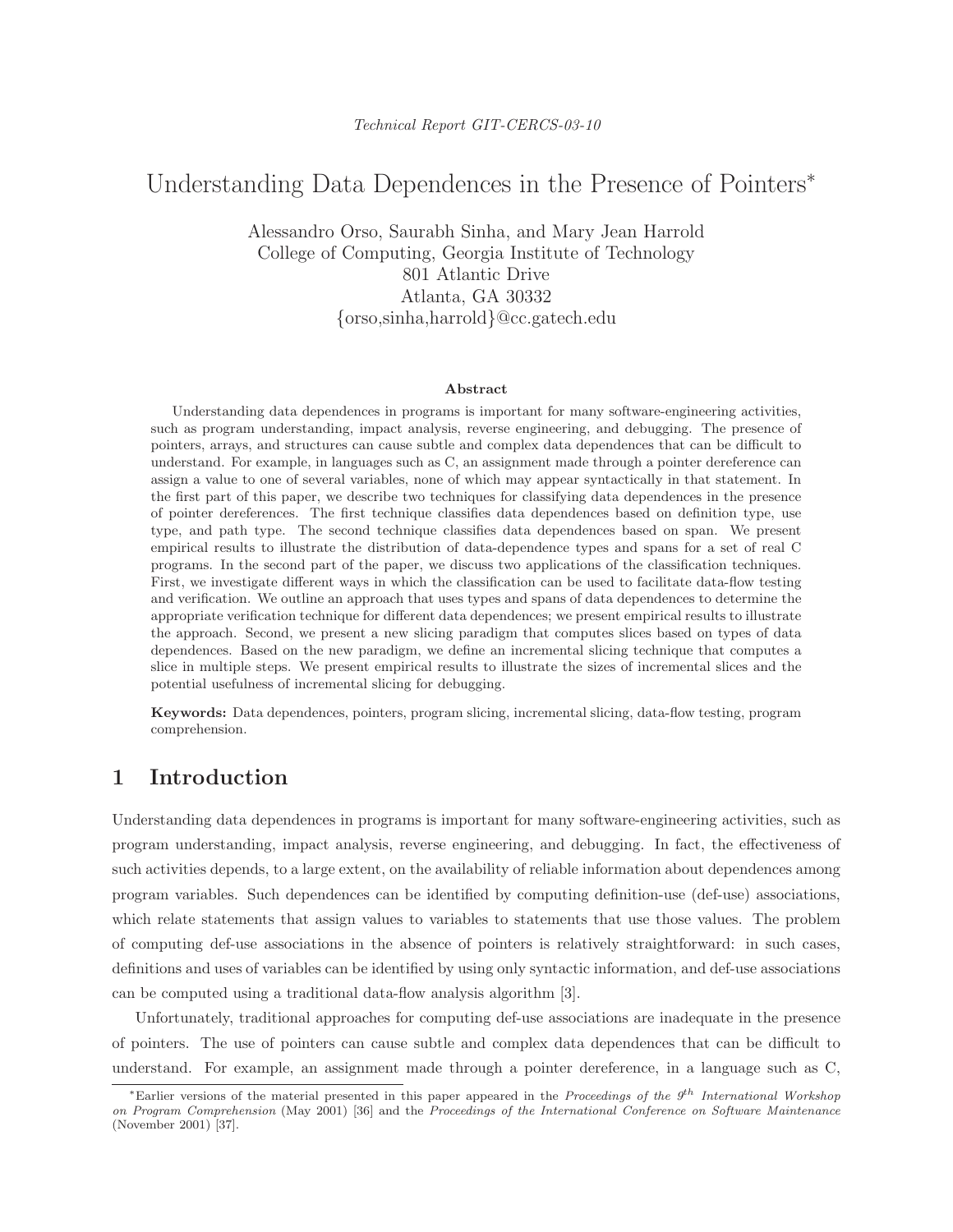# Understanding Data Dependences in the Presence of Pointers<sup>∗</sup>

Alessandro Orso, Saurabh Sinha, and Mary Jean Harrold College of Computing, Georgia Institute of Technology 801 Atlantic Drive Atlanta, GA 30332 {orso,sinha,harrold}@cc.gatech.edu

#### **Abstract**

Understanding data dependences in programs is important for many software-engineering activities, such as program understanding, impact analysis, reverse engineering, and debugging. The presence of pointers, arrays, and structures can cause subtle and complex data dependences that can be difficult to understand. For example, in languages such as C, an assignment made through a pointer dereference can assign a value to one of several variables, none of which may appear syntactically in that statement. In the first part of this paper, we describe two techniques for classifying data dependences in the presence of pointer dereferences. The first technique classifies data dependences based on definition type, use type, and path type. The second technique classifies data dependences based on span. We present empirical results to illustrate the distribution of data-dependence types and spans for a set of real C programs. In the second part of the paper, we discuss two applications of the classification techniques. First, we investigate different ways in which the classification can be used to facilitate data-flow testing and verification. We outline an approach that uses types and spans of data dependences to determine the appropriate verification technique for different data dependences; we present empirical results to illustrate the approach. Second, we present a new slicing paradigm that computes slices based on types of data dependences. Based on the new paradigm, we define an incremental slicing technique that computes a slice in multiple steps. We present empirical results to illustrate the sizes of incremental slices and the potential usefulness of incremental slicing for debugging.

**Keywords:** Data dependences, pointers, program slicing, incremental slicing, data-flow testing, program comprehension.

# **1 Introduction**

Understanding data dependences in programs is important for many software-engineering activities, such as program understanding, impact analysis, reverse engineering, and debugging. In fact, the effectiveness of such activities depends, to a large extent, on the availability of reliable information about dependences among program variables. Such dependences can be identified by computing definition-use (def-use) associations, which relate statements that assign values to variables to statements that use those values. The problem of computing def-use associations in the absence of pointers is relatively straightforward: in such cases, definitions and uses of variables can be identified by using only syntactic information, and def-use associations can be computed using a traditional data-flow analysis algorithm [3].

Unfortunately, traditional approaches for computing def-use associations are inadequate in the presence of pointers. The use of pointers can cause subtle and complex data dependences that can be difficult to understand. For example, an assignment made through a pointer dereference, in a language such as C,

<sup>\*</sup>Earlier versions of the material presented in this paper appeared in the Proceedings of the 9<sup>th</sup> International Workshop on Program Comprehension (May 2001) [36] and the Proceedings of the International Conference on Software Maintenance (November 2001) [37].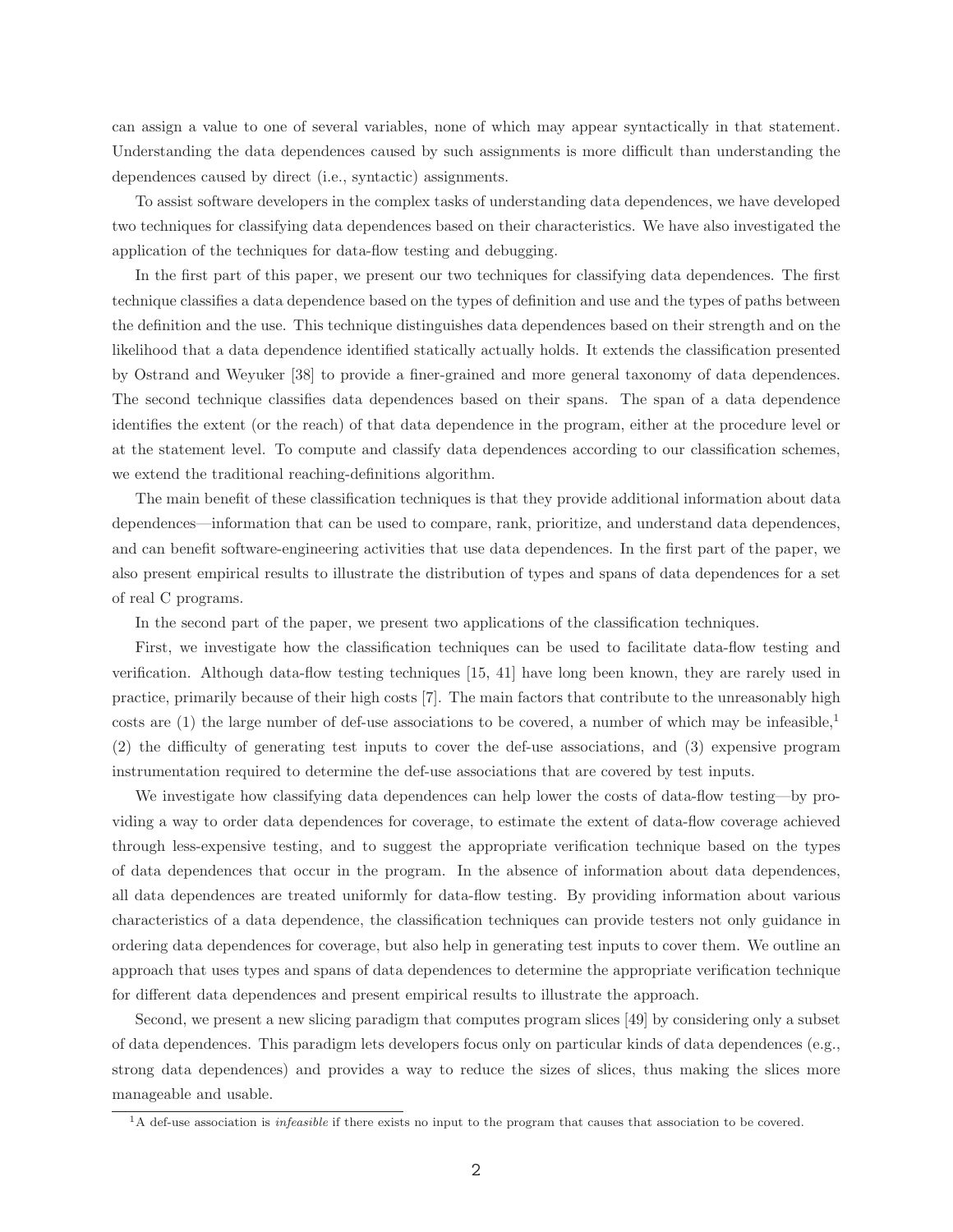can assign a value to one of several variables, none of which may appear syntactically in that statement. Understanding the data dependences caused by such assignments is more difficult than understanding the dependences caused by direct (i.e., syntactic) assignments.

To assist software developers in the complex tasks of understanding data dependences, we have developed two techniques for classifying data dependences based on their characteristics. We have also investigated the application of the techniques for data-flow testing and debugging.

In the first part of this paper, we present our two techniques for classifying data dependences. The first technique classifies a data dependence based on the types of definition and use and the types of paths between the definition and the use. This technique distinguishes data dependences based on their strength and on the likelihood that a data dependence identified statically actually holds. It extends the classification presented by Ostrand and Weyuker [38] to provide a finer-grained and more general taxonomy of data dependences. The second technique classifies data dependences based on their spans. The span of a data dependence identifies the extent (or the reach) of that data dependence in the program, either at the procedure level or at the statement level. To compute and classify data dependences according to our classification schemes, we extend the traditional reaching-definitions algorithm.

The main benefit of these classification techniques is that they provide additional information about data dependences—information that can be used to compare, rank, prioritize, and understand data dependences, and can benefit software-engineering activities that use data dependences. In the first part of the paper, we also present empirical results to illustrate the distribution of types and spans of data dependences for a set of real C programs.

In the second part of the paper, we present two applications of the classification techniques.

First, we investigate how the classification techniques can be used to facilitate data-flow testing and verification. Although data-flow testing techniques [15, 41] have long been known, they are rarely used in practice, primarily because of their high costs [7]. The main factors that contribute to the unreasonably high costs are  $(1)$  the large number of def-use associations to be covered, a number of which may be infeasible,<sup>1</sup> (2) the difficulty of generating test inputs to cover the def-use associations, and (3) expensive program instrumentation required to determine the def-use associations that are covered by test inputs.

We investigate how classifying data dependences can help lower the costs of data-flow testing—by providing a way to order data dependences for coverage, to estimate the extent of data-flow coverage achieved through less-expensive testing, and to suggest the appropriate verification technique based on the types of data dependences that occur in the program. In the absence of information about data dependences, all data dependences are treated uniformly for data-flow testing. By providing information about various characteristics of a data dependence, the classification techniques can provide testers not only guidance in ordering data dependences for coverage, but also help in generating test inputs to cover them. We outline an approach that uses types and spans of data dependences to determine the appropriate verification technique for different data dependences and present empirical results to illustrate the approach.

Second, we present a new slicing paradigm that computes program slices [49] by considering only a subset of data dependences. This paradigm lets developers focus only on particular kinds of data dependences (e.g., strong data dependences) and provides a way to reduce the sizes of slices, thus making the slices more manageable and usable.

<sup>&</sup>lt;sup>1</sup>A def-use association is *infeasible* if there exists no input to the program that causes that association to be covered.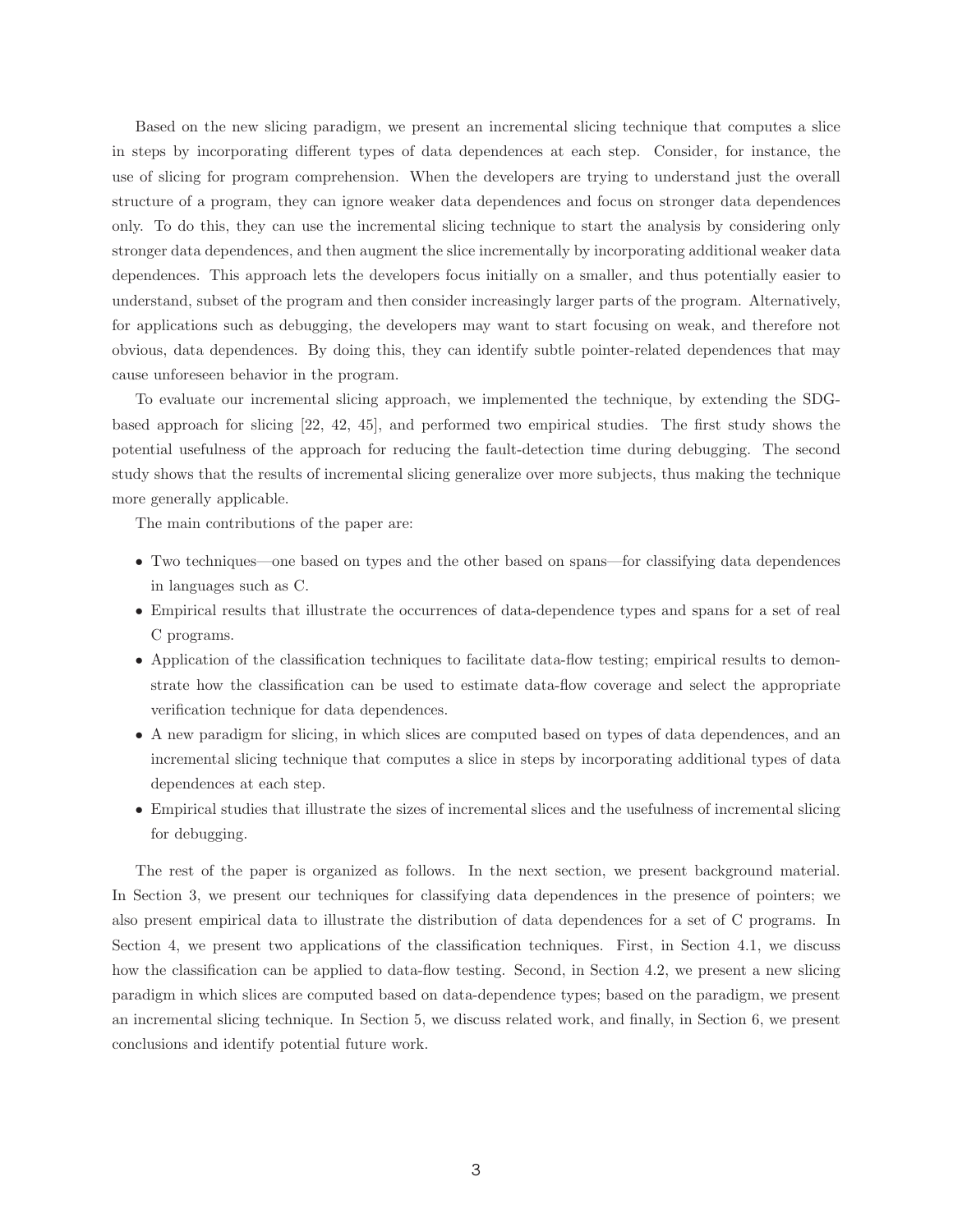Based on the new slicing paradigm, we present an incremental slicing technique that computes a slice in steps by incorporating different types of data dependences at each step. Consider, for instance, the use of slicing for program comprehension. When the developers are trying to understand just the overall structure of a program, they can ignore weaker data dependences and focus on stronger data dependences only. To do this, they can use the incremental slicing technique to start the analysis by considering only stronger data dependences, and then augment the slice incrementally by incorporating additional weaker data dependences. This approach lets the developers focus initially on a smaller, and thus potentially easier to understand, subset of the program and then consider increasingly larger parts of the program. Alternatively, for applications such as debugging, the developers may want to start focusing on weak, and therefore not obvious, data dependences. By doing this, they can identify subtle pointer-related dependences that may cause unforeseen behavior in the program.

To evaluate our incremental slicing approach, we implemented the technique, by extending the SDGbased approach for slicing [22, 42, 45], and performed two empirical studies. The first study shows the potential usefulness of the approach for reducing the fault-detection time during debugging. The second study shows that the results of incremental slicing generalize over more subjects, thus making the technique more generally applicable.

The main contributions of the paper are:

- Two techniques—one based on types and the other based on spans—for classifying data dependences in languages such as C.
- Empirical results that illustrate the occurrences of data-dependence types and spans for a set of real C programs.
- Application of the classification techniques to facilitate data-flow testing; empirical results to demonstrate how the classification can be used to estimate data-flow coverage and select the appropriate verification technique for data dependences.
- A new paradigm for slicing, in which slices are computed based on types of data dependences, and an incremental slicing technique that computes a slice in steps by incorporating additional types of data dependences at each step.
- Empirical studies that illustrate the sizes of incremental slices and the usefulness of incremental slicing for debugging.

The rest of the paper is organized as follows. In the next section, we present background material. In Section 3, we present our techniques for classifying data dependences in the presence of pointers; we also present empirical data to illustrate the distribution of data dependences for a set of C programs. In Section 4, we present two applications of the classification techniques. First, in Section 4.1, we discuss how the classification can be applied to data-flow testing. Second, in Section 4.2, we present a new slicing paradigm in which slices are computed based on data-dependence types; based on the paradigm, we present an incremental slicing technique. In Section 5, we discuss related work, and finally, in Section 6, we present conclusions and identify potential future work.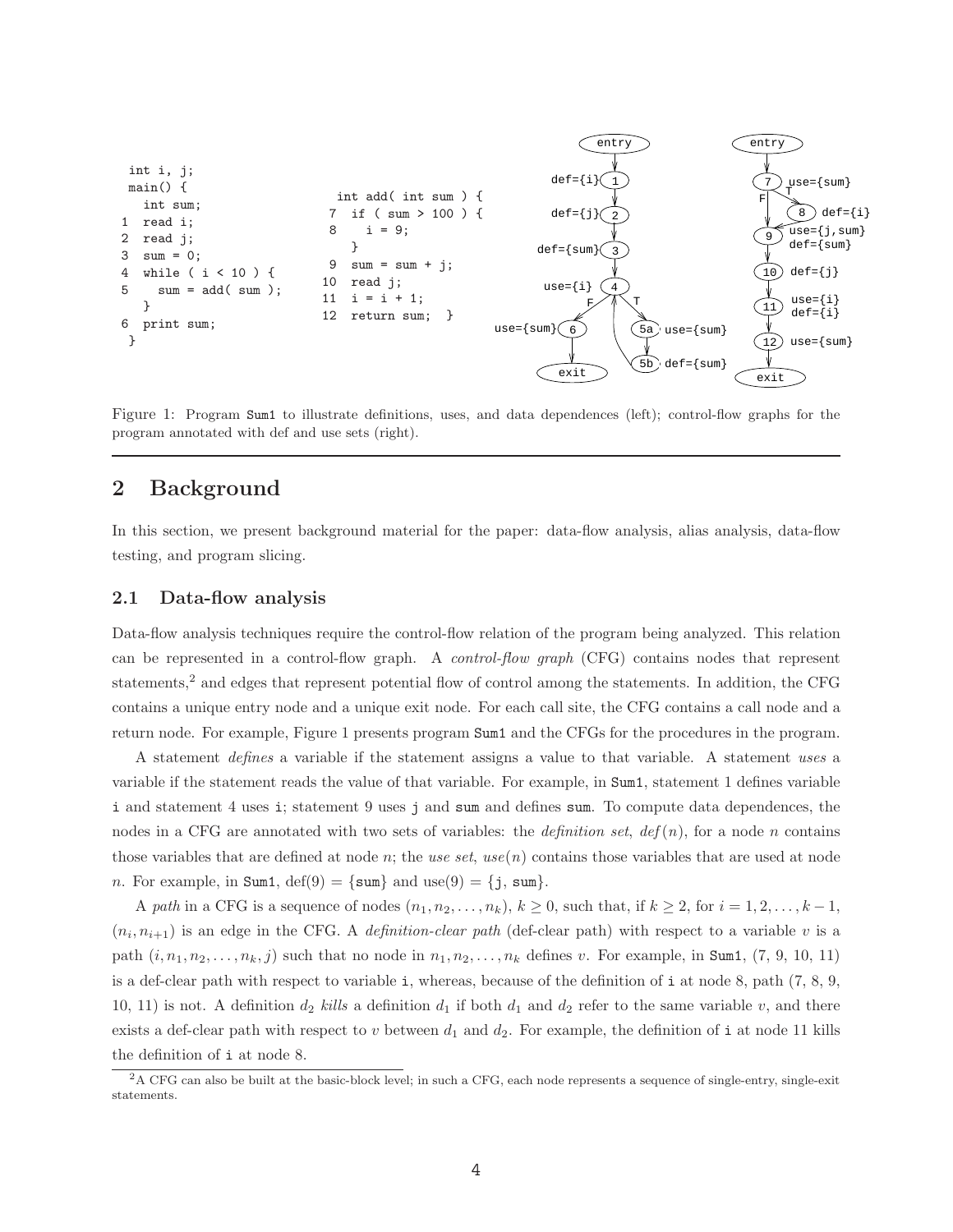

Figure 1: Program Sum1 to illustrate definitions, uses, and data dependences (left); control-flow graphs for the program annotated with def and use sets (right).

# **2 Background**

In this section, we present background material for the paper: data-flow analysis, alias analysis, data-flow testing, and program slicing.

## **2.1 Data-flow analysis**

Data-flow analysis techniques require the control-flow relation of the program being analyzed. This relation can be represented in a control-flow graph. A *control-flow graph* (CFG) contains nodes that represent statements,<sup>2</sup> and edges that represent potential flow of control among the statements. In addition, the CFG contains a unique entry node and a unique exit node. For each call site, the CFG contains a call node and a return node. For example, Figure 1 presents program Sum1 and the CFGs for the procedures in the program.

A statement *defines* a variable if the statement assigns a value to that variable. A statement *uses* a variable if the statement reads the value of that variable. For example, in Sum1, statement 1 defines variable i and statement 4 uses i; statement 9 uses j and sum and defines sum. To compute data dependences, the nodes in a CFG are annotated with two sets of variables: the *definition set*, *def* (*n*), for a node n contains those variables that are defined at node n; the *use set*, *use*(*n*) contains those variables that are used at node n. For example, in Sum1,  $\text{def}(9) = \{\text{sum}\}$  and  $\text{use}(9) = \{j, \text{sum}\}$ .

A *path* in a CFG is a sequence of nodes  $(n_1, n_2, \ldots, n_k)$ ,  $k \ge 0$ , such that, if  $k \ge 2$ , for  $i = 1, 2, \ldots, k - 1$ ,  $(n_i, n_{i+1})$  is an edge in the CFG. A *definition-clear path* (def-clear path) with respect to a variable v is a path  $(i, n_1, n_2, \ldots, n_k, j)$  such that no node in  $n_1, n_2, \ldots, n_k$  defines v. For example, in Sum1, (7, 9, 10, 11) is a def-clear path with respect to variable i, whereas, because of the definition of i at node 8, path (7, 8, 9, 10, 11) is not. A definition  $d_2$  kills a definition  $d_1$  if both  $d_1$  and  $d_2$  refer to the same variable v, and there exists a def-clear path with respect to v between  $d_1$  and  $d_2$ . For example, the definition of i at node 11 kills the definition of i at node 8.

<sup>&</sup>lt;sup>2</sup>A CFG can also be built at the basic-block level; in such a CFG, each node represents a sequence of single-entry, single-exit statements.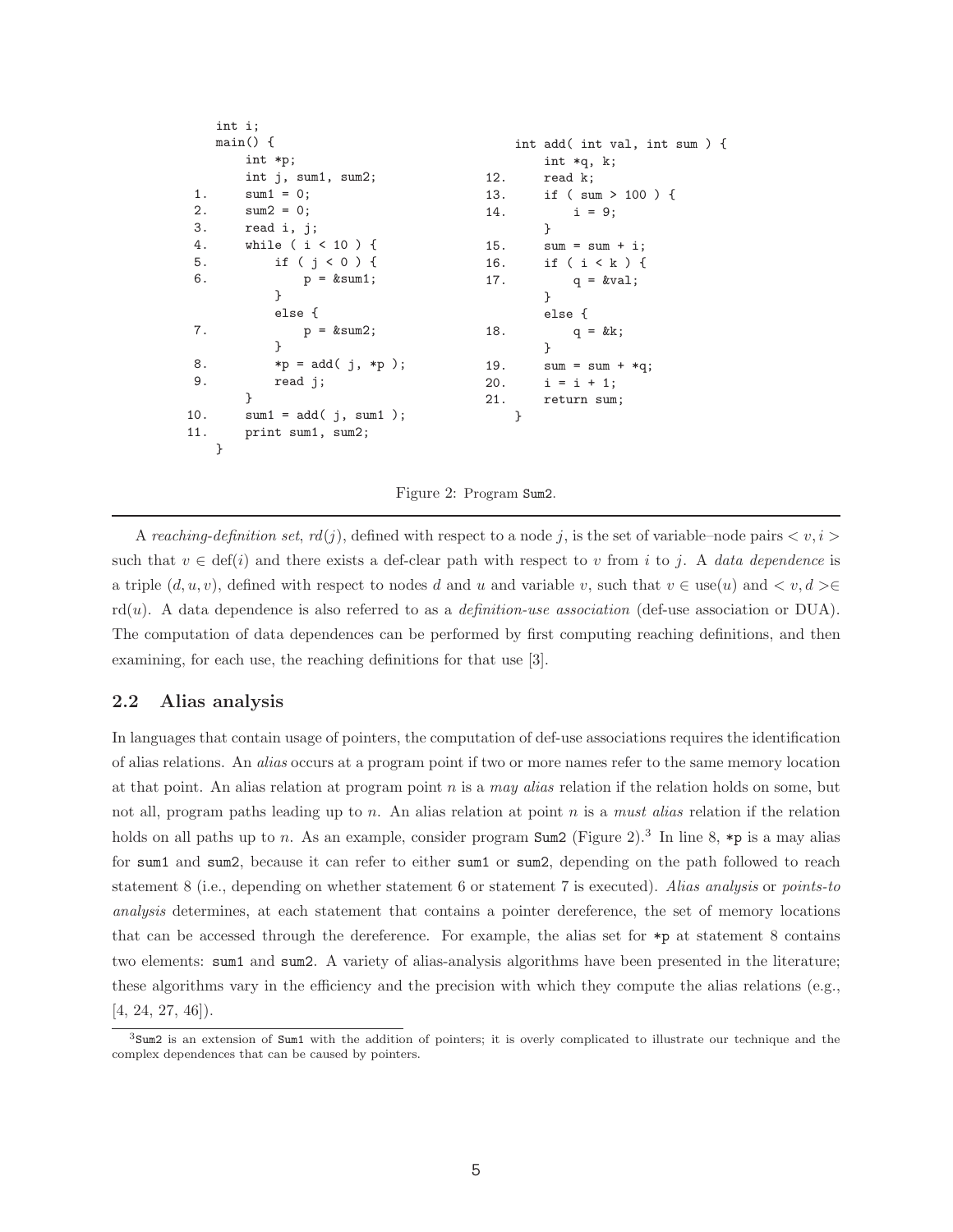|     | int i;                 |     |                               |
|-----|------------------------|-----|-------------------------------|
|     | main() f               |     | int add( int val, int sum ) { |
|     | int *p;                |     | int $*q$ , $k$ ;              |
|     | int j, sum1, sum2;     |     | 12. read k;                   |
| 1.  | $sum1 = 0$ ;           |     | 13. if $(sum > 100)$ {        |
| 2.  | $sum2 = 0$ ;           | 14. | $i = 9$ ;                     |
| 3.  | read $i, j;$           |     | ł                             |
| 4.  | while ( $i < 10$ ) {   | 15. | $sum = sum + i;$              |
| 5.  | if ( $j < 0$ ) {       | 16. | if $(i < k)$ {                |
| 6.  | $p =$ $\&$ sum1;       | 17. | $q = kval;$                   |
|     | }                      |     | ł                             |
|     | else {                 |     | else {                        |
| 7.  | $p =$ $\&$ sum2;       | 18. | $q = \&k$                     |
|     | }                      |     | ł                             |
| 8.  | $*p = add(j, *p);$     | 19. | $sum = sum + *q;$             |
| 9.  | read j;                | 20. | $i = i + 1;$                  |
|     | ł                      | 21. | return sum;                   |
| 10. | $sum1 = add(j, sum1);$ | ŀ   |                               |
| 11. | print sum1, sum2;      |     |                               |
|     | }                      |     |                               |

Figure 2: Program Sum2.

A *reaching-definition set*,  $rd(j)$ , defined with respect to a node j, is the set of variable–node pairs  $\langle v, i \rangle$ such that  $v \in \text{def}(i)$  and there exists a def-clear path with respect to v from i to j. A *data dependence* is a triple  $(d, u, v)$ , defined with respect to nodes d and u and variable v, such that  $v \in \text{use}(u)$  and  $\langle v, d \rangle \in$ rd(u). A data dependence is also referred to as a *definition-use association* (def-use association or DUA). The computation of data dependences can be performed by first computing reaching definitions, and then examining, for each use, the reaching definitions for that use [3].

## **2.2 Alias analysis**

In languages that contain usage of pointers, the computation of def-use associations requires the identification of alias relations. An *alias* occurs at a program point if two or more names refer to the same memory location at that point. An alias relation at program point n is a *may alias* relation if the relation holds on some, but not all, program paths leading up to n. An alias relation at point n is a *must alias* relation if the relation holds on all paths up to n. As an example, consider program  $Sum2$  (Figure 2).<sup>3</sup> In line 8, \*p is a may alias for sum1 and sum2, because it can refer to either sum1 or sum2, depending on the path followed to reach statement 8 (i.e., depending on whether statement 6 or statement 7 is executed). *Alias analysis* or *points-to analysis* determines, at each statement that contains a pointer dereference, the set of memory locations that can be accessed through the dereference. For example, the alias set for \*p at statement 8 contains two elements: sum1 and sum2. A variety of alias-analysis algorithms have been presented in the literature; these algorithms vary in the efficiency and the precision with which they compute the alias relations (e.g.,  $[4, 24, 27, 46]$ .

<sup>3</sup>Sum2 is an extension of Sum1 with the addition of pointers; it is overly complicated to illustrate our technique and the complex dependences that can be caused by pointers.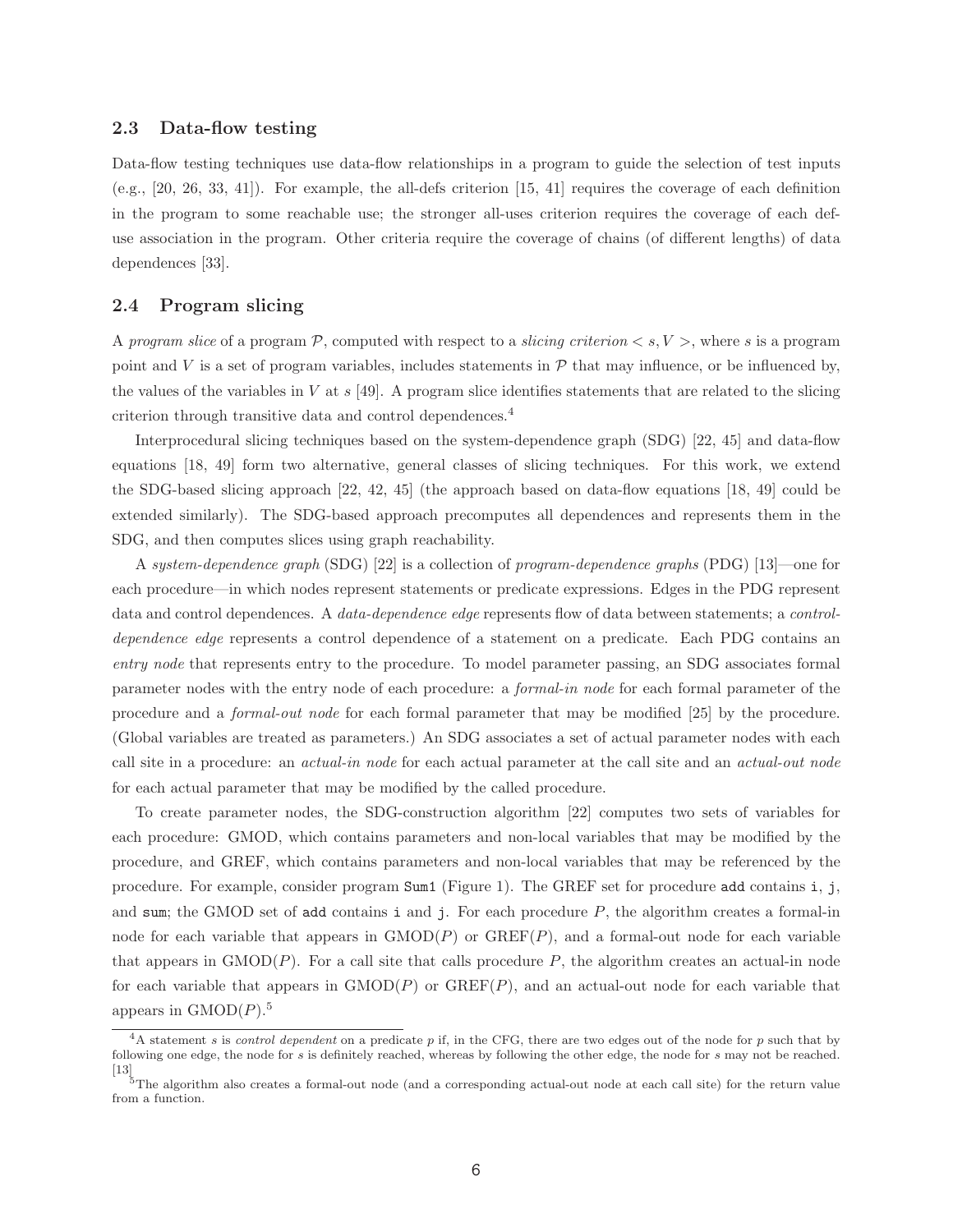## **2.3 Data-flow testing**

Data-flow testing techniques use data-flow relationships in a program to guide the selection of test inputs (e.g., [20, 26, 33, 41]). For example, the all-defs criterion [15, 41] requires the coverage of each definition in the program to some reachable use; the stronger all-uses criterion requires the coverage of each defuse association in the program. Other criteria require the coverage of chains (of different lengths) of data dependences [33].

## **2.4 Program slicing**

A *program slice* of a program P, computed with respect to a *slicing criterion*  $\lt s, V >$ , where s is a program point and V is a set of program variables, includes statements in  $\mathcal P$  that may influence, or be influenced by, the values of the variables in V at  $s$  [49]. A program slice identifies statements that are related to the slicing criterion through transitive data and control dependences.<sup>4</sup>

Interprocedural slicing techniques based on the system-dependence graph (SDG) [22, 45] and data-flow equations [18, 49] form two alternative, general classes of slicing techniques. For this work, we extend the SDG-based slicing approach [22, 42, 45] (the approach based on data-flow equations [18, 49] could be extended similarly). The SDG-based approach precomputes all dependences and represents them in the SDG, and then computes slices using graph reachability.

A *system-dependence graph* (SDG) [22] is a collection of *program-dependence graphs* (PDG) [13]—one for each procedure—in which nodes represent statements or predicate expressions. Edges in the PDG represent data and control dependences. A *data-dependence edge* represents flow of data between statements; a *controldependence edge* represents a control dependence of a statement on a predicate. Each PDG contains an *entry node* that represents entry to the procedure. To model parameter passing, an SDG associates formal parameter nodes with the entry node of each procedure: a *formal-in node* for each formal parameter of the procedure and a *formal-out node* for each formal parameter that may be modified [25] by the procedure. (Global variables are treated as parameters.) An SDG associates a set of actual parameter nodes with each call site in a procedure: an *actual-in node* for each actual parameter at the call site and an *actual-out node* for each actual parameter that may be modified by the called procedure.

To create parameter nodes, the SDG-construction algorithm [22] computes two sets of variables for each procedure: GMOD, which contains parameters and non-local variables that may be modified by the procedure, and GREF, which contains parameters and non-local variables that may be referenced by the procedure. For example, consider program Sum1 (Figure 1). The GREF set for procedure add contains i, j, and sum; the GMOD set of add contains  $\mathbf i$  and  $\mathbf j$ . For each procedure  $P$ , the algorithm creates a formal-in node for each variable that appears in  $\text{GMOD}(P)$  or  $\text{GREF}(P)$ , and a formal-out node for each variable that appears in  $\text{GMOD}(P)$ . For a call site that calls procedure  $P$ , the algorithm creates an actual-in node for each variable that appears in  $GMOD(P)$  or  $GREF(P)$ , and an actual-out node for each variable that appears in  $\text{GMOD}(P)$ .<sup>5</sup>

<sup>&</sup>lt;sup>4</sup>A statement s is control dependent on a predicate p if, in the CFG, there are two edges out of the node for p such that by following one edge, the node for s is definitely reached, whereas by following the other edge, the node for s may not be reached. [13]

<sup>&</sup>lt;sup>5</sup>The algorithm also creates a formal-out node (and a corresponding actual-out node at each call site) for the return value from a function.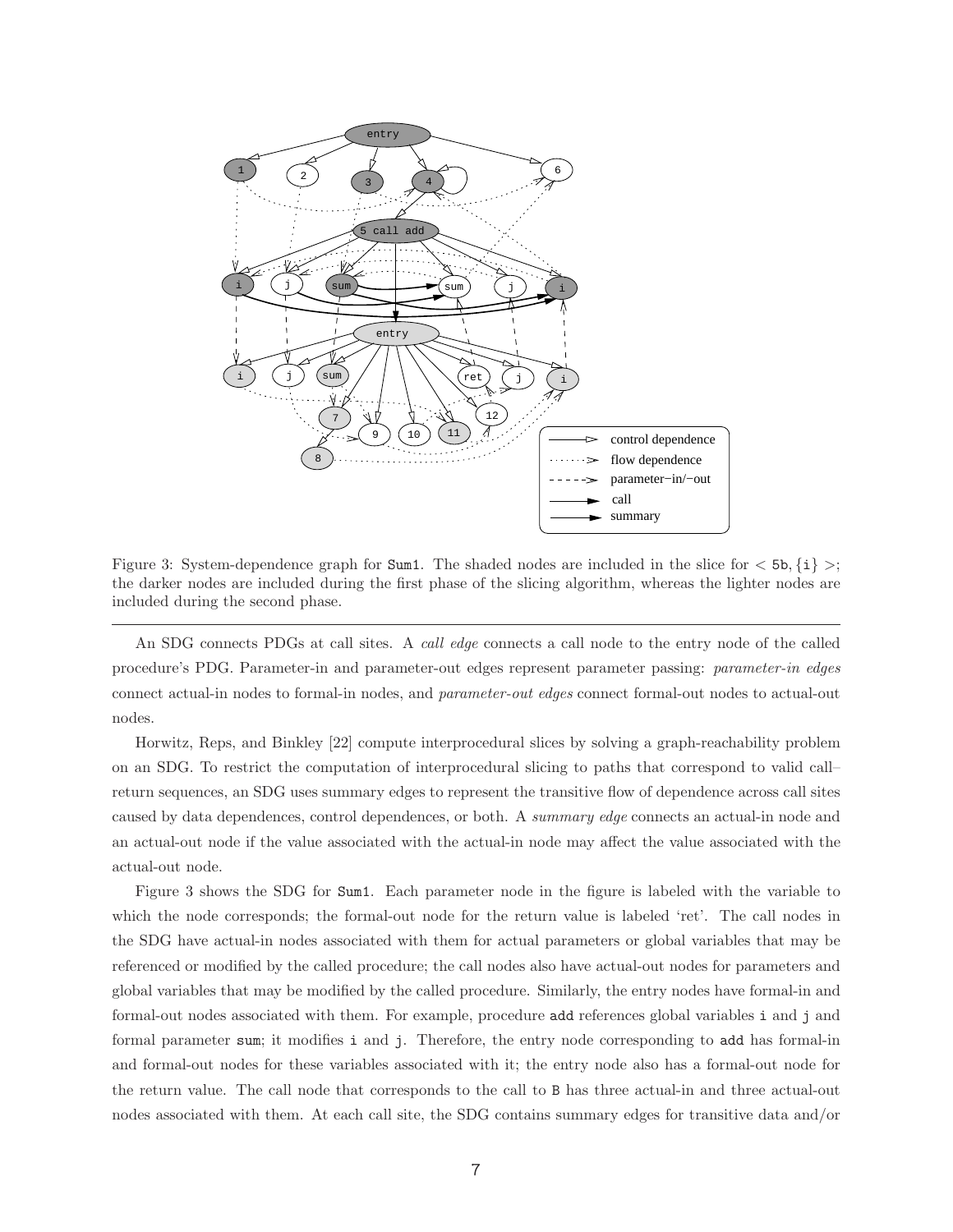

Figure 3: System-dependence graph for Sum1. The shaded nodes are included in the slice for  $\langle 5b, \{i\} \rangle$ ; the darker nodes are included during the first phase of the slicing algorithm, whereas the lighter nodes are included during the second phase.

An SDG connects PDGs at call sites. A *call edge* connects a call node to the entry node of the called procedure's PDG. Parameter-in and parameter-out edges represent parameter passing: *parameter-in edges* connect actual-in nodes to formal-in nodes, and *parameter-out edges* connect formal-out nodes to actual-out nodes.

Horwitz, Reps, and Binkley [22] compute interprocedural slices by solving a graph-reachability problem on an SDG. To restrict the computation of interprocedural slicing to paths that correspond to valid call– return sequences, an SDG uses summary edges to represent the transitive flow of dependence across call sites caused by data dependences, control dependences, or both. A *summary edge* connects an actual-in node and an actual-out node if the value associated with the actual-in node may affect the value associated with the actual-out node.

Figure 3 shows the SDG for Sum1. Each parameter node in the figure is labeled with the variable to which the node corresponds; the formal-out node for the return value is labeled 'ret'. The call nodes in the SDG have actual-in nodes associated with them for actual parameters or global variables that may be referenced or modified by the called procedure; the call nodes also have actual-out nodes for parameters and global variables that may be modified by the called procedure. Similarly, the entry nodes have formal-in and formal-out nodes associated with them. For example, procedure add references global variables i and j and formal parameter sum; it modifies i and j. Therefore, the entry node corresponding to add has formal-in and formal-out nodes for these variables associated with it; the entry node also has a formal-out node for the return value. The call node that corresponds to the call to B has three actual-in and three actual-out nodes associated with them. At each call site, the SDG contains summary edges for transitive data and/or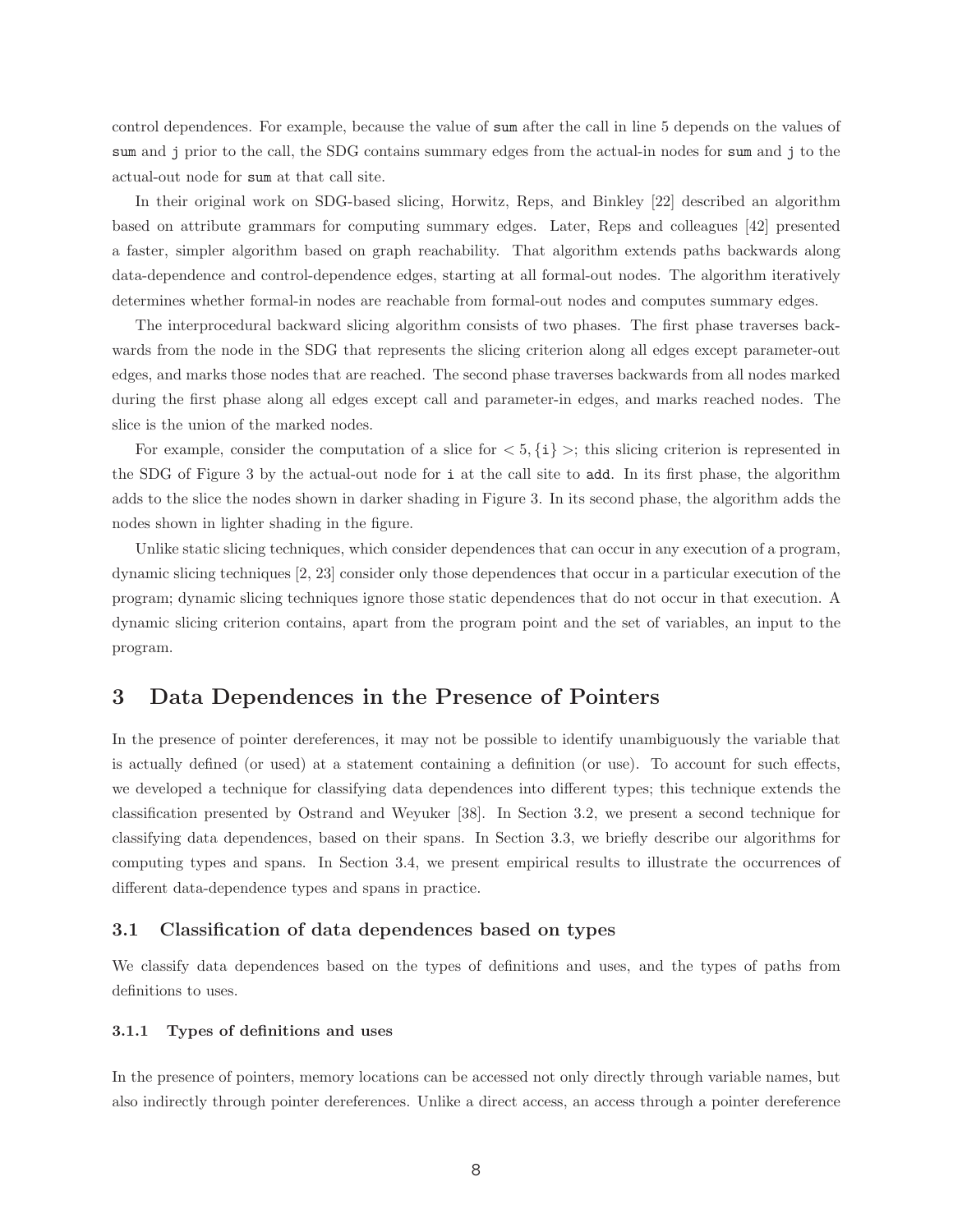control dependences. For example, because the value of sum after the call in line 5 depends on the values of sum and j prior to the call, the SDG contains summary edges from the actual-in nodes for sum and j to the actual-out node for sum at that call site.

In their original work on SDG-based slicing, Horwitz, Reps, and Binkley [22] described an algorithm based on attribute grammars for computing summary edges. Later, Reps and colleagues [42] presented a faster, simpler algorithm based on graph reachability. That algorithm extends paths backwards along data-dependence and control-dependence edges, starting at all formal-out nodes. The algorithm iteratively determines whether formal-in nodes are reachable from formal-out nodes and computes summary edges.

The interprocedural backward slicing algorithm consists of two phases. The first phase traverses backwards from the node in the SDG that represents the slicing criterion along all edges except parameter-out edges, and marks those nodes that are reached. The second phase traverses backwards from all nodes marked during the first phase along all edges except call and parameter-in edges, and marks reached nodes. The slice is the union of the marked nodes.

For example, consider the computation of a slice for  $\langle 5, \{i\} \rangle$ ; this slicing criterion is represented in the SDG of Figure 3 by the actual-out node for i at the call site to add. In its first phase, the algorithm adds to the slice the nodes shown in darker shading in Figure 3. In its second phase, the algorithm adds the nodes shown in lighter shading in the figure.

Unlike static slicing techniques, which consider dependences that can occur in any execution of a program, dynamic slicing techniques [2, 23] consider only those dependences that occur in a particular execution of the program; dynamic slicing techniques ignore those static dependences that do not occur in that execution. A dynamic slicing criterion contains, apart from the program point and the set of variables, an input to the program.

# **3 Data Dependences in the Presence of Pointers**

In the presence of pointer dereferences, it may not be possible to identify unambiguously the variable that is actually defined (or used) at a statement containing a definition (or use). To account for such effects, we developed a technique for classifying data dependences into different types; this technique extends the classification presented by Ostrand and Weyuker [38]. In Section 3.2, we present a second technique for classifying data dependences, based on their spans. In Section 3.3, we briefly describe our algorithms for computing types and spans. In Section 3.4, we present empirical results to illustrate the occurrences of different data-dependence types and spans in practice.

## **3.1 Classification of data dependences based on types**

We classify data dependences based on the types of definitions and uses, and the types of paths from definitions to uses.

## **3.1.1 Types of definitions and uses**

In the presence of pointers, memory locations can be accessed not only directly through variable names, but also indirectly through pointer dereferences. Unlike a direct access, an access through a pointer dereference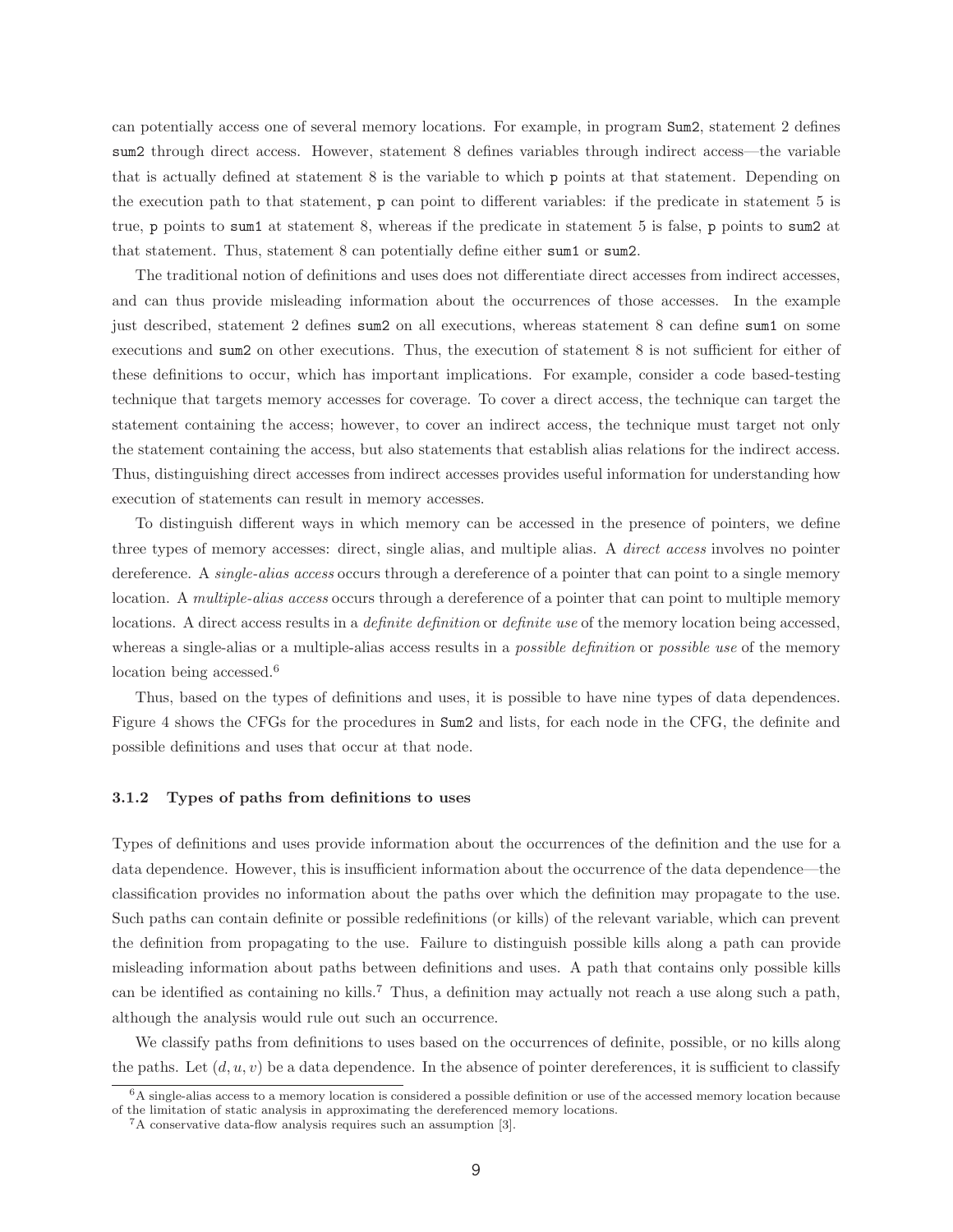can potentially access one of several memory locations. For example, in program Sum2, statement 2 defines sum2 through direct access. However, statement 8 defines variables through indirect access—the variable that is actually defined at statement 8 is the variable to which p points at that statement. Depending on the execution path to that statement, p can point to different variables: if the predicate in statement 5 is true, p points to sum1 at statement 8, whereas if the predicate in statement 5 is false, p points to sum2 at that statement. Thus, statement 8 can potentially define either sum1 or sum2.

The traditional notion of definitions and uses does not differentiate direct accesses from indirect accesses, and can thus provide misleading information about the occurrences of those accesses. In the example just described, statement 2 defines sum2 on all executions, whereas statement 8 can define sum1 on some executions and sum2 on other executions. Thus, the execution of statement 8 is not sufficient for either of these definitions to occur, which has important implications. For example, consider a code based-testing technique that targets memory accesses for coverage. To cover a direct access, the technique can target the statement containing the access; however, to cover an indirect access, the technique must target not only the statement containing the access, but also statements that establish alias relations for the indirect access. Thus, distinguishing direct accesses from indirect accesses provides useful information for understanding how execution of statements can result in memory accesses.

To distinguish different ways in which memory can be accessed in the presence of pointers, we define three types of memory accesses: direct, single alias, and multiple alias. A *direct access* involves no pointer dereference. A *single-alias access* occurs through a dereference of a pointer that can point to a single memory location. A *multiple-alias access* occurs through a dereference of a pointer that can point to multiple memory locations. A direct access results in a *definite definition* or *definite use* of the memory location being accessed, whereas a single-alias or a multiple-alias access results in a *possible definition* or *possible use* of the memory location being accessed.<sup>6</sup>

Thus, based on the types of definitions and uses, it is possible to have nine types of data dependences. Figure 4 shows the CFGs for the procedures in Sum2 and lists, for each node in the CFG, the definite and possible definitions and uses that occur at that node.

## **3.1.2 Types of paths from definitions to uses**

Types of definitions and uses provide information about the occurrences of the definition and the use for a data dependence. However, this is insufficient information about the occurrence of the data dependence—the classification provides no information about the paths over which the definition may propagate to the use. Such paths can contain definite or possible redefinitions (or kills) of the relevant variable, which can prevent the definition from propagating to the use. Failure to distinguish possible kills along a path can provide misleading information about paths between definitions and uses. A path that contains only possible kills can be identified as containing no kills.<sup>7</sup> Thus, a definition may actually not reach a use along such a path, although the analysis would rule out such an occurrence.

We classify paths from definitions to uses based on the occurrences of definite, possible, or no kills along the paths. Let  $(d, u, v)$  be a data dependence. In the absence of pointer dereferences, it is sufficient to classify

<sup>6</sup>A single-alias access to a memory location is considered a possible definition or use of the accessed memory location because of the limitation of static analysis in approximating the dereferenced memory locations.

<sup>7</sup>A conservative data-flow analysis requires such an assumption [3].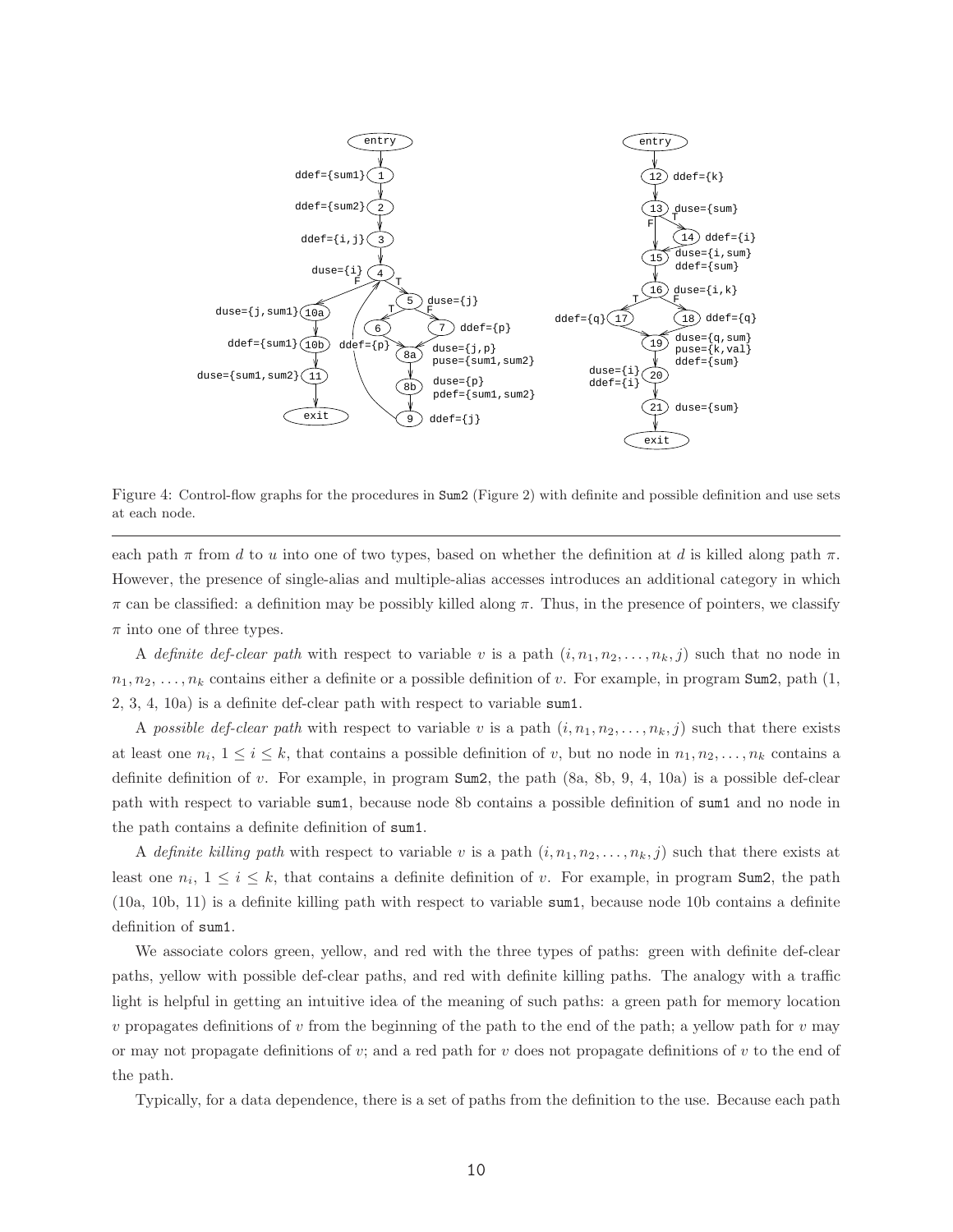

Figure 4: Control-flow graphs for the procedures in Sum2 (Figure 2) with definite and possible definition and use sets at each node.

each path  $\pi$  from d to u into one of two types, based on whether the definition at d is killed along path  $\pi$ . However, the presence of single-alias and multiple-alias accesses introduces an additional category in which  $\pi$  can be classified: a definition may be possibly killed along  $\pi$ . Thus, in the presence of pointers, we classify  $\pi$  into one of three types.

A *definite def-clear path* with respect to variable v is a path  $(i, n_1, n_2, \ldots, n_k, j)$  such that no node in  $n_1, n_2, \ldots, n_k$  contains either a definite or a possible definition of v. For example, in program Sum2, path (1, 2, 3, 4, 10a) is a definite def-clear path with respect to variable sum1.

A *possible def-clear path* with respect to variable v is a path  $(i, n_1, n_2, \ldots, n_k, j)$  such that there exists at least one  $n_i$ ,  $1 \le i \le k$ , that contains a possible definition of v, but no node in  $n_1, n_2, \ldots, n_k$  contains a definite definition of v. For example, in program  $Sum2$ , the path  $(8a, 8b, 9, 4, 10a)$  is a possible def-clear path with respect to variable sum1, because node 8b contains a possible definition of sum1 and no node in the path contains a definite definition of sum1.

A *definite killing path* with respect to variable v is a path  $(i, n_1, n_2, \ldots, n_k, j)$  such that there exists at least one  $n_i$ ,  $1 \le i \le k$ , that contains a definite definition of v. For example, in program Sum2, the path (10a, 10b, 11) is a definite killing path with respect to variable sum1, because node 10b contains a definite definition of sum1.

We associate colors green, yellow, and red with the three types of paths: green with definite def-clear paths, yellow with possible def-clear paths, and red with definite killing paths. The analogy with a traffic light is helpful in getting an intuitive idea of the meaning of such paths: a green path for memory location v propagates definitions of v from the beginning of the path to the end of the path; a yellow path for v may or may not propagate definitions of  $v$ ; and a red path for  $v$  does not propagate definitions of  $v$  to the end of the path.

Typically, for a data dependence, there is a set of paths from the definition to the use. Because each path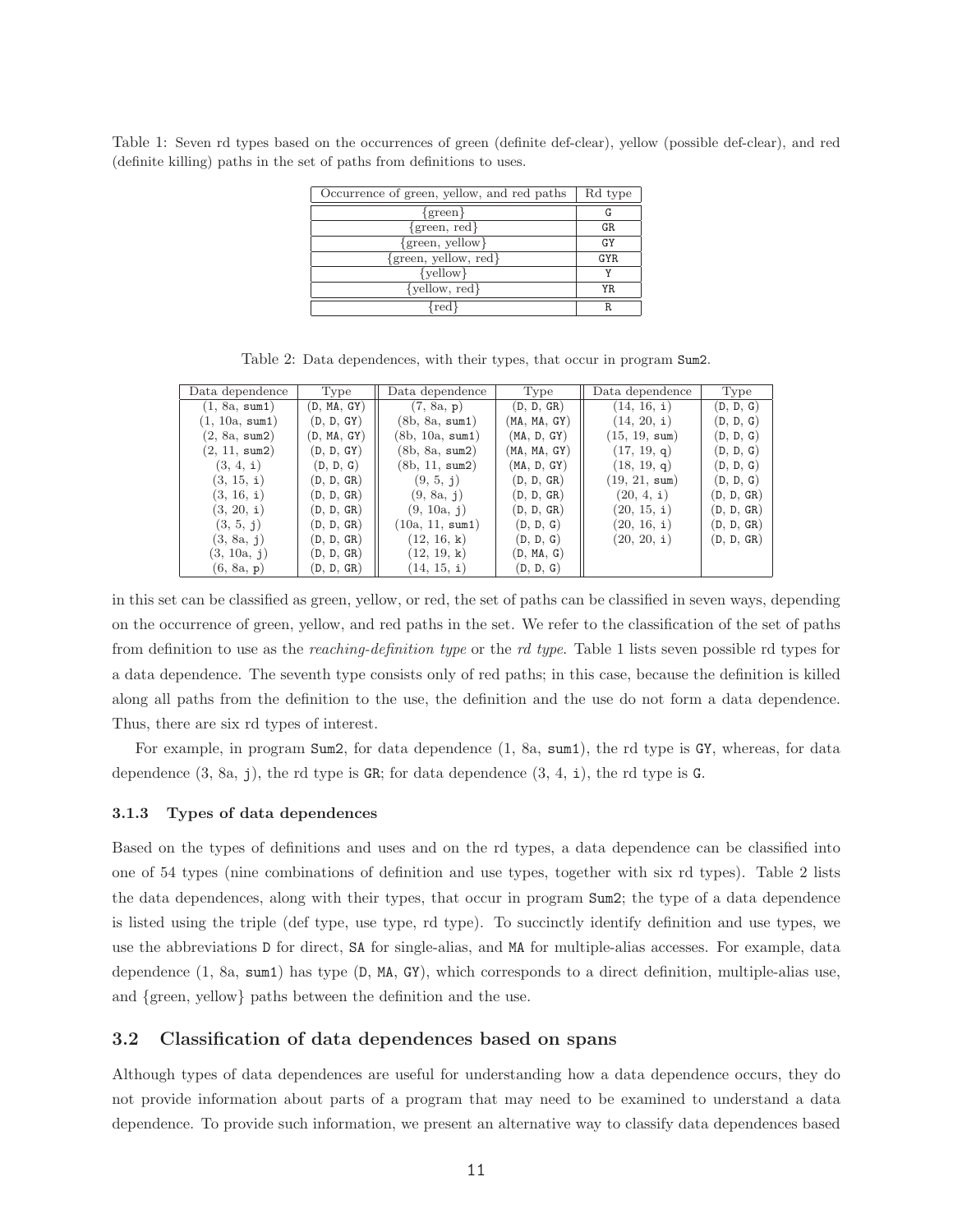Table 1: Seven rd types based on the occurrences of green (definite def-clear), yellow (possible def-clear), and red (definite killing) paths in the set of paths from definitions to uses.

| Occurrence of green, yellow, and red paths | Rd type    |
|--------------------------------------------|------------|
| $\{green\}$                                |            |
| ${green, red}$                             | GR         |
| {green, yellow}                            | GY         |
| ${green, yellow, red}$                     | <b>GYR</b> |
| $\{$ yellow $\}$                           |            |
| $\{$ yellow, red $\}$                      | YR.        |
| red                                        |            |

Table 2: Data dependences, with their types, that occur in program Sum2.

| Data dependence           | Type        | Data dependence            | Type         | Data dependence         | Type       |
|---------------------------|-------------|----------------------------|--------------|-------------------------|------------|
| $(1, 8a, \text{sum1})$    | (D, MA, GY) | (7, 8a, p)                 | (D, D, GR)   | (14, 16, i)             | (D, D, G)  |
| $(1, 10a, \texttt{sum1})$ | (D, D, GY)  | (8b, 8a, sum1)             | MA, MA, GY)  | (14, 20, i)             | (D, D, G)  |
| (2, 8a, sum2)             | (D, MA, GY) | (8b, 10a, sum1)            | (MA, D, GY)  | $(15, 19, \text{ sum})$ | (D, D, G)  |
| (2, 11, sum2)             | (D, D, GY)  | (8b, 8a, sum2)             | (MA, MA, GY) | (17, 19, q)             | (D, D, G)  |
| (3, 4, i)                 | (D, D, G)   | $(8b, 11, \text{sum2})$    | (MA, D, GY)  | (18, 19, q)             | (D, D, G)  |
| (3, 15, i)                | (D, D, GR)  | (9, 5, i)                  | (D, D, GR)   | $(19, 21, \text{ sum})$ | (D, D, G)  |
| (3, 16, i)                | (D, D, GR)  | (9, 8a, j)                 | (D, D, GR)   | (20, 4, i)              | (D, D, GR) |
| (3, 20, i)                | (D, D, GR)  | (9, 10a, j)                | (D, D, GR)   | (20, 15, i)             | (D, D, GR) |
| (3, 5, j)                 | (D, D, GR)  | $(10a, 11, \texttt{sum1})$ | (D, D, G)    | (20, 16, i)             | (D, D, GR) |
| (3, 8a, j)                | (D, D, GR)  | (12, 16, k)                | (D, D, G)    | (20, 20, i)             | (D, D, GR) |
| (3, 10a, j)               | (D, D, GR)  | (12, 19, k)                | (D, MA, G)   |                         |            |
| (6, 8a, p)                | (D, D, GR)  | (14, 15, i)                | (D, D, G)    |                         |            |

in this set can be classified as green, yellow, or red, the set of paths can be classified in seven ways, depending on the occurrence of green, yellow, and red paths in the set. We refer to the classification of the set of paths from definition to use as the *reaching-definition type* or the *rd type*. Table 1 lists seven possible rd types for a data dependence. The seventh type consists only of red paths; in this case, because the definition is killed along all paths from the definition to the use, the definition and the use do not form a data dependence. Thus, there are six rd types of interest.

For example, in program Sum2, for data dependence (1, 8a, sum1), the rd type is GY, whereas, for data dependence  $(3, 8a, i)$ , the rd type is GR; for data dependence  $(3, 4, i)$ , the rd type is G.

## **3.1.3 Types of data dependences**

Based on the types of definitions and uses and on the rd types, a data dependence can be classified into one of 54 types (nine combinations of definition and use types, together with six rd types). Table 2 lists the data dependences, along with their types, that occur in program Sum2; the type of a data dependence is listed using the triple (def type, use type, rd type). To succinctly identify definition and use types, we use the abbreviations D for direct, SA for single-alias, and MA for multiple-alias accesses. For example, data dependence (1, 8a, sum1) has type (D, MA, GY), which corresponds to a direct definition, multiple-alias use, and {green, yellow} paths between the definition and the use.

## **3.2 Classification of data dependences based on spans**

Although types of data dependences are useful for understanding how a data dependence occurs, they do not provide information about parts of a program that may need to be examined to understand a data dependence. To provide such information, we present an alternative way to classify data dependences based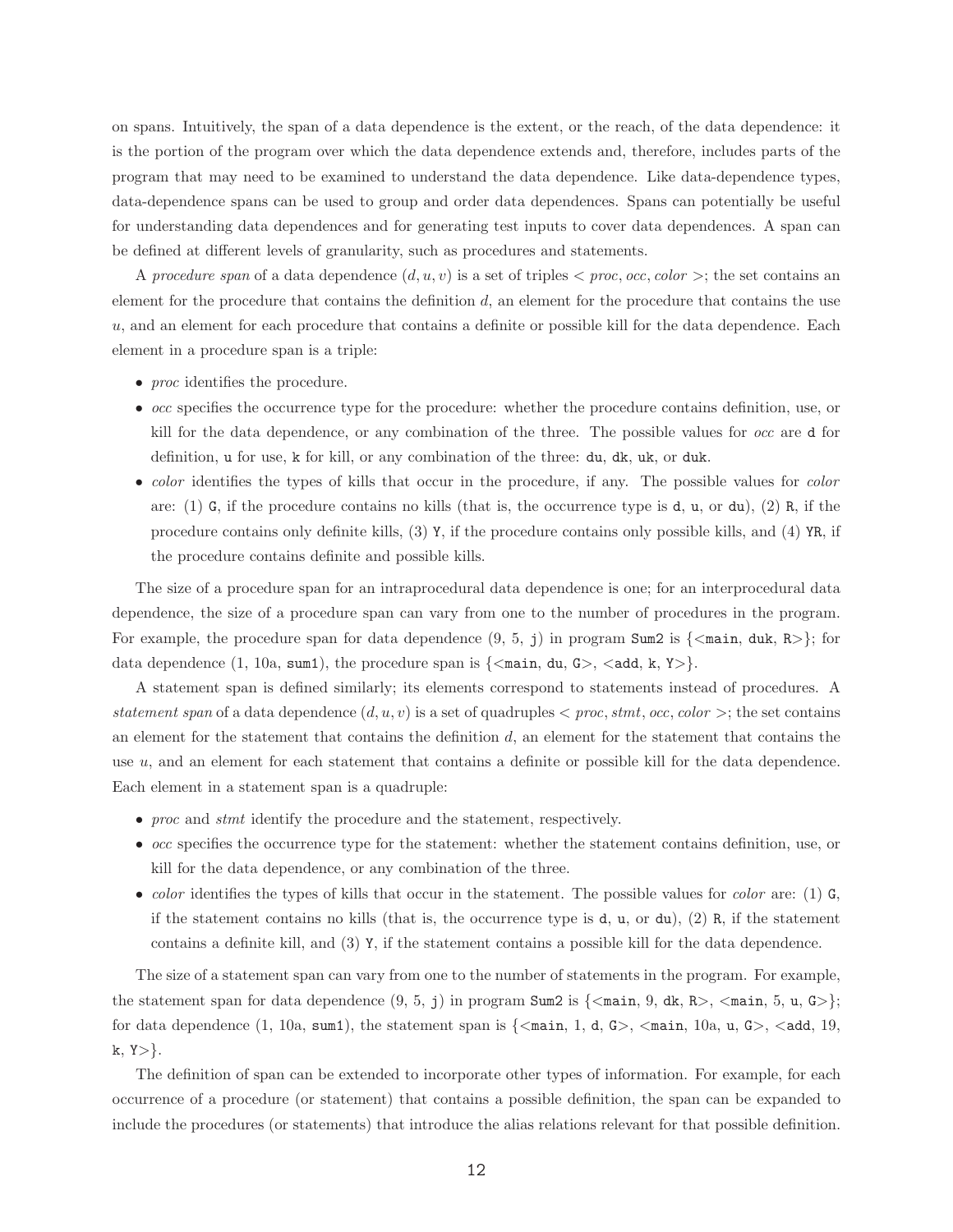on spans. Intuitively, the span of a data dependence is the extent, or the reach, of the data dependence: it is the portion of the program over which the data dependence extends and, therefore, includes parts of the program that may need to be examined to understand the data dependence. Like data-dependence types, data-dependence spans can be used to group and order data dependences. Spans can potentially be useful for understanding data dependences and for generating test inputs to cover data dependences. A span can be defined at different levels of granularity, such as procedures and statements.

A *procedure span* of a data dependence  $(d, u, v)$  is a set of triples  $\langle proc, c\, color \rangle$ ; the set contains an element for the procedure that contains the definition d, an element for the procedure that contains the use u, and an element for each procedure that contains a definite or possible kill for the data dependence. Each element in a procedure span is a triple:

- *proc* identifies the procedure.
- *occ* specifies the occurrence type for the procedure: whether the procedure contains definition, use, or kill for the data dependence, or any combination of the three. The possible values for *occ* are d for definition, u for use, k for kill, or any combination of the three: du, dk, uk, or duk.
- *color* identifies the types of kills that occur in the procedure, if any. The possible values for *color* are: (1) G, if the procedure contains no kills (that is, the occurrence type is d, u, or du), (2) R, if the procedure contains only definite kills, (3) Y, if the procedure contains only possible kills, and (4) YR, if the procedure contains definite and possible kills.

The size of a procedure span for an intraprocedural data dependence is one; for an interprocedural data dependence, the size of a procedure span can vary from one to the number of procedures in the program. For example, the procedure span for data dependence  $(9, 5, j)$  in program Sum2 is  $\{\leq \text{main}, \text{duk}, R>\}$ ; for data dependence (1, 10a, sum1), the procedure span is  $\{\langle \text{main}, \text{du}, \text{G}\rangle, \langle \text{add}, \text{k}, \text{Y}\rangle\}.$ 

A statement span is defined similarly; its elements correspond to statements instead of procedures. A *statement span* of a data dependence  $(d, u, v)$  is a set of quadruples  $\langle$  *proc*, *stmt*, *occ*, *color*  $\geq$ ; the set contains an element for the statement that contains the definition  $d$ , an element for the statement that contains the use u, and an element for each statement that contains a definite or possible kill for the data dependence. Each element in a statement span is a quadruple:

- *proc* and *stmt* identify the procedure and the statement, respectively.
- *occ* specifies the occurrence type for the statement: whether the statement contains definition, use, or kill for the data dependence, or any combination of the three.
- *color* identifies the types of kills that occur in the statement. The possible values for *color* are: (1) G, if the statement contains no kills (that is, the occurrence type is d, u, or du), (2) R, if the statement contains a definite kill, and (3) Y, if the statement contains a possible kill for the data dependence.

The size of a statement span can vary from one to the number of statements in the program. For example, the statement span for data dependence  $(9, 5, j)$  in program Sum2 is  $\{\langle \text{main}, 9, \text{dk}, R \rangle, \langle \text{main}, 5, u, G \rangle\};$ for data dependence (1, 10a, sum1), the statement span is  $\{\langle \text{main}, 1, d, G \rangle, \langle \text{main}, 10a, u, G \rangle, \langle \text{add}, 19, u, G \rangle\}$ k,  $Y>\}$ .

The definition of span can be extended to incorporate other types of information. For example, for each occurrence of a procedure (or statement) that contains a possible definition, the span can be expanded to include the procedures (or statements) that introduce the alias relations relevant for that possible definition.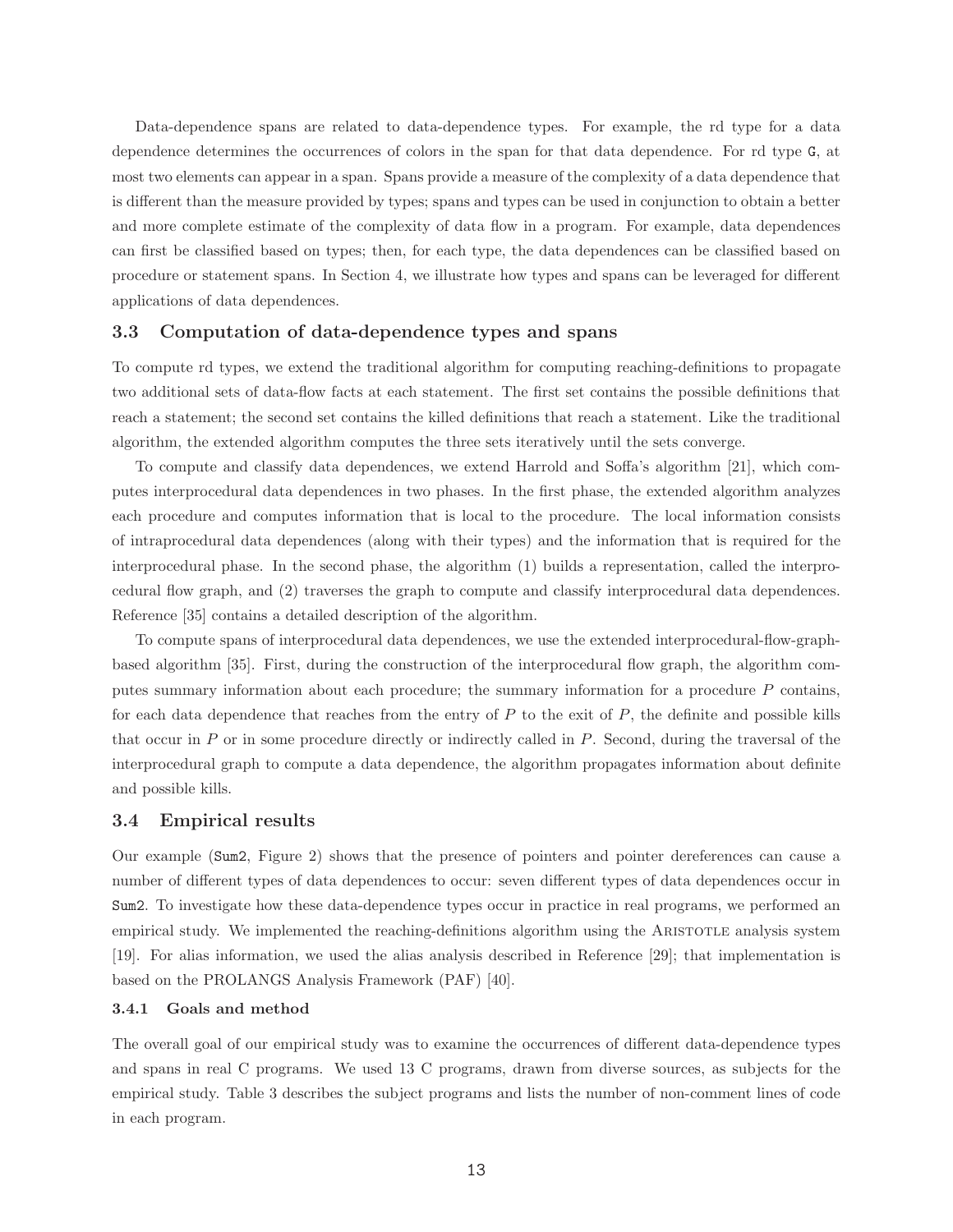Data-dependence spans are related to data-dependence types. For example, the rd type for a data dependence determines the occurrences of colors in the span for that data dependence. For rd type G, at most two elements can appear in a span. Spans provide a measure of the complexity of a data dependence that is different than the measure provided by types; spans and types can be used in conjunction to obtain a better and more complete estimate of the complexity of data flow in a program. For example, data dependences can first be classified based on types; then, for each type, the data dependences can be classified based on procedure or statement spans. In Section 4, we illustrate how types and spans can be leveraged for different applications of data dependences.

## **3.3 Computation of data-dependence types and spans**

To compute rd types, we extend the traditional algorithm for computing reaching-definitions to propagate two additional sets of data-flow facts at each statement. The first set contains the possible definitions that reach a statement; the second set contains the killed definitions that reach a statement. Like the traditional algorithm, the extended algorithm computes the three sets iteratively until the sets converge.

To compute and classify data dependences, we extend Harrold and Soffa's algorithm [21], which computes interprocedural data dependences in two phases. In the first phase, the extended algorithm analyzes each procedure and computes information that is local to the procedure. The local information consists of intraprocedural data dependences (along with their types) and the information that is required for the interprocedural phase. In the second phase, the algorithm (1) builds a representation, called the interprocedural flow graph, and (2) traverses the graph to compute and classify interprocedural data dependences. Reference [35] contains a detailed description of the algorithm.

To compute spans of interprocedural data dependences, we use the extended interprocedural-flow-graphbased algorithm [35]. First, during the construction of the interprocedural flow graph, the algorithm computes summary information about each procedure; the summary information for a procedure P contains, for each data dependence that reaches from the entry of  $P$  to the exit of  $P$ , the definite and possible kills that occur in  $P$  or in some procedure directly or indirectly called in  $P$ . Second, during the traversal of the interprocedural graph to compute a data dependence, the algorithm propagates information about definite and possible kills.

## **3.4 Empirical results**

Our example (Sum2, Figure 2) shows that the presence of pointers and pointer dereferences can cause a number of different types of data dependences to occur: seven different types of data dependences occur in Sum2. To investigate how these data-dependence types occur in practice in real programs, we performed an empirical study. We implemented the reaching-definitions algorithm using the ARISTOTLE analysis system [19]. For alias information, we used the alias analysis described in Reference [29]; that implementation is based on the PROLANGS Analysis Framework (PAF) [40].

## **3.4.1 Goals and method**

The overall goal of our empirical study was to examine the occurrences of different data-dependence types and spans in real C programs. We used 13 C programs, drawn from diverse sources, as subjects for the empirical study. Table 3 describes the subject programs and lists the number of non-comment lines of code in each program.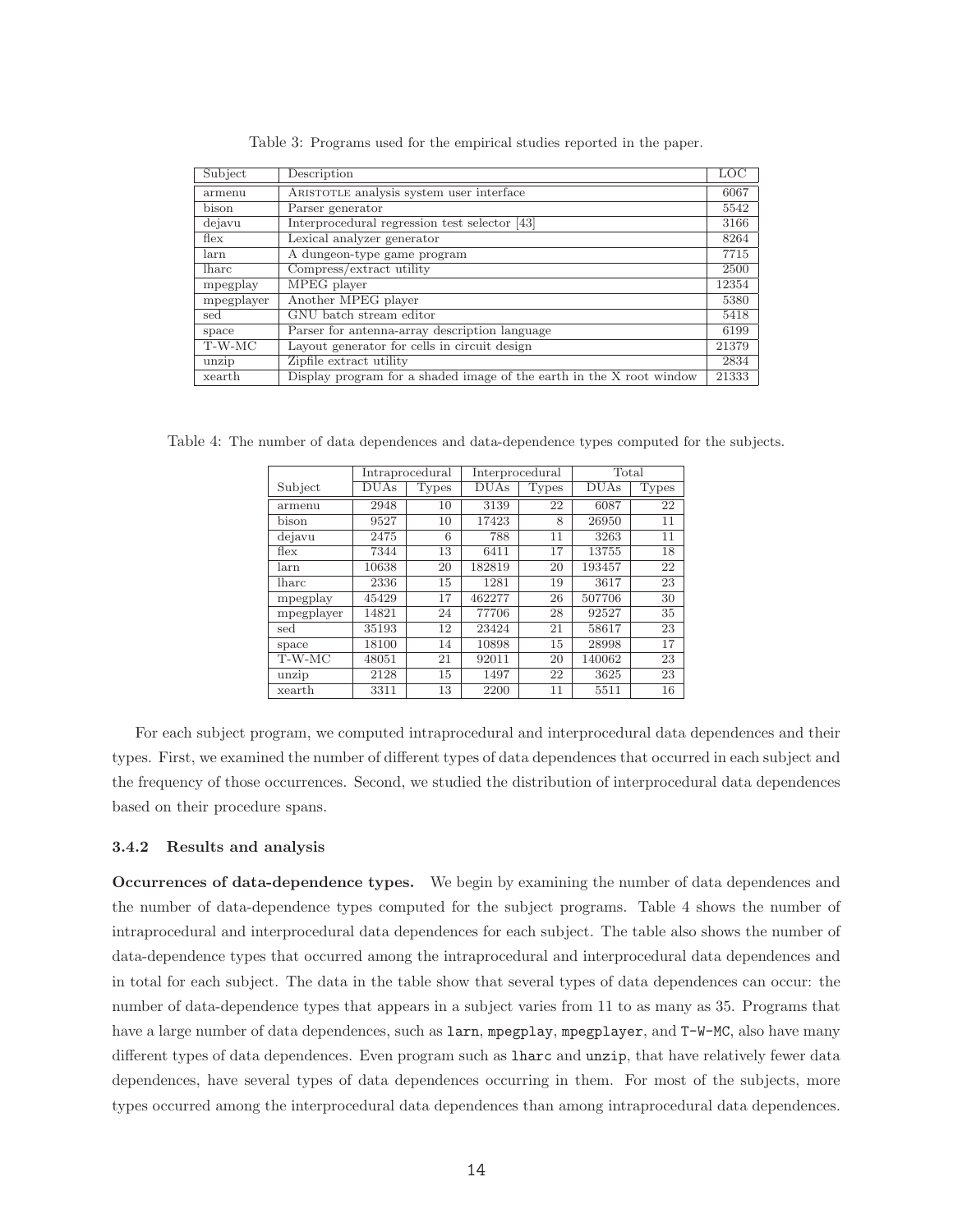| Subject      | Description                                                          | LOC   |
|--------------|----------------------------------------------------------------------|-------|
| armenu       | ARISTOTLE analysis system user interface                             | 6067  |
| bison        | Parser generator                                                     | 5542  |
| dejavu       | Interprocedural regression test selector [43]                        | 3166  |
| flex         | Lexical analyzer generator                                           | 8264  |
| larn         | A dungeon-type game program                                          | 7715  |
| <i>lharc</i> | Compress/extract utility                                             | 2500  |
| mpegplay     | MPEG player                                                          | 12354 |
| mpegplayer   | Another MPEG player                                                  | 5380  |
| sed          | GNU batch stream editor                                              | 5418  |
| space        | Parser for antenna-array description language                        | 6199  |
| T-W-MC       | Layout generator for cells in circuit design                         | 21379 |
| unzip        | Zipfile extract utility                                              | 2834  |
| xearth       | Display program for a shaded image of the earth in the X root window | 21333 |

Table 3: Programs used for the empirical studies reported in the paper.

Table 4: The number of data dependences and data-dependence types computed for the subjects.

|            |       | Intraprocedural | Interprocedural |       | Total  |              |  |
|------------|-------|-----------------|-----------------|-------|--------|--------------|--|
| Subject    | DUAs  | <b>Types</b>    | DUAs            | Types | DUAs   | <b>Types</b> |  |
| armenu     | 2948  | 10              | 3139            | 22    | 6087   | 22           |  |
| bison      | 9527  | 10              | 17423           | 8     | 26950  | 11           |  |
| dejavu     | 2475  | 6               | 788             | 11    | 3263   | 11           |  |
| flex       | 7344  | 13              | 6411            | 17    | 13755  | 18           |  |
| larn       | 10638 | 20              | 182819          | 20    | 193457 | 22           |  |
| lharc      | 2336  | 15              | 1281            | 19    | 3617   | 23           |  |
| mpegplay   | 45429 | 17              | 462277          | 26    | 507706 | 30           |  |
| mpegplayer | 14821 | 24              | 77706           | 28    | 92527  | 35           |  |
| sed        | 35193 | 12              | 23424           | 21    | 58617  | 23           |  |
| space      | 18100 | 14              | 10898           | 15    | 28998  | 17           |  |
| T-W-MC     | 48051 | 21              | 92011           | 20    | 140062 | 23           |  |
| unzip      | 2128  | 15              | 1497            | 22    | 3625   | 23           |  |
| xearth     | 3311  | 13              | 2200            | 11    | 5511   | 16           |  |

For each subject program, we computed intraprocedural and interprocedural data dependences and their types. First, we examined the number of different types of data dependences that occurred in each subject and the frequency of those occurrences. Second, we studied the distribution of interprocedural data dependences based on their procedure spans.

## **3.4.2 Results and analysis**

**Occurrences of data-dependence types.** We begin by examining the number of data dependences and the number of data-dependence types computed for the subject programs. Table 4 shows the number of intraprocedural and interprocedural data dependences for each subject. The table also shows the number of data-dependence types that occurred among the intraprocedural and interprocedural data dependences and in total for each subject. The data in the table show that several types of data dependences can occur: the number of data-dependence types that appears in a subject varies from 11 to as many as 35. Programs that have a large number of data dependences, such as larn, mpegplay, mpegplayer, and T-W-MC, also have many different types of data dependences. Even program such as lharc and unzip, that have relatively fewer data dependences, have several types of data dependences occurring in them. For most of the subjects, more types occurred among the interprocedural data dependences than among intraprocedural data dependences.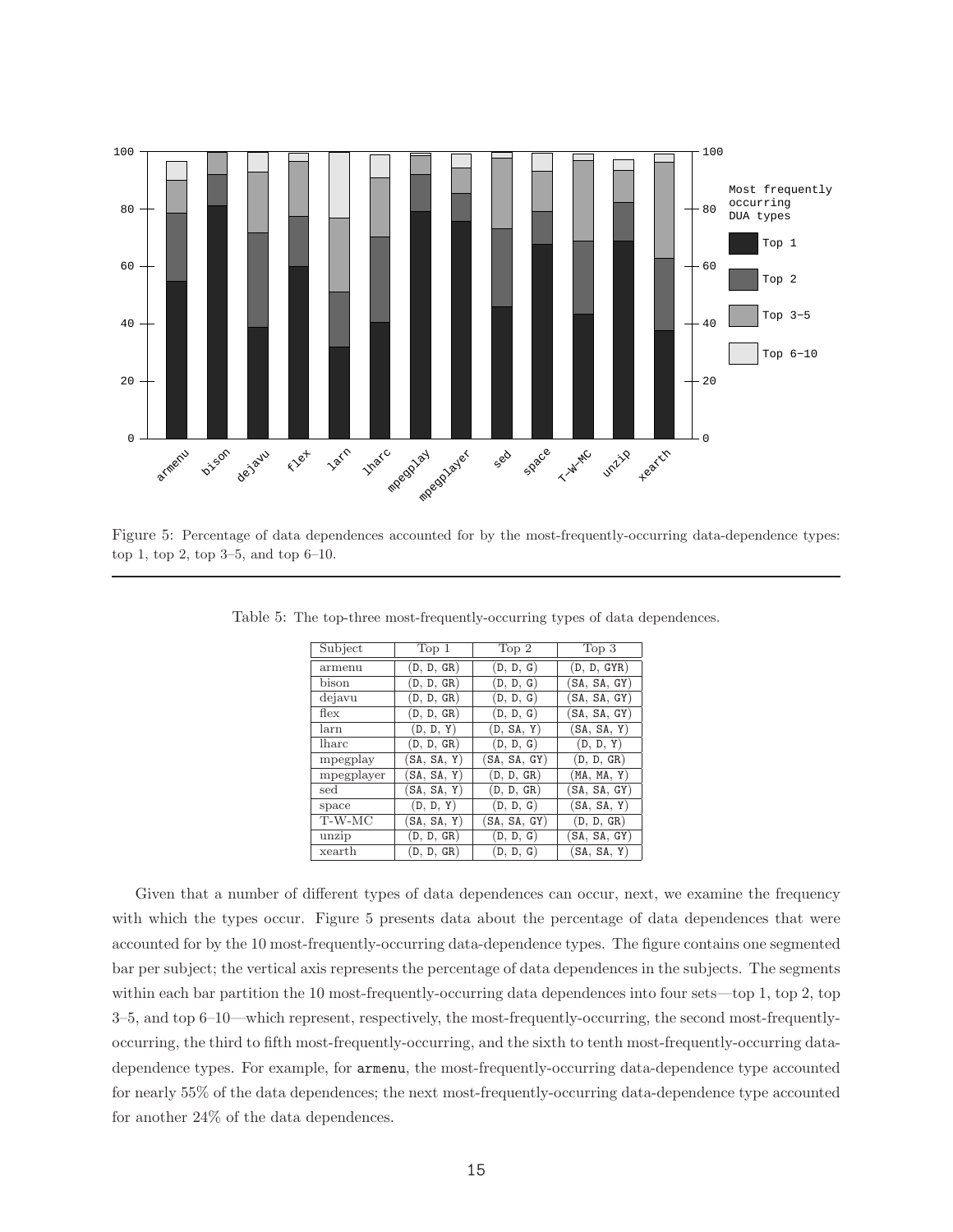

Figure 5: Percentage of data dependences accounted for by the most-frequently-occurring data-dependence types: top 1, top 2, top 3–5, and top 6–10.

| Subject             | Top <sub>1</sub> | Top 2        | Top 3        |
|---------------------|------------------|--------------|--------------|
| armenu              | (D, D, GR)       | (D, D, G)    | (D, D, GYR)  |
| bison               | (D, D, GR)       | (D, D, G)    | SA, SA, GY)  |
| dejavu              | (D, D, GR)       | (D, D, G)    | (SA, SA, GY) |
| $f$ <sub>flex</sub> | (D, D, GR)       | (D, D, G)    | SA, SA, GY)  |
| larn                | (D, D, Y)        | (D, SA, Y)   | (SA, SA, Y)  |
| <i>lharc</i>        | (D, D, GR)       | (D, D, G)    | (D, D, Y)    |
| mpegplay            | (SA, SA, Y)      | SA, SA, GY)  | (D, D, GR)   |
| mpegplayer          | SA, SA, Y)       | (D, D, GR)   | (MA, MA, Y)  |
| sed                 | (SA, SA, Y)      | (D, D, GR)   | SA, SA, GY)  |
| space               | (D, D, Y)        | (D, D, G)    | (SA, SA, Y)  |
| T-W-MC              | (SA, SA, Y)      | (SA, SA, GY) | (D, D, GR)   |
| unzip               | (D, D, GR)       | (D, D, G)    | SA, SA, GY)  |
| xearth              | (D, D, GR)       | (D, D, G)    | (SA, SA, Y)  |

Table 5: The top-three most-frequently-occurring types of data dependences.

Given that a number of different types of data dependences can occur, next, we examine the frequency with which the types occur. Figure 5 presents data about the percentage of data dependences that were accounted for by the 10 most-frequently-occurring data-dependence types. The figure contains one segmented bar per subject; the vertical axis represents the percentage of data dependences in the subjects. The segments within each bar partition the 10 most-frequently-occurring data dependences into four sets—top 1, top 2, top 3–5, and top 6–10—which represent, respectively, the most-frequently-occurring, the second most-frequentlyoccurring, the third to fifth most-frequently-occurring, and the sixth to tenth most-frequently-occurring datadependence types. For example, for armenu, the most-frequently-occurring data-dependence type accounted for nearly 55% of the data dependences; the next most-frequently-occurring data-dependence type accounted for another 24% of the data dependences.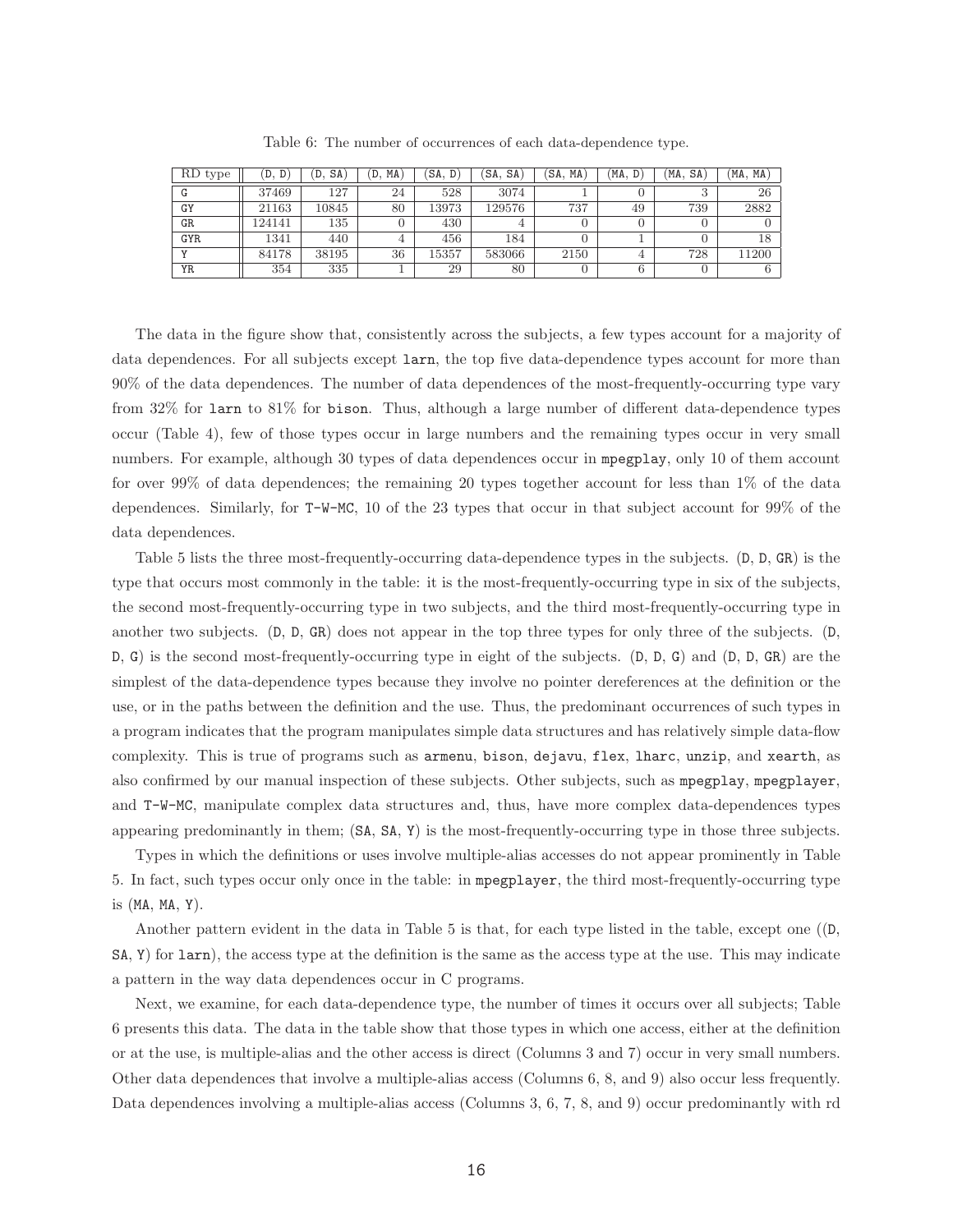| RD type    | D.<br>D) | D.<br>SA | MA<br>D. | ΄SΑ.<br>D | SA.<br>SA | SA.<br>MA | MA.<br>D | MA,<br>SA      | (MA,<br>MA |
|------------|----------|----------|----------|-----------|-----------|-----------|----------|----------------|------------|
|            | 37469    | 127      | 24       | 528       | 3074      |           |          | $\Omega$<br>٠J | 26         |
| GY         | 21163    | 10845    | 80       | 13973     | 129576    | 737       | 49       | 739            | 2882       |
| GR         | 124141   | 135      |          | 430       |           |           |          |                |            |
| <b>GYR</b> | 1341     | 440      | 4        | 456       | 184       |           |          |                | 18         |
|            | 84178    | 38195    | 36       | 15357     | 583066    | 2150      | 4        | 728            | 11200      |
| YR.        | 354      | 335      |          | 29        | 80        |           | 6        |                |            |

Table 6: The number of occurrences of each data-dependence type.

The data in the figure show that, consistently across the subjects, a few types account for a majority of data dependences. For all subjects except larn, the top five data-dependence types account for more than 90% of the data dependences. The number of data dependences of the most-frequently-occurring type vary from 32% for larn to 81% for bison. Thus, although a large number of different data-dependence types occur (Table 4), few of those types occur in large numbers and the remaining types occur in very small numbers. For example, although 30 types of data dependences occur in mpegplay, only 10 of them account for over 99% of data dependences; the remaining 20 types together account for less than 1% of the data dependences. Similarly, for T-W-MC, 10 of the 23 types that occur in that subject account for 99% of the data dependences.

Table 5 lists the three most-frequently-occurring data-dependence types in the subjects. (D, D, GR) is the type that occurs most commonly in the table: it is the most-frequently-occurring type in six of the subjects, the second most-frequently-occurring type in two subjects, and the third most-frequently-occurring type in another two subjects. (D, D, GR) does not appear in the top three types for only three of the subjects. (D, D, G) is the second most-frequently-occurring type in eight of the subjects. (D, D, G) and (D, D, GR) are the simplest of the data-dependence types because they involve no pointer dereferences at the definition or the use, or in the paths between the definition and the use. Thus, the predominant occurrences of such types in a program indicates that the program manipulates simple data structures and has relatively simple data-flow complexity. This is true of programs such as armenu, bison, dejavu, flex, lharc, unzip, and xearth, as also confirmed by our manual inspection of these subjects. Other subjects, such as mpegplay, mpegplayer, and T-W-MC, manipulate complex data structures and, thus, have more complex data-dependences types appearing predominantly in them; (SA, SA, Y) is the most-frequently-occurring type in those three subjects.

Types in which the definitions or uses involve multiple-alias accesses do not appear prominently in Table 5. In fact, such types occur only once in the table: in mpegplayer, the third most-frequently-occurring type is (MA, MA, Y).

Another pattern evident in the data in Table 5 is that, for each type listed in the table, except one ((D, SA, Y) for larn), the access type at the definition is the same as the access type at the use. This may indicate a pattern in the way data dependences occur in C programs.

Next, we examine, for each data-dependence type, the number of times it occurs over all subjects; Table 6 presents this data. The data in the table show that those types in which one access, either at the definition or at the use, is multiple-alias and the other access is direct (Columns 3 and 7) occur in very small numbers. Other data dependences that involve a multiple-alias access (Columns 6, 8, and 9) also occur less frequently. Data dependences involving a multiple-alias access (Columns 3, 6, 7, 8, and 9) occur predominantly with rd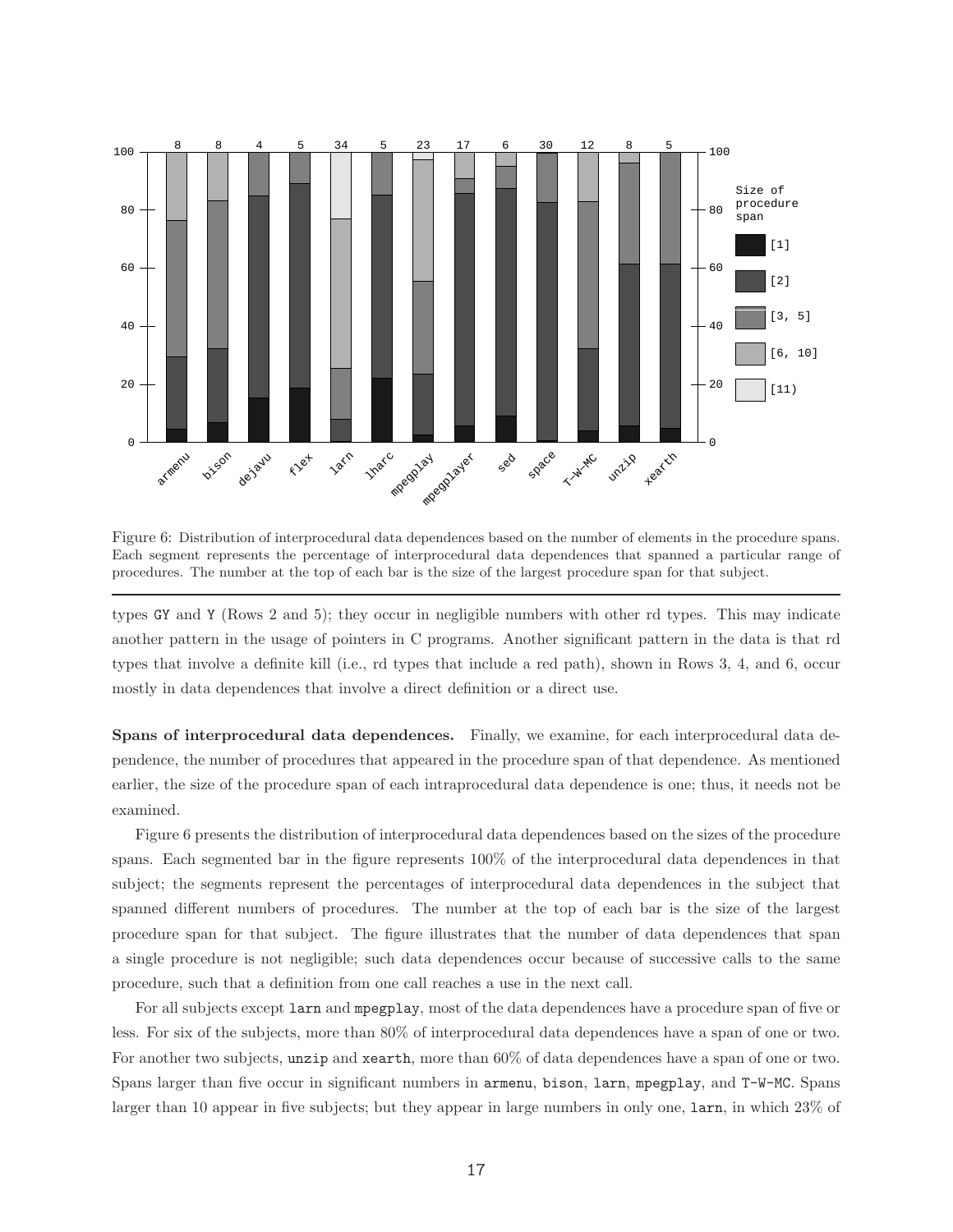

Figure 6: Distribution of interprocedural data dependences based on the number of elements in the procedure spans. Each segment represents the percentage of interprocedural data dependences that spanned a particular range of procedures. The number at the top of each bar is the size of the largest procedure span for that subject.

types GY and Y (Rows 2 and 5); they occur in negligible numbers with other rd types. This may indicate another pattern in the usage of pointers in C programs. Another significant pattern in the data is that rd types that involve a definite kill (i.e., rd types that include a red path), shown in Rows 3, 4, and 6, occur mostly in data dependences that involve a direct definition or a direct use.

**Spans of interprocedural data dependences.** Finally, we examine, for each interprocedural data dependence, the number of procedures that appeared in the procedure span of that dependence. As mentioned earlier, the size of the procedure span of each intraprocedural data dependence is one; thus, it needs not be examined.

Figure 6 presents the distribution of interprocedural data dependences based on the sizes of the procedure spans. Each segmented bar in the figure represents 100% of the interprocedural data dependences in that subject; the segments represent the percentages of interprocedural data dependences in the subject that spanned different numbers of procedures. The number at the top of each bar is the size of the largest procedure span for that subject. The figure illustrates that the number of data dependences that span a single procedure is not negligible; such data dependences occur because of successive calls to the same procedure, such that a definition from one call reaches a use in the next call.

For all subjects except larn and mpegplay, most of the data dependences have a procedure span of five or less. For six of the subjects, more than 80% of interprocedural data dependences have a span of one or two. For another two subjects, unzip and xearth, more than 60% of data dependences have a span of one or two. Spans larger than five occur in significant numbers in armenu, bison, larn, mpegplay, and T-W-MC. Spans larger than 10 appear in five subjects; but they appear in large numbers in only one, larn, in which 23% of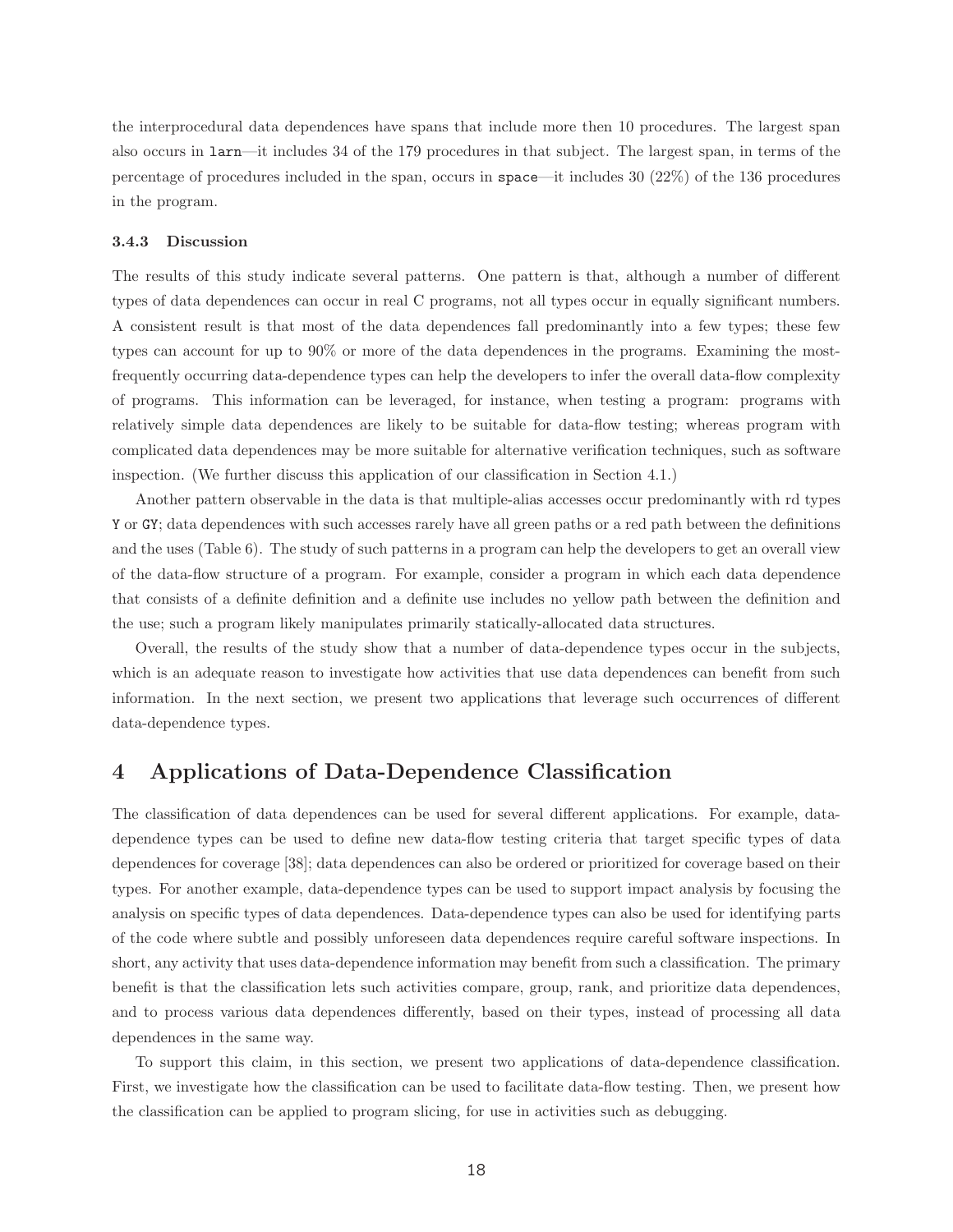the interprocedural data dependences have spans that include more then 10 procedures. The largest span also occurs in larn—it includes 34 of the 179 procedures in that subject. The largest span, in terms of the percentage of procedures included in the span, occurs in space—it includes 30 (22%) of the 136 procedures in the program.

#### **3.4.3 Discussion**

The results of this study indicate several patterns. One pattern is that, although a number of different types of data dependences can occur in real C programs, not all types occur in equally significant numbers. A consistent result is that most of the data dependences fall predominantly into a few types; these few types can account for up to 90% or more of the data dependences in the programs. Examining the mostfrequently occurring data-dependence types can help the developers to infer the overall data-flow complexity of programs. This information can be leveraged, for instance, when testing a program: programs with relatively simple data dependences are likely to be suitable for data-flow testing; whereas program with complicated data dependences may be more suitable for alternative verification techniques, such as software inspection. (We further discuss this application of our classification in Section 4.1.)

Another pattern observable in the data is that multiple-alias accesses occur predominantly with rd types Y or GY; data dependences with such accesses rarely have all green paths or a red path between the definitions and the uses (Table 6). The study of such patterns in a program can help the developers to get an overall view of the data-flow structure of a program. For example, consider a program in which each data dependence that consists of a definite definition and a definite use includes no yellow path between the definition and the use; such a program likely manipulates primarily statically-allocated data structures.

Overall, the results of the study show that a number of data-dependence types occur in the subjects, which is an adequate reason to investigate how activities that use data dependences can benefit from such information. In the next section, we present two applications that leverage such occurrences of different data-dependence types.

# **4 Applications of Data-Dependence Classification**

The classification of data dependences can be used for several different applications. For example, datadependence types can be used to define new data-flow testing criteria that target specific types of data dependences for coverage [38]; data dependences can also be ordered or prioritized for coverage based on their types. For another example, data-dependence types can be used to support impact analysis by focusing the analysis on specific types of data dependences. Data-dependence types can also be used for identifying parts of the code where subtle and possibly unforeseen data dependences require careful software inspections. In short, any activity that uses data-dependence information may benefit from such a classification. The primary benefit is that the classification lets such activities compare, group, rank, and prioritize data dependences, and to process various data dependences differently, based on their types, instead of processing all data dependences in the same way.

To support this claim, in this section, we present two applications of data-dependence classification. First, we investigate how the classification can be used to facilitate data-flow testing. Then, we present how the classification can be applied to program slicing, for use in activities such as debugging.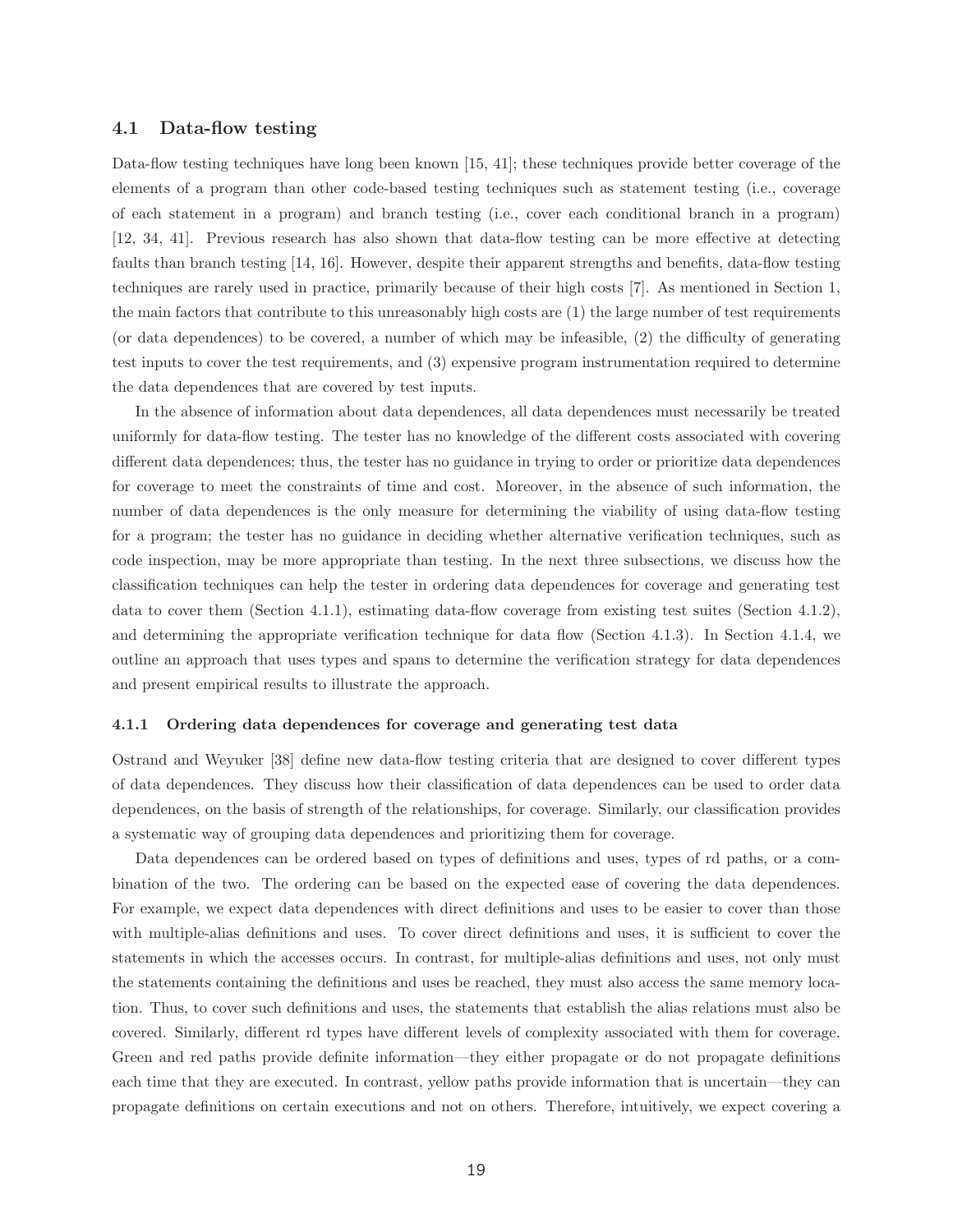## **4.1 Data-flow testing**

Data-flow testing techniques have long been known [15, 41]; these techniques provide better coverage of the elements of a program than other code-based testing techniques such as statement testing (i.e., coverage of each statement in a program) and branch testing (i.e., cover each conditional branch in a program) [12, 34, 41]. Previous research has also shown that data-flow testing can be more effective at detecting faults than branch testing [14, 16]. However, despite their apparent strengths and benefits, data-flow testing techniques are rarely used in practice, primarily because of their high costs [7]. As mentioned in Section 1, the main factors that contribute to this unreasonably high costs are (1) the large number of test requirements (or data dependences) to be covered, a number of which may be infeasible, (2) the difficulty of generating test inputs to cover the test requirements, and (3) expensive program instrumentation required to determine the data dependences that are covered by test inputs.

In the absence of information about data dependences, all data dependences must necessarily be treated uniformly for data-flow testing. The tester has no knowledge of the different costs associated with covering different data dependences; thus, the tester has no guidance in trying to order or prioritize data dependences for coverage to meet the constraints of time and cost. Moreover, in the absence of such information, the number of data dependences is the only measure for determining the viability of using data-flow testing for a program; the tester has no guidance in deciding whether alternative verification techniques, such as code inspection, may be more appropriate than testing. In the next three subsections, we discuss how the classification techniques can help the tester in ordering data dependences for coverage and generating test data to cover them (Section 4.1.1), estimating data-flow coverage from existing test suites (Section 4.1.2), and determining the appropriate verification technique for data flow (Section 4.1.3). In Section 4.1.4, we outline an approach that uses types and spans to determine the verification strategy for data dependences and present empirical results to illustrate the approach.

## **4.1.1 Ordering data dependences for coverage and generating test data**

Ostrand and Weyuker [38] define new data-flow testing criteria that are designed to cover different types of data dependences. They discuss how their classification of data dependences can be used to order data dependences, on the basis of strength of the relationships, for coverage. Similarly, our classification provides a systematic way of grouping data dependences and prioritizing them for coverage.

Data dependences can be ordered based on types of definitions and uses, types of rd paths, or a combination of the two. The ordering can be based on the expected ease of covering the data dependences. For example, we expect data dependences with direct definitions and uses to be easier to cover than those with multiple-alias definitions and uses. To cover direct definitions and uses, it is sufficient to cover the statements in which the accesses occurs. In contrast, for multiple-alias definitions and uses, not only must the statements containing the definitions and uses be reached, they must also access the same memory location. Thus, to cover such definitions and uses, the statements that establish the alias relations must also be covered. Similarly, different rd types have different levels of complexity associated with them for coverage. Green and red paths provide definite information—they either propagate or do not propagate definitions each time that they are executed. In contrast, yellow paths provide information that is uncertain—they can propagate definitions on certain executions and not on others. Therefore, intuitively, we expect covering a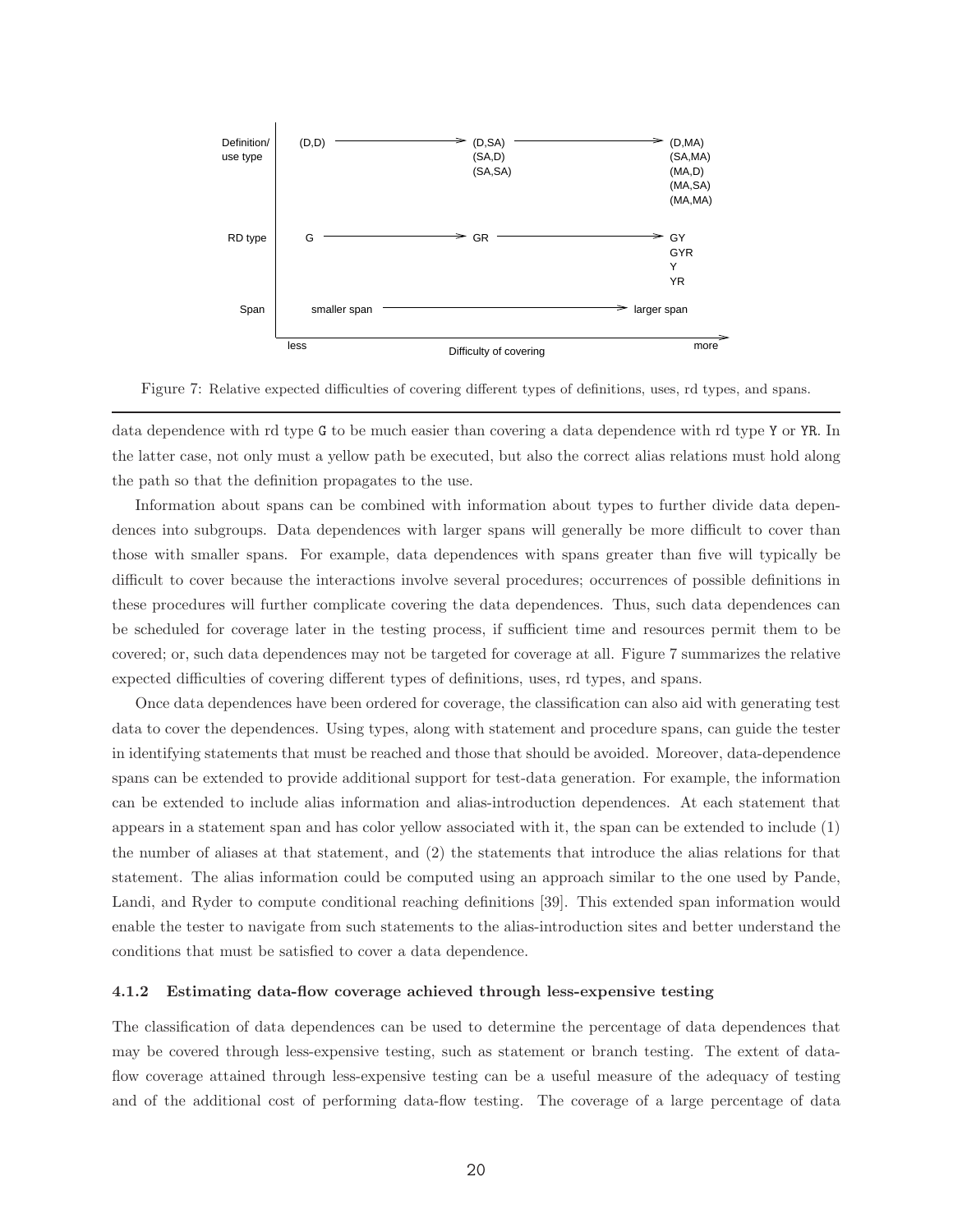

Figure 7: Relative expected difficulties of covering different types of definitions, uses, rd types, and spans.

data dependence with rd type G to be much easier than covering a data dependence with rd type Y or YR. In the latter case, not only must a yellow path be executed, but also the correct alias relations must hold along the path so that the definition propagates to the use.

Information about spans can be combined with information about types to further divide data dependences into subgroups. Data dependences with larger spans will generally be more difficult to cover than those with smaller spans. For example, data dependences with spans greater than five will typically be difficult to cover because the interactions involve several procedures; occurrences of possible definitions in these procedures will further complicate covering the data dependences. Thus, such data dependences can be scheduled for coverage later in the testing process, if sufficient time and resources permit them to be covered; or, such data dependences may not be targeted for coverage at all. Figure 7 summarizes the relative expected difficulties of covering different types of definitions, uses, rd types, and spans.

Once data dependences have been ordered for coverage, the classification can also aid with generating test data to cover the dependences. Using types, along with statement and procedure spans, can guide the tester in identifying statements that must be reached and those that should be avoided. Moreover, data-dependence spans can be extended to provide additional support for test-data generation. For example, the information can be extended to include alias information and alias-introduction dependences. At each statement that appears in a statement span and has color yellow associated with it, the span can be extended to include (1) the number of aliases at that statement, and (2) the statements that introduce the alias relations for that statement. The alias information could be computed using an approach similar to the one used by Pande, Landi, and Ryder to compute conditional reaching definitions [39]. This extended span information would enable the tester to navigate from such statements to the alias-introduction sites and better understand the conditions that must be satisfied to cover a data dependence.

#### **4.1.2 Estimating data-flow coverage achieved through less-expensive testing**

The classification of data dependences can be used to determine the percentage of data dependences that may be covered through less-expensive testing, such as statement or branch testing. The extent of dataflow coverage attained through less-expensive testing can be a useful measure of the adequacy of testing and of the additional cost of performing data-flow testing. The coverage of a large percentage of data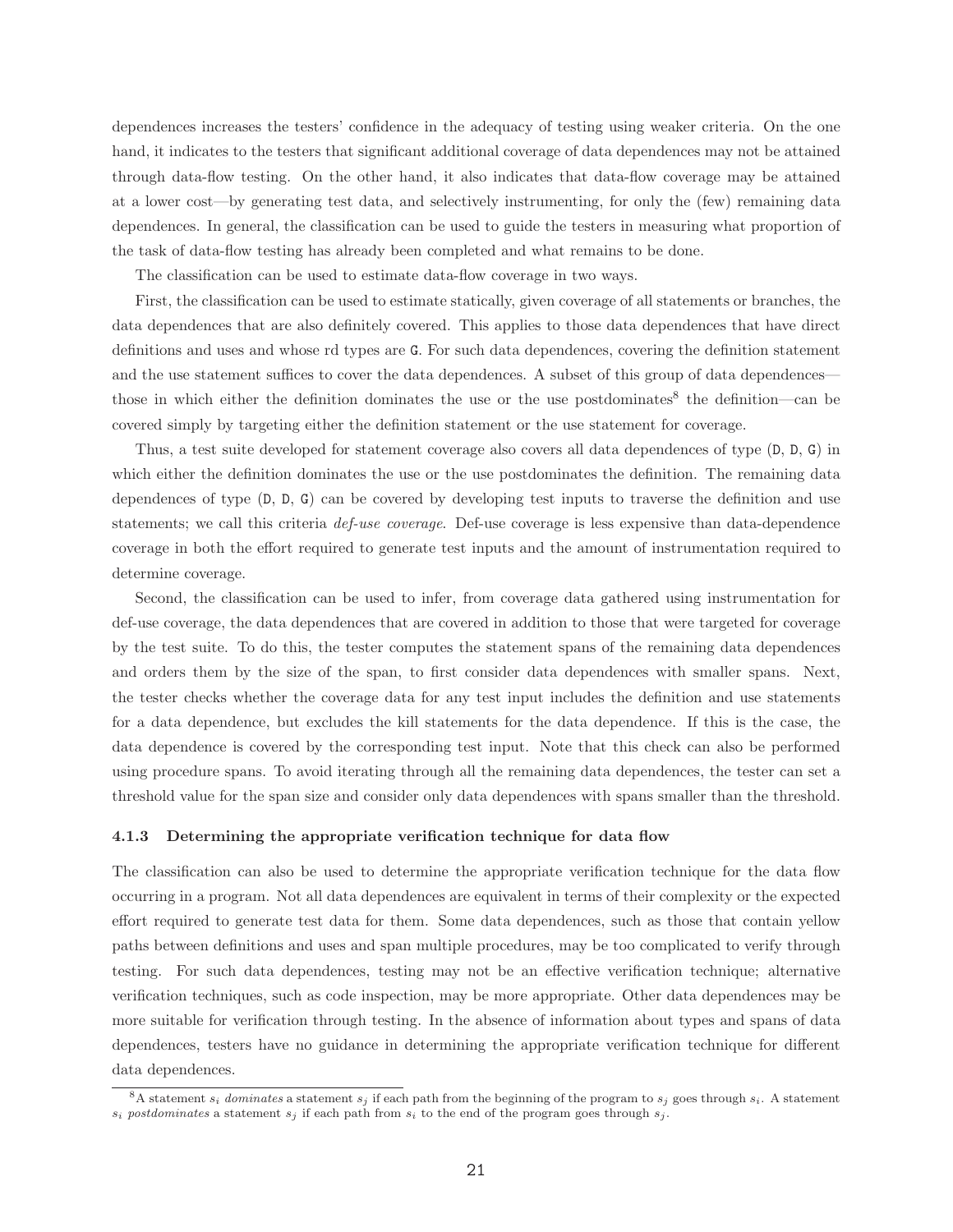dependences increases the testers' confidence in the adequacy of testing using weaker criteria. On the one hand, it indicates to the testers that significant additional coverage of data dependences may not be attained through data-flow testing. On the other hand, it also indicates that data-flow coverage may be attained at a lower cost—by generating test data, and selectively instrumenting, for only the (few) remaining data dependences. In general, the classification can be used to guide the testers in measuring what proportion of the task of data-flow testing has already been completed and what remains to be done.

The classification can be used to estimate data-flow coverage in two ways.

First, the classification can be used to estimate statically, given coverage of all statements or branches, the data dependences that are also definitely covered. This applies to those data dependences that have direct definitions and uses and whose rd types are G. For such data dependences, covering the definition statement and the use statement suffices to cover the data dependences. A subset of this group of data dependences those in which either the definition dominates the use or the use postdominates<sup>8</sup> the definition—can be covered simply by targeting either the definition statement or the use statement for coverage.

Thus, a test suite developed for statement coverage also covers all data dependences of type (D, D, G) in which either the definition dominates the use or the use postdominates the definition. The remaining data dependences of type (D, D, G) can be covered by developing test inputs to traverse the definition and use statements; we call this criteria *def-use coverage*. Def-use coverage is less expensive than data-dependence coverage in both the effort required to generate test inputs and the amount of instrumentation required to determine coverage.

Second, the classification can be used to infer, from coverage data gathered using instrumentation for def-use coverage, the data dependences that are covered in addition to those that were targeted for coverage by the test suite. To do this, the tester computes the statement spans of the remaining data dependences and orders them by the size of the span, to first consider data dependences with smaller spans. Next, the tester checks whether the coverage data for any test input includes the definition and use statements for a data dependence, but excludes the kill statements for the data dependence. If this is the case, the data dependence is covered by the corresponding test input. Note that this check can also be performed using procedure spans. To avoid iterating through all the remaining data dependences, the tester can set a threshold value for the span size and consider only data dependences with spans smaller than the threshold.

### **4.1.3 Determining the appropriate verification technique for data flow**

The classification can also be used to determine the appropriate verification technique for the data flow occurring in a program. Not all data dependences are equivalent in terms of their complexity or the expected effort required to generate test data for them. Some data dependences, such as those that contain yellow paths between definitions and uses and span multiple procedures, may be too complicated to verify through testing. For such data dependences, testing may not be an effective verification technique; alternative verification techniques, such as code inspection, may be more appropriate. Other data dependences may be more suitable for verification through testing. In the absence of information about types and spans of data dependences, testers have no guidance in determining the appropriate verification technique for different data dependences.

<sup>&</sup>lt;sup>8</sup>A statement  $s_i$  dominates a statement  $s_j$  if each path from the beginning of the program to  $s_j$  goes through  $s_i$ . A statement  $s_i$  postdominates a statement  $s_j$  if each path from  $s_i$  to the end of the program goes through  $s_j$ .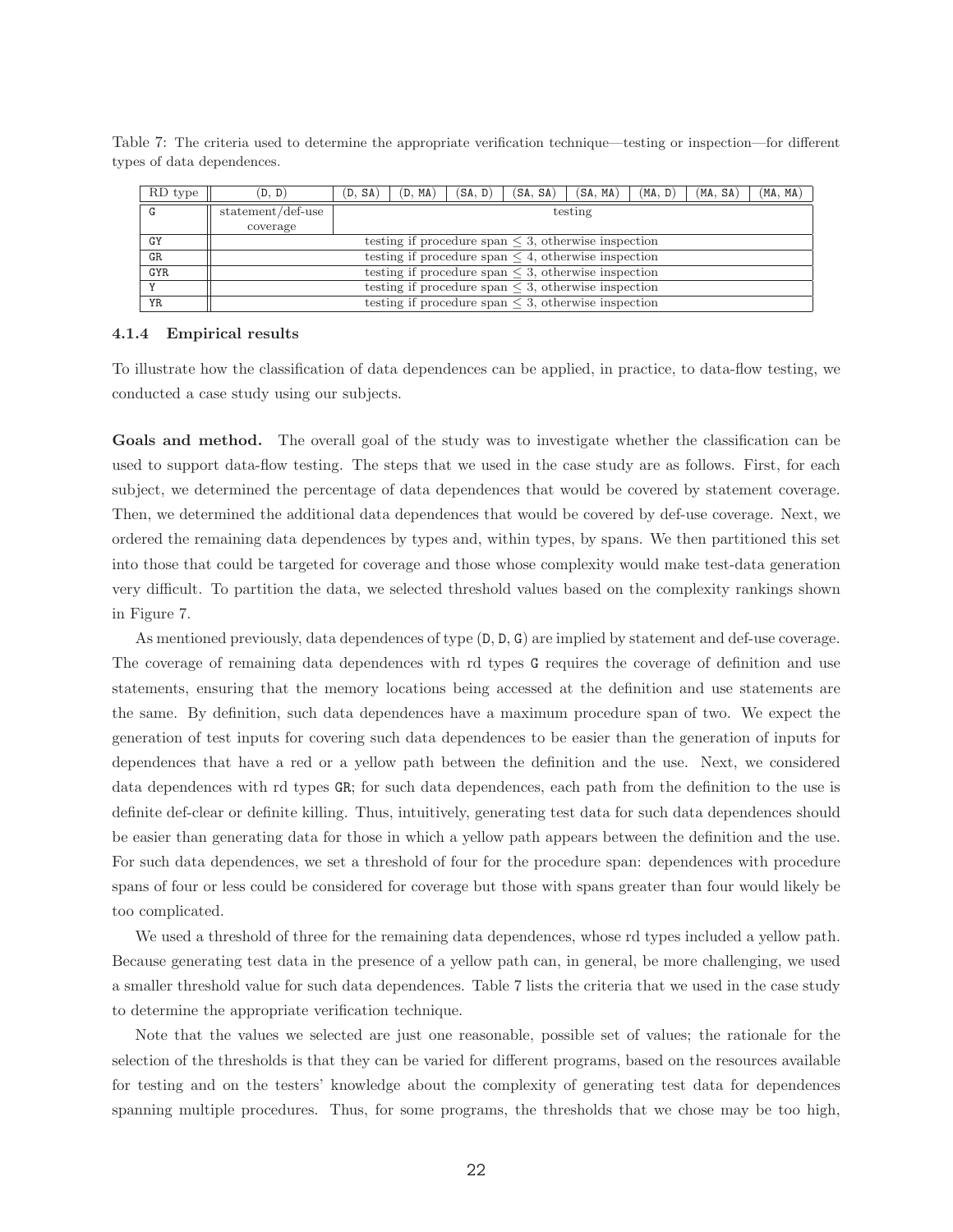Table 7: The criteria used to determine the appropriate verification technique—testing or inspection—for different types of data dependences.

| RD type | (D. D)                       | (SA, MA)<br>(MA, MA)<br>(SA, D)<br>(SA, SA)<br>(MA, D)<br>(MA. SA)<br>(D. MA)<br>D, SA) |  |  |  |  |  |  |  |  |  |  |  |  |
|---------|------------------------------|-----------------------------------------------------------------------------------------|--|--|--|--|--|--|--|--|--|--|--|--|
|         | statement/def-use<br>testing |                                                                                         |  |  |  |  |  |  |  |  |  |  |  |  |
|         | coverage                     |                                                                                         |  |  |  |  |  |  |  |  |  |  |  |  |
| GY      |                              | testing if procedure span $\leq$ 3, otherwise inspection                                |  |  |  |  |  |  |  |  |  |  |  |  |
| GR      |                              | testing if procedure span $\leq 4$ , otherwise inspection                               |  |  |  |  |  |  |  |  |  |  |  |  |
| GYR     |                              | testing if procedure span $\leq$ 3, otherwise inspection                                |  |  |  |  |  |  |  |  |  |  |  |  |
|         |                              | testing if procedure span $\leq$ 3, otherwise inspection                                |  |  |  |  |  |  |  |  |  |  |  |  |
| YR      |                              | testing if procedure span $\leq$ 3, otherwise inspection                                |  |  |  |  |  |  |  |  |  |  |  |  |

#### **4.1.4 Empirical results**

To illustrate how the classification of data dependences can be applied, in practice, to data-flow testing, we conducted a case study using our subjects.

Goals and method. The overall goal of the study was to investigate whether the classification can be used to support data-flow testing. The steps that we used in the case study are as follows. First, for each subject, we determined the percentage of data dependences that would be covered by statement coverage. Then, we determined the additional data dependences that would be covered by def-use coverage. Next, we ordered the remaining data dependences by types and, within types, by spans. We then partitioned this set into those that could be targeted for coverage and those whose complexity would make test-data generation very difficult. To partition the data, we selected threshold values based on the complexity rankings shown in Figure 7.

As mentioned previously, data dependences of type (D, D, G) are implied by statement and def-use coverage. The coverage of remaining data dependences with rd types G requires the coverage of definition and use statements, ensuring that the memory locations being accessed at the definition and use statements are the same. By definition, such data dependences have a maximum procedure span of two. We expect the generation of test inputs for covering such data dependences to be easier than the generation of inputs for dependences that have a red or a yellow path between the definition and the use. Next, we considered data dependences with rd types GR; for such data dependences, each path from the definition to the use is definite def-clear or definite killing. Thus, intuitively, generating test data for such data dependences should be easier than generating data for those in which a yellow path appears between the definition and the use. For such data dependences, we set a threshold of four for the procedure span: dependences with procedure spans of four or less could be considered for coverage but those with spans greater than four would likely be too complicated.

We used a threshold of three for the remaining data dependences, whose rd types included a yellow path. Because generating test data in the presence of a yellow path can, in general, be more challenging, we used a smaller threshold value for such data dependences. Table 7 lists the criteria that we used in the case study to determine the appropriate verification technique.

Note that the values we selected are just one reasonable, possible set of values; the rationale for the selection of the thresholds is that they can be varied for different programs, based on the resources available for testing and on the testers' knowledge about the complexity of generating test data for dependences spanning multiple procedures. Thus, for some programs, the thresholds that we chose may be too high,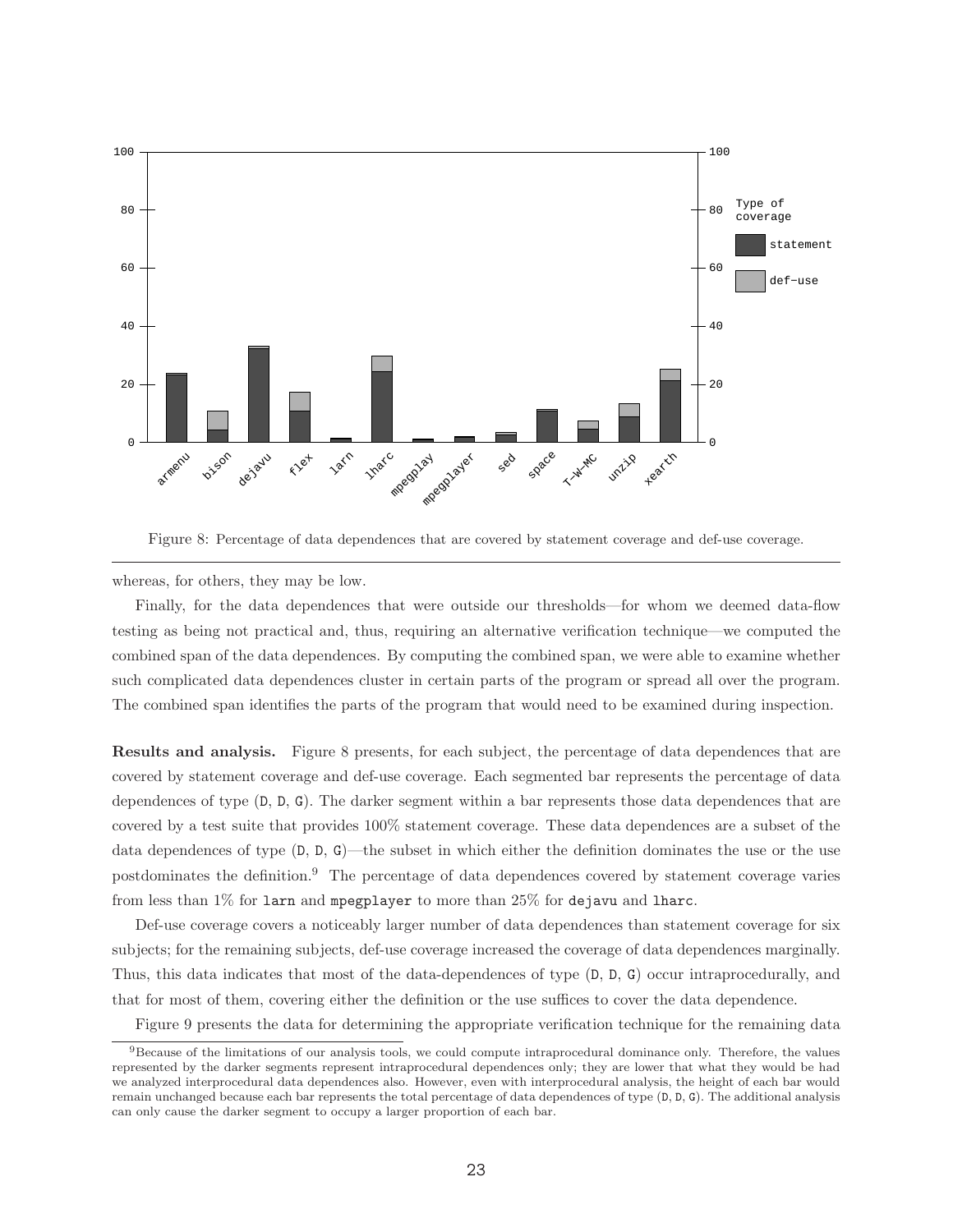

Figure 8: Percentage of data dependences that are covered by statement coverage and def-use coverage.

whereas, for others, they may be low.

Finally, for the data dependences that were outside our thresholds—for whom we deemed data-flow testing as being not practical and, thus, requiring an alternative verification technique—we computed the combined span of the data dependences. By computing the combined span, we were able to examine whether such complicated data dependences cluster in certain parts of the program or spread all over the program. The combined span identifies the parts of the program that would need to be examined during inspection.

**Results and analysis.** Figure 8 presents, for each subject, the percentage of data dependences that are covered by statement coverage and def-use coverage. Each segmented bar represents the percentage of data dependences of type (D, D, G). The darker segment within a bar represents those data dependences that are covered by a test suite that provides 100% statement coverage. These data dependences are a subset of the data dependences of type  $(D, D, G)$ —the subset in which either the definition dominates the use or the use postdominates the definition.<sup>9</sup> The percentage of data dependences covered by statement coverage varies from less than 1% for larn and mpegplayer to more than 25% for dejavu and lharc.

Def-use coverage covers a noticeably larger number of data dependences than statement coverage for six subjects; for the remaining subjects, def-use coverage increased the coverage of data dependences marginally. Thus, this data indicates that most of the data-dependences of type (D, D, G) occur intraprocedurally, and that for most of them, covering either the definition or the use suffices to cover the data dependence.

Figure 9 presents the data for determining the appropriate verification technique for the remaining data

<sup>9</sup>Because of the limitations of our analysis tools, we could compute intraprocedural dominance only. Therefore, the values represented by the darker segments represent intraprocedural dependences only; they are lower that what they would be had we analyzed interprocedural data dependences also. However, even with interprocedural analysis, the height of each bar would remain unchanged because each bar represents the total percentage of data dependences of type (D, D, G). The additional analysis can only cause the darker segment to occupy a larger proportion of each bar.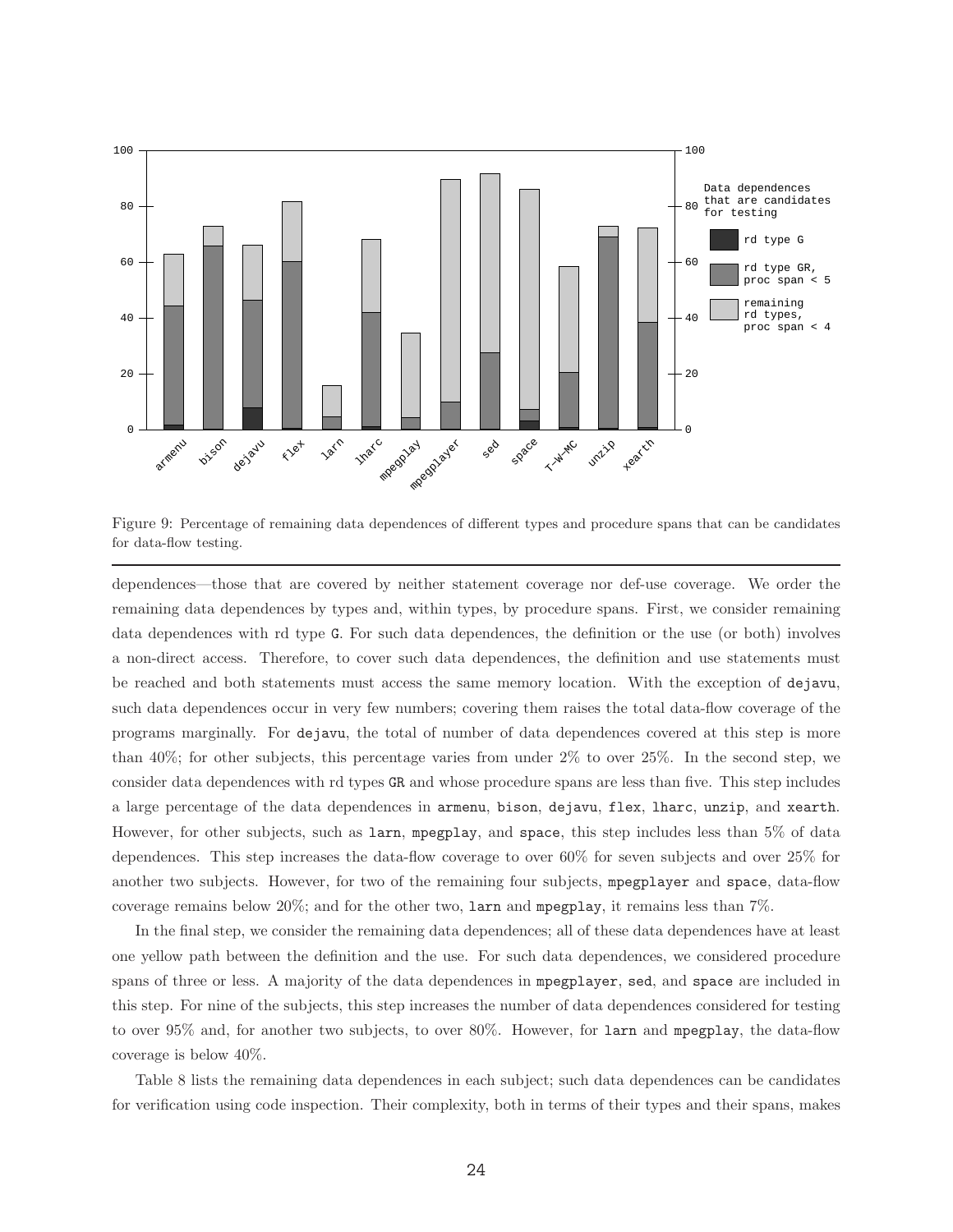

Figure 9: Percentage of remaining data dependences of different types and procedure spans that can be candidates for data-flow testing.

dependences—those that are covered by neither statement coverage nor def-use coverage. We order the remaining data dependences by types and, within types, by procedure spans. First, we consider remaining data dependences with rd type G. For such data dependences, the definition or the use (or both) involves a non-direct access. Therefore, to cover such data dependences, the definition and use statements must be reached and both statements must access the same memory location. With the exception of dejavu, such data dependences occur in very few numbers; covering them raises the total data-flow coverage of the programs marginally. For dejavu, the total of number of data dependences covered at this step is more than 40%; for other subjects, this percentage varies from under 2% to over 25%. In the second step, we consider data dependences with rd types GR and whose procedure spans are less than five. This step includes a large percentage of the data dependences in armenu, bison, dejavu, flex, lharc, unzip, and xearth. However, for other subjects, such as larn, mpegplay, and space, this step includes less than 5% of data dependences. This step increases the data-flow coverage to over 60% for seven subjects and over 25% for another two subjects. However, for two of the remaining four subjects, mpegplayer and space, data-flow coverage remains below 20%; and for the other two, larn and mpegplay, it remains less than 7%.

In the final step, we consider the remaining data dependences; all of these data dependences have at least one yellow path between the definition and the use. For such data dependences, we considered procedure spans of three or less. A majority of the data dependences in mpegplayer, sed, and space are included in this step. For nine of the subjects, this step increases the number of data dependences considered for testing to over 95% and, for another two subjects, to over 80%. However, for larn and mpegplay, the data-flow coverage is below 40%.

Table 8 lists the remaining data dependences in each subject; such data dependences can be candidates for verification using code inspection. Their complexity, both in terms of their types and their spans, makes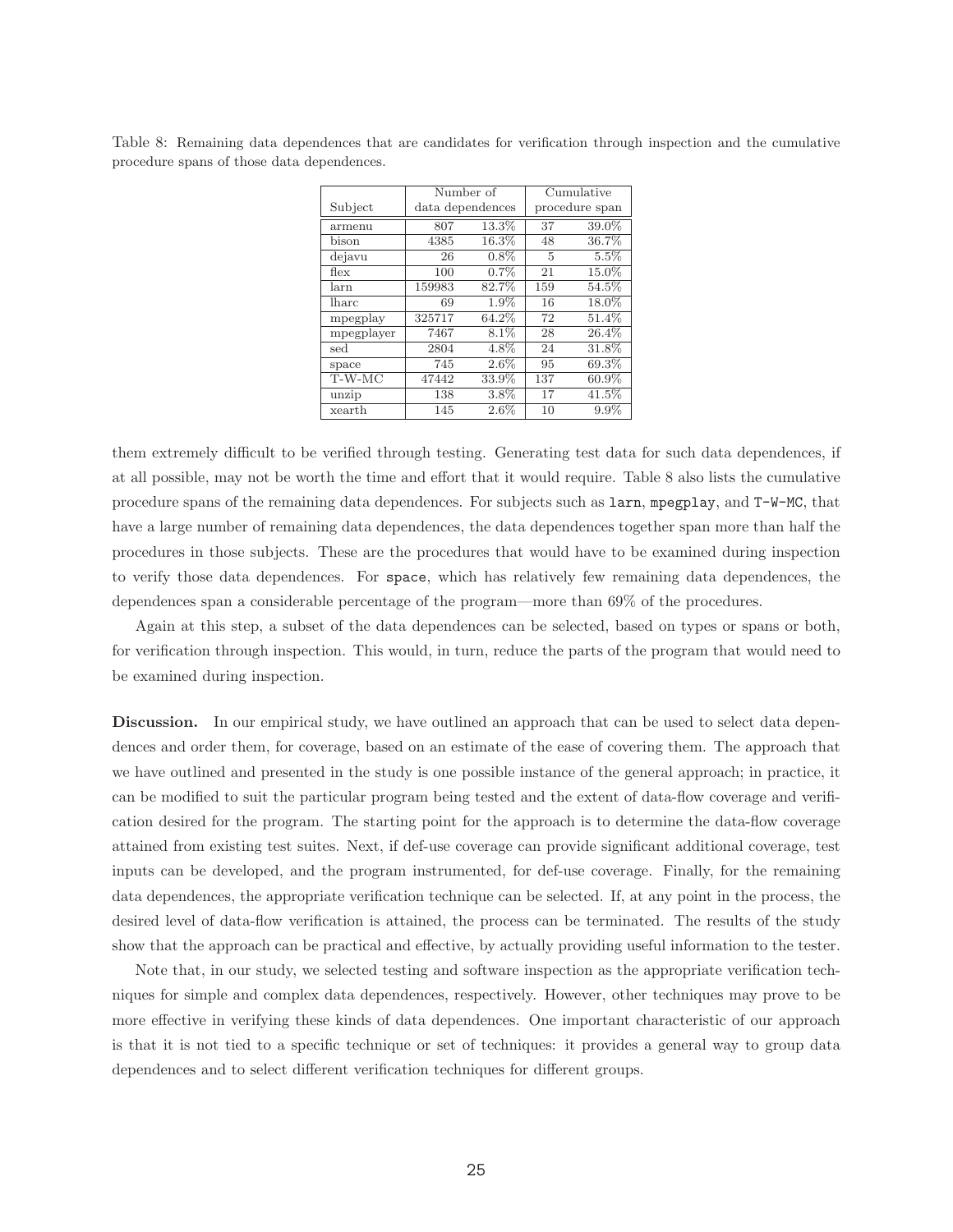Table 8: Remaining data dependences that are candidates for verification through inspection and the cumulative procedure spans of those data dependences.

|            | Number of        |         |                | Cumulative |  |  |
|------------|------------------|---------|----------------|------------|--|--|
| Subject    | data dependences |         | procedure span |            |  |  |
| armenu     | 807              | 13.3%   | 37             | 39.0%      |  |  |
| bison      | 4385             | 16.3%   | 48             | 36.7%      |  |  |
| dejavu     | 26               | $0.8\%$ | 5              | 5.5%       |  |  |
| flex       | 100              | $0.7\%$ | 21             | 15.0%      |  |  |
| larn       | 159983           | 82.7%   | 159            | 54.5%      |  |  |
| lharc      | 69               | $1.9\%$ | 16             | 18.0%      |  |  |
| mpegplay   | 325717           | 64.2%   | 72             | 51.4%      |  |  |
| mpegplayer | 7467             | $8.1\%$ | 28             | 26.4%      |  |  |
| sed        | 2804             | 4.8%    | 24             | 31.8%      |  |  |
| space      | 745              | $2.6\%$ | 95             | 69.3%      |  |  |
| T-W-MC     | 47442            | 33.9%   | 137            | 60.9%      |  |  |
| unzip      | 138              | $3.8\%$ | 17             | 41.5%      |  |  |
| xearth     | 145              | 2.6%    | 10             | $9.9\%$    |  |  |

them extremely difficult to be verified through testing. Generating test data for such data dependences, if at all possible, may not be worth the time and effort that it would require. Table 8 also lists the cumulative procedure spans of the remaining data dependences. For subjects such as larn, mpegplay, and T-W-MC, that have a large number of remaining data dependences, the data dependences together span more than half the procedures in those subjects. These are the procedures that would have to be examined during inspection to verify those data dependences. For space, which has relatively few remaining data dependences, the dependences span a considerable percentage of the program—more than 69% of the procedures.

Again at this step, a subset of the data dependences can be selected, based on types or spans or both, for verification through inspection. This would, in turn, reduce the parts of the program that would need to be examined during inspection.

**Discussion.** In our empirical study, we have outlined an approach that can be used to select data dependences and order them, for coverage, based on an estimate of the ease of covering them. The approach that we have outlined and presented in the study is one possible instance of the general approach; in practice, it can be modified to suit the particular program being tested and the extent of data-flow coverage and verification desired for the program. The starting point for the approach is to determine the data-flow coverage attained from existing test suites. Next, if def-use coverage can provide significant additional coverage, test inputs can be developed, and the program instrumented, for def-use coverage. Finally, for the remaining data dependences, the appropriate verification technique can be selected. If, at any point in the process, the desired level of data-flow verification is attained, the process can be terminated. The results of the study show that the approach can be practical and effective, by actually providing useful information to the tester.

Note that, in our study, we selected testing and software inspection as the appropriate verification techniques for simple and complex data dependences, respectively. However, other techniques may prove to be more effective in verifying these kinds of data dependences. One important characteristic of our approach is that it is not tied to a specific technique or set of techniques: it provides a general way to group data dependences and to select different verification techniques for different groups.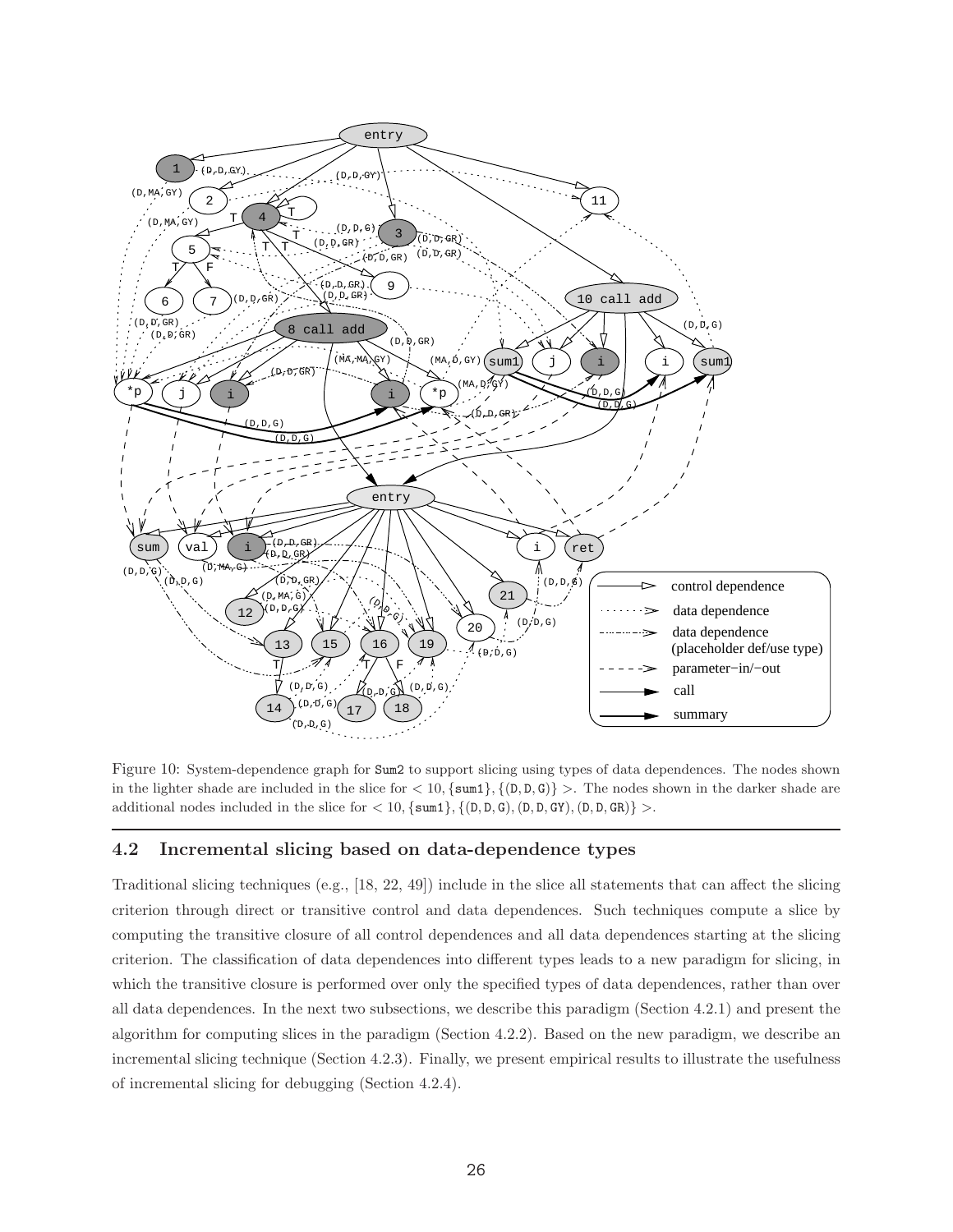

Figure 10: System-dependence graph for Sum2 to support slicing using types of data dependences. The nodes shown in the lighter shade are included in the slice for  $< 10$ ,  $\{\text{sum1}\}, \{(D, D, G)\} > 0$ . The nodes shown in the darker shade are additional nodes included in the slice for  $< 10$ ,  $\{\text{sum1}\}, \{(D, D, G), (D, D, GY), (D, D, GR)\} >$ .

## **4.2 Incremental slicing based on data-dependence types**

Traditional slicing techniques (e.g., [18, 22, 49]) include in the slice all statements that can affect the slicing criterion through direct or transitive control and data dependences. Such techniques compute a slice by computing the transitive closure of all control dependences and all data dependences starting at the slicing criterion. The classification of data dependences into different types leads to a new paradigm for slicing, in which the transitive closure is performed over only the specified types of data dependences, rather than over all data dependences. In the next two subsections, we describe this paradigm (Section 4.2.1) and present the algorithm for computing slices in the paradigm (Section 4.2.2). Based on the new paradigm, we describe an incremental slicing technique (Section 4.2.3). Finally, we present empirical results to illustrate the usefulness of incremental slicing for debugging (Section 4.2.4).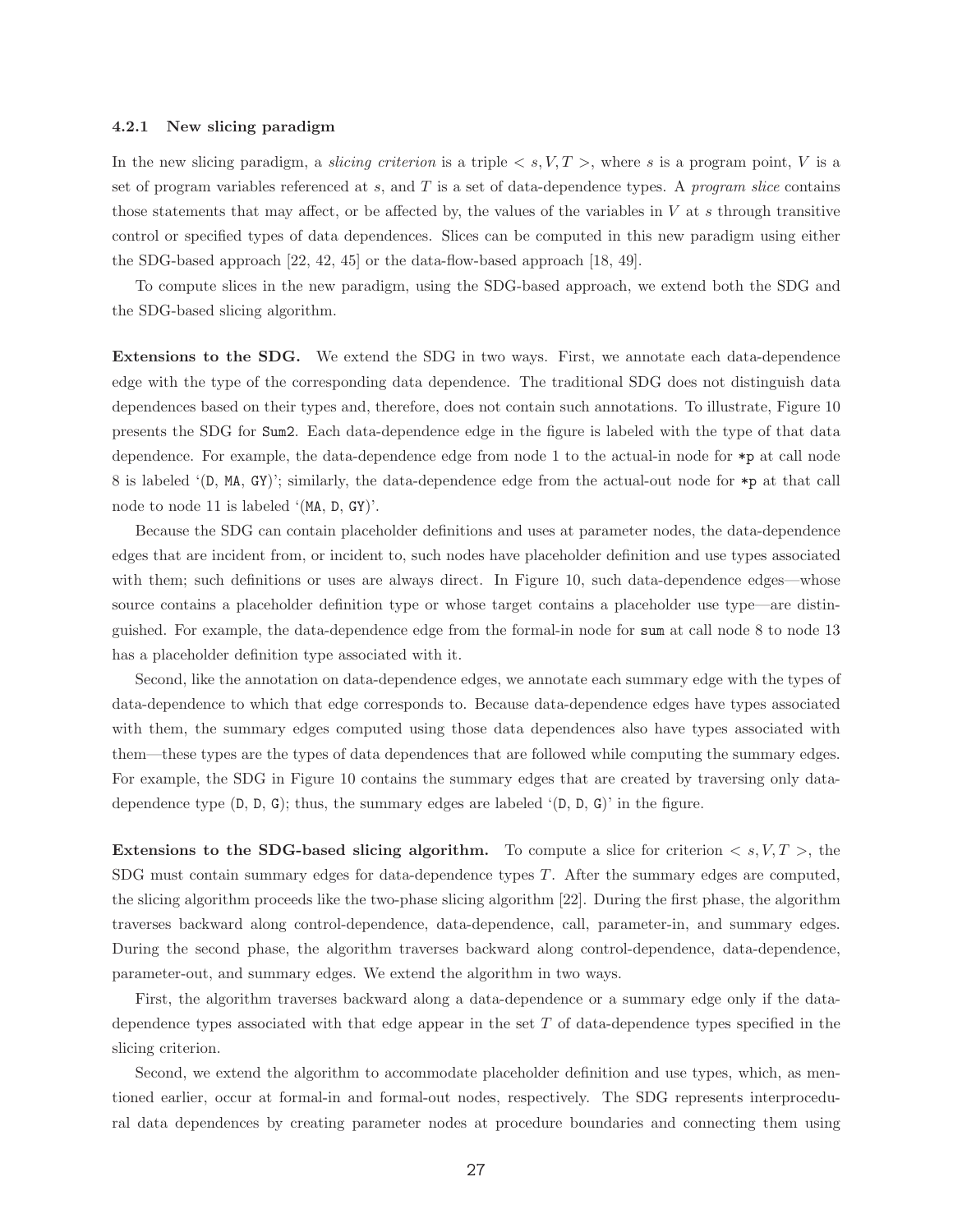## **4.2.1 New slicing paradigm**

In the new slicing paradigm, a *slicing criterion* is a triple  $\lt s, V, T >$ , where s is a program point, V is a set of program variables referenced at s, and T is a set of data-dependence types. A *program slice* contains those statements that may affect, or be affected by, the values of the variables in  $V$  at  $s$  through transitive control or specified types of data dependences. Slices can be computed in this new paradigm using either the SDG-based approach [22, 42, 45] or the data-flow-based approach [18, 49].

To compute slices in the new paradigm, using the SDG-based approach, we extend both the SDG and the SDG-based slicing algorithm.

**Extensions to the SDG.** We extend the SDG in two ways. First, we annotate each data-dependence edge with the type of the corresponding data dependence. The traditional SDG does not distinguish data dependences based on their types and, therefore, does not contain such annotations. To illustrate, Figure 10 presents the SDG for Sum2. Each data-dependence edge in the figure is labeled with the type of that data dependence. For example, the data-dependence edge from node 1 to the actual-in node for \*p at call node 8 is labeled '(D, MA, GY)'; similarly, the data-dependence edge from the actual-out node for \*p at that call node to node 11 is labeled '(MA, D, GY)'.

Because the SDG can contain placeholder definitions and uses at parameter nodes, the data-dependence edges that are incident from, or incident to, such nodes have placeholder definition and use types associated with them; such definitions or uses are always direct. In Figure 10, such data-dependence edges—whose source contains a placeholder definition type or whose target contains a placeholder use type—are distinguished. For example, the data-dependence edge from the formal-in node for sum at call node 8 to node 13 has a placeholder definition type associated with it.

Second, like the annotation on data-dependence edges, we annotate each summary edge with the types of data-dependence to which that edge corresponds to. Because data-dependence edges have types associated with them, the summary edges computed using those data dependences also have types associated with them—these types are the types of data dependences that are followed while computing the summary edges. For example, the SDG in Figure 10 contains the summary edges that are created by traversing only datadependence type  $(D, D, G)$ ; thus, the summary edges are labeled  $(D, D, G)$  in the figure.

**Extensions to the SDG-based slicing algorithm.** To compute a slice for criterion  $\langle s, V, T \rangle$ , the SDG must contain summary edges for data-dependence types T. After the summary edges are computed, the slicing algorithm proceeds like the two-phase slicing algorithm [22]. During the first phase, the algorithm traverses backward along control-dependence, data-dependence, call, parameter-in, and summary edges. During the second phase, the algorithm traverses backward along control-dependence, data-dependence, parameter-out, and summary edges. We extend the algorithm in two ways.

First, the algorithm traverses backward along a data-dependence or a summary edge only if the datadependence types associated with that edge appear in the set T of data-dependence types specified in the slicing criterion.

Second, we extend the algorithm to accommodate placeholder definition and use types, which, as mentioned earlier, occur at formal-in and formal-out nodes, respectively. The SDG represents interprocedural data dependences by creating parameter nodes at procedure boundaries and connecting them using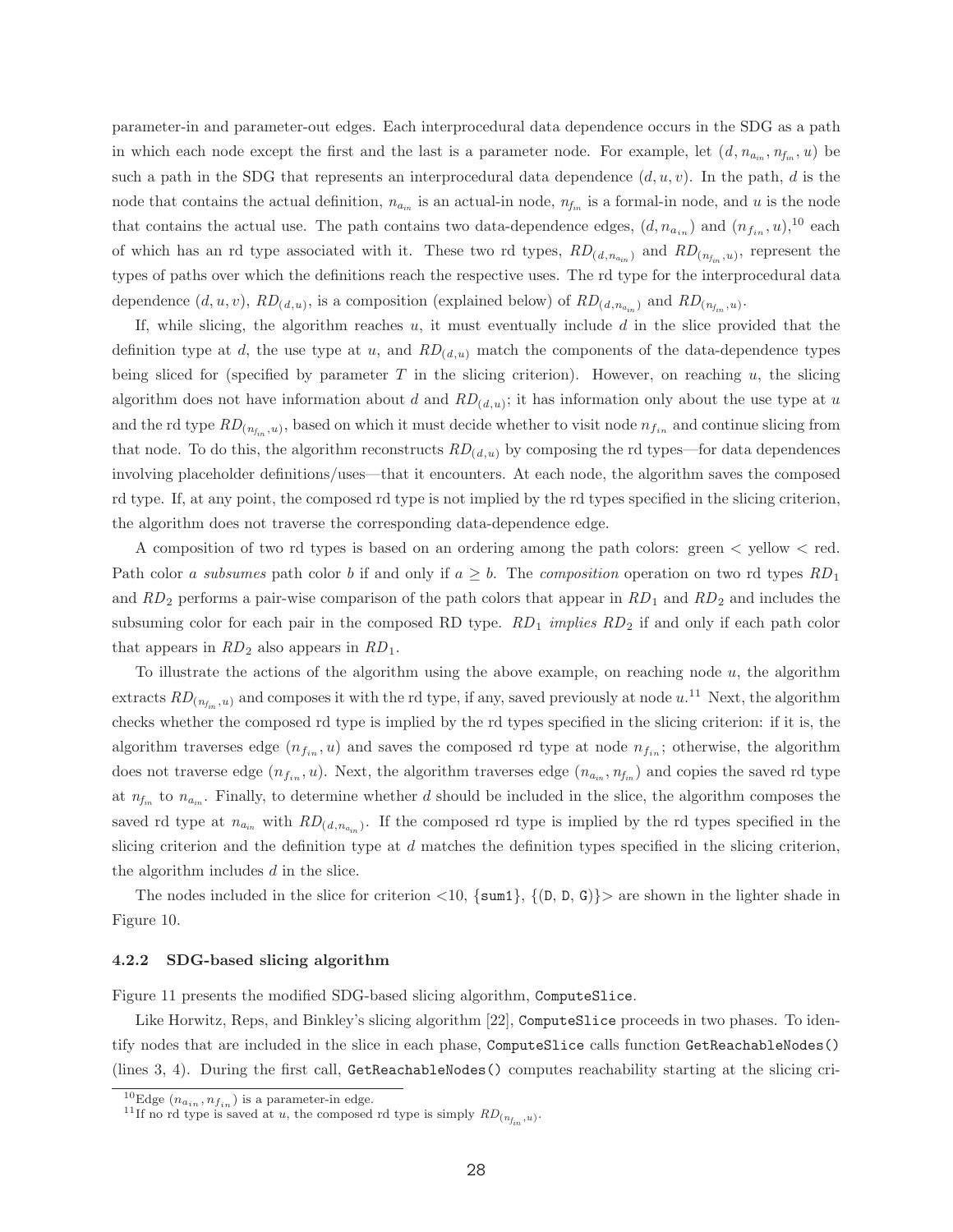parameter-in and parameter-out edges. Each interprocedural data dependence occurs in the SDG as a path in which each node except the first and the last is a parameter node. For example, let  $(d, n_{a_{in}}, n_{f_{in}}, u)$  be such a path in the SDG that represents an interprocedural data dependence  $(d, u, v)$ . In the path, d is the node that contains the actual definition,  $n_{a_{in}}$  is an actual-in node,  $n_{f_{in}}$  is a formal-in node, and u is the node that contains the actual use. The path contains two data-dependence edges,  $(d, n_{a_{in}})$  and  $(n_{f_{in}}, u)$ ,<sup>10</sup> each of which has an rd type associated with it. These two rd types,  $RD_{(d,n_{a_{in}})}$  and  $RD_{(n_{f_{in}},u)}$ , represent the types of paths over which the definitions reach the respective uses. The rd type for the interprocedural data dependence  $(d, u, v)$ ,  $RD_{(d, u)}$ , is a composition (explained below) of  $RD_{(d, n_{a_{i-1}})}$  and  $RD_{(n_{f_{i-1}}, u)}$ .

If, while slicing, the algorithm reaches  $u$ , it must eventually include  $d$  in the slice provided that the definition type at d, the use type at u, and  $RD_{(d,u)}$  match the components of the data-dependence types being sliced for (specified by parameter  $T$  in the slicing criterion). However, on reaching  $u$ , the slicing algorithm does not have information about d and  $RD_{(d,u)}$ ; it has information only about the use type at u and the rd type  $RD_{(n_{f_{in}},u)}$ , based on which it must decide whether to visit node  $n_{f_{in}}$  and continue slicing from that node. To do this, the algorithm reconstructs  $RD_{(d,u)}$  by composing the rd types—for data dependences involving placeholder definitions/uses—that it encounters. At each node, the algorithm saves the composed rd type. If, at any point, the composed rd type is not implied by the rd types specified in the slicing criterion, the algorithm does not traverse the corresponding data-dependence edge.

A composition of two rd types is based on an ordering among the path colors: green < yellow < red. Path color a *subsumes* path color b if and only if  $a \geq b$ . The *composition* operation on two rd types  $RD_1$ and *RD*<sup>2</sup> performs a pair-wise comparison of the path colors that appear in *RD*<sup>1</sup> and *RD*<sup>2</sup> and includes the subsuming color for each pair in the composed RD type.  $RD_1$  *implies RD*<sub>2</sub> if and only if each path color that appears in  $RD_2$  also appears in  $RD_1$ .

To illustrate the actions of the algorithm using the above example, on reaching node  $u$ , the algorithm extracts  $RD_{(n_{f_{in}},u)}$  and composes it with the rd type, if any, saved previously at node  $u^{11}$  Next, the algorithm checks whether the composed rd type is implied by the rd types specified in the slicing criterion: if it is, the algorithm traverses edge  $(n_{f_{in}}, u)$  and saves the composed rd type at node  $n_{f_{in}}$ ; otherwise, the algorithm does not traverse edge  $(n_{fin}, u)$ . Next, the algorithm traverses edge  $(n_{ain}, n_{fin})$  and copies the saved rd type at  $n_{f_{in}}$  to  $n_{a_{in}}$ . Finally, to determine whether d should be included in the slice, the algorithm composes the saved rd type at  $n_{a_{in}}$  with  $RD_{(d,n_{a_{in}})}$ . If the composed rd type is implied by the rd types specified in the slicing criterion and the definition type at  $d$  matches the definition types specified in the slicing criterion, the algorithm includes d in the slice.

The nodes included in the slice for criterion  $\langle 10, \{sum1\}, \{(D, D, G)\}\rangle$  are shown in the lighter shade in Figure 10.

## **4.2.2 SDG-based slicing algorithm**

Figure 11 presents the modified SDG-based slicing algorithm, ComputeSlice.

Like Horwitz, Reps, and Binkley's slicing algorithm [22], ComputeSlice proceeds in two phases. To identify nodes that are included in the slice in each phase, ComputeSlice calls function GetReachableNodes() (lines 3, 4). During the first call, GetReachableNodes() computes reachability starting at the slicing cri-

<sup>&</sup>lt;sup>10</sup>Edge  $(n_{a_{in}}, n_{f_{in}})$  is a parameter-in edge.<br><sup>11</sup>If no rd type is saved at u, the composed rd type is simply  $RD_{(n_{f_{in}},u)}$ .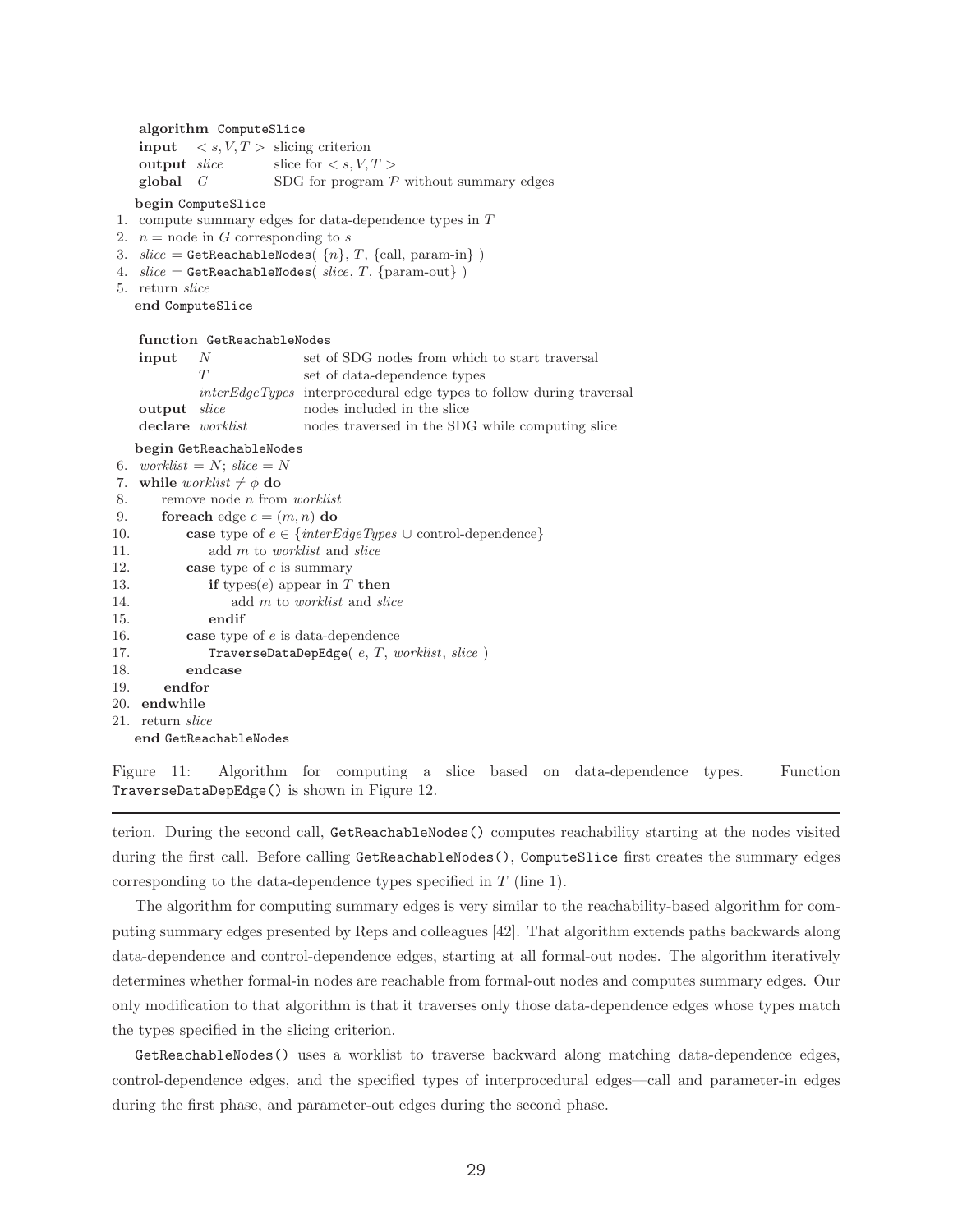**algorithm** ComputeSlice **input**  $\langle s, V, T \rangle$  slicing criterion **output** slice slice for  $\langle s, V, T \rangle$ **global**  $G$  SDG for program  $\mathcal P$  without summary edges **begin** ComputeSlice 1. compute summary edges for data-dependence types in  $T$ 2.  $n =$  node in G corresponding to s 3.  $slice = GetReachableNodes( \{n\}, T, \{call, param-in\} )$ 4.  $slice = GetReachableNodes( slice, T, {param-out})$ 5. return slice **end** ComputeSlice **function** GetReachableNodes **input** N set of SDG nodes from which to start traversal T set of data-dependence types interEdgeTypes interprocedural edge types to follow during traversal **output** slice nodes included in the slice **declare** worklist nodes traversed in the SDG while computing slice **begin** GetReachableNodes 6. worklist =  $N$ ; slice =  $N$ 7. while worklist  $\neq \phi$  do 8. remove node n from worklist 9. **for each** edge  $e = (m, n)$  **do** 10. **case** type of  $e \in \{interEdgeTypes \cup control-dependence\}$ 11. add m to *worklist* and *slice* 12. **case** type of e is summary 13. **if** types(e) appear in T **then** 14. add *m* to *worklist* and *slice* 15. **endif** 16. **case** type of e is data-dependence 17. TraverseDataDepEdge( e, T, worklist, slice) 18. **endcase** 19. **endfor** 20. **endwhile** 21. return slice **end** GetReachableNodes

Figure 11: Algorithm for computing a slice based on data-dependence types. Function TraverseDataDepEdge() is shown in Figure 12.

terion. During the second call, GetReachableNodes() computes reachability starting at the nodes visited during the first call. Before calling GetReachableNodes(), ComputeSlice first creates the summary edges corresponding to the data-dependence types specified in T (line 1).

The algorithm for computing summary edges is very similar to the reachability-based algorithm for computing summary edges presented by Reps and colleagues [42]. That algorithm extends paths backwards along data-dependence and control-dependence edges, starting at all formal-out nodes. The algorithm iteratively determines whether formal-in nodes are reachable from formal-out nodes and computes summary edges. Our only modification to that algorithm is that it traverses only those data-dependence edges whose types match the types specified in the slicing criterion.

GetReachableNodes() uses a worklist to traverse backward along matching data-dependence edges, control-dependence edges, and the specified types of interprocedural edges—call and parameter-in edges during the first phase, and parameter-out edges during the second phase.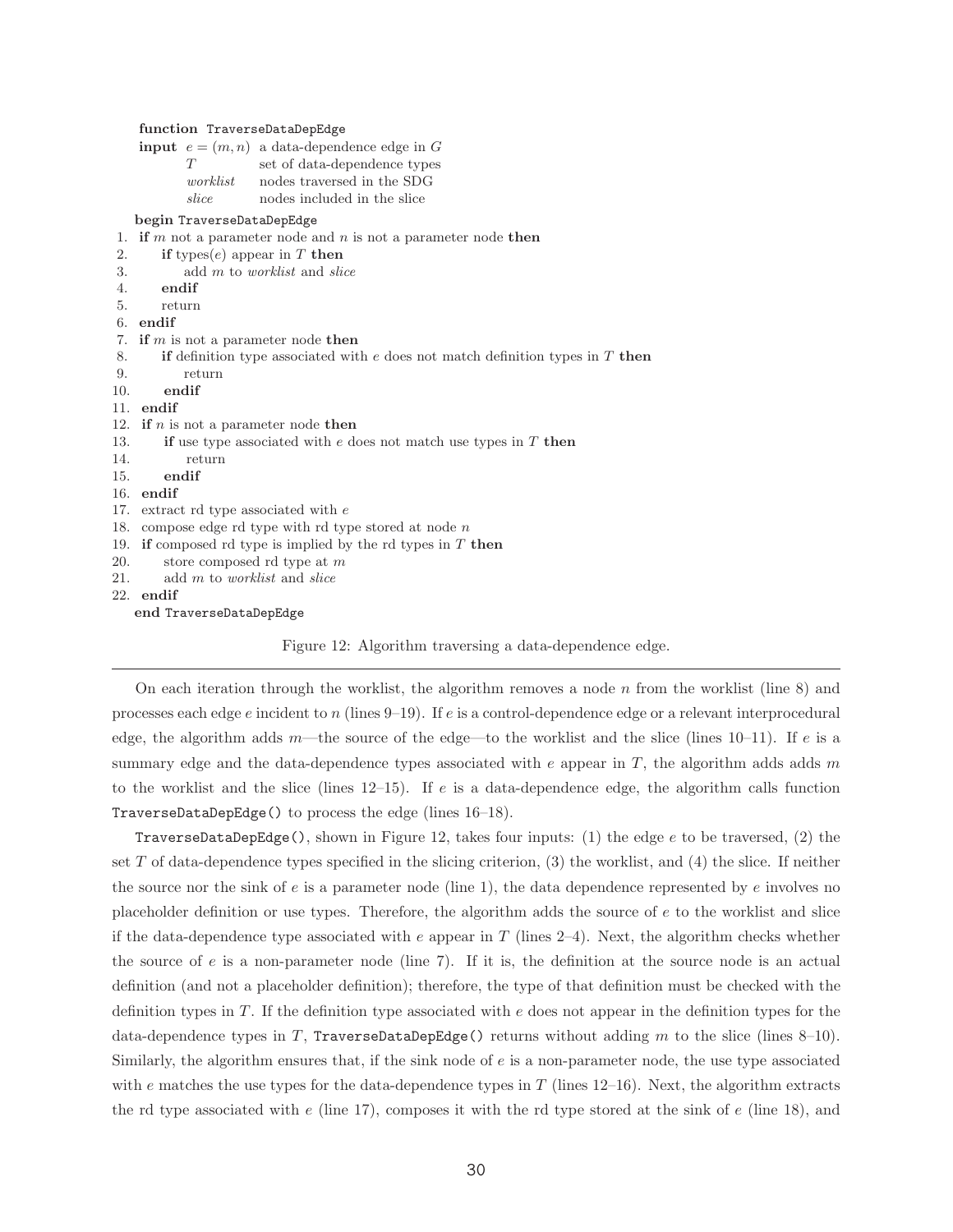#### **function** TraverseDataDepEdge

**input**  $e = (m, n)$  a data-dependence edge in G

T set of data-dependence types

```
worklist nodes traversed in the SDG
```

```
slice nodes included in the slice
```
#### **begin** TraverseDataDepEdge

- 1. **if**  $m$  not a parameter node and  $n$  is not a parameter node **then**
- 2. **if** types(e) appear in T **then**
- 3. add m to worklist and slice
- 4. **endif**
- 5. return
- 6. **endif**
- 7. **if** m is not a parameter node **then**
- 8. **if** definition type associated with e does not match definition types in T **then**
- 9. return
- 10. **endif**

#### 11. **endif**

- 12. **if** n is not a parameter node **then**
- 13. **if** use type associated with e does not match use types in T **then**
- 14. return
- 15. **endif**
- 16. **endif**
- 17. extract rd type associated with e
- 18. compose edge rd type with rd type stored at node  $n$
- 19. **if** composed rd type is implied by the rd types in T **then**
- 20. store composed rd type at m
- 21. add m to worklist and slice
- 22. **endif**
	- **end** TraverseDataDepEdge

### Figure 12: Algorithm traversing a data-dependence edge.

On each iteration through the worklist, the algorithm removes a node  $n$  from the worklist (line 8) and processes each edge  $e$  incident to n (lines 9–19). If  $e$  is a control-dependence edge or a relevant interprocedural edge, the algorithm adds m—the source of the edge—to the worklist and the slice (lines  $10-11$ ). If e is a summary edge and the data-dependence types associated with e appear in  $T$ , the algorithm adds adds  $m$ to the worklist and the slice (lines  $12-15$ ). If e is a data-dependence edge, the algorithm calls function TraverseDataDepEdge() to process the edge (lines 16–18).

TraverseDataDepEdge(), shown in Figure 12, takes four inputs: (1) the edge  $e$  to be traversed, (2) the set T of data-dependence types specified in the slicing criterion, (3) the worklist, and (4) the slice. If neither the source nor the sink of  $e$  is a parameter node (line 1), the data dependence represented by  $e$  involves no placeholder definition or use types. Therefore, the algorithm adds the source of  $e$  to the worklist and slice if the data-dependence type associated with e appear in  $T$  (lines 2–4). Next, the algorithm checks whether the source of  $e$  is a non-parameter node (line 7). If it is, the definition at the source node is an actual definition (and not a placeholder definition); therefore, the type of that definition must be checked with the definition types in  $T$ . If the definition type associated with  $e$  does not appear in the definition types for the data-dependence types in T, TraverseDataDepEdge() returns without adding  $m$  to the slice (lines 8–10). Similarly, the algorithm ensures that, if the sink node of e is a non-parameter node, the use type associated with e matches the use types for the data-dependence types in  $T$  (lines 12–16). Next, the algorithm extracts the rd type associated with  $e$  (line 17), composes it with the rd type stored at the sink of  $e$  (line 18), and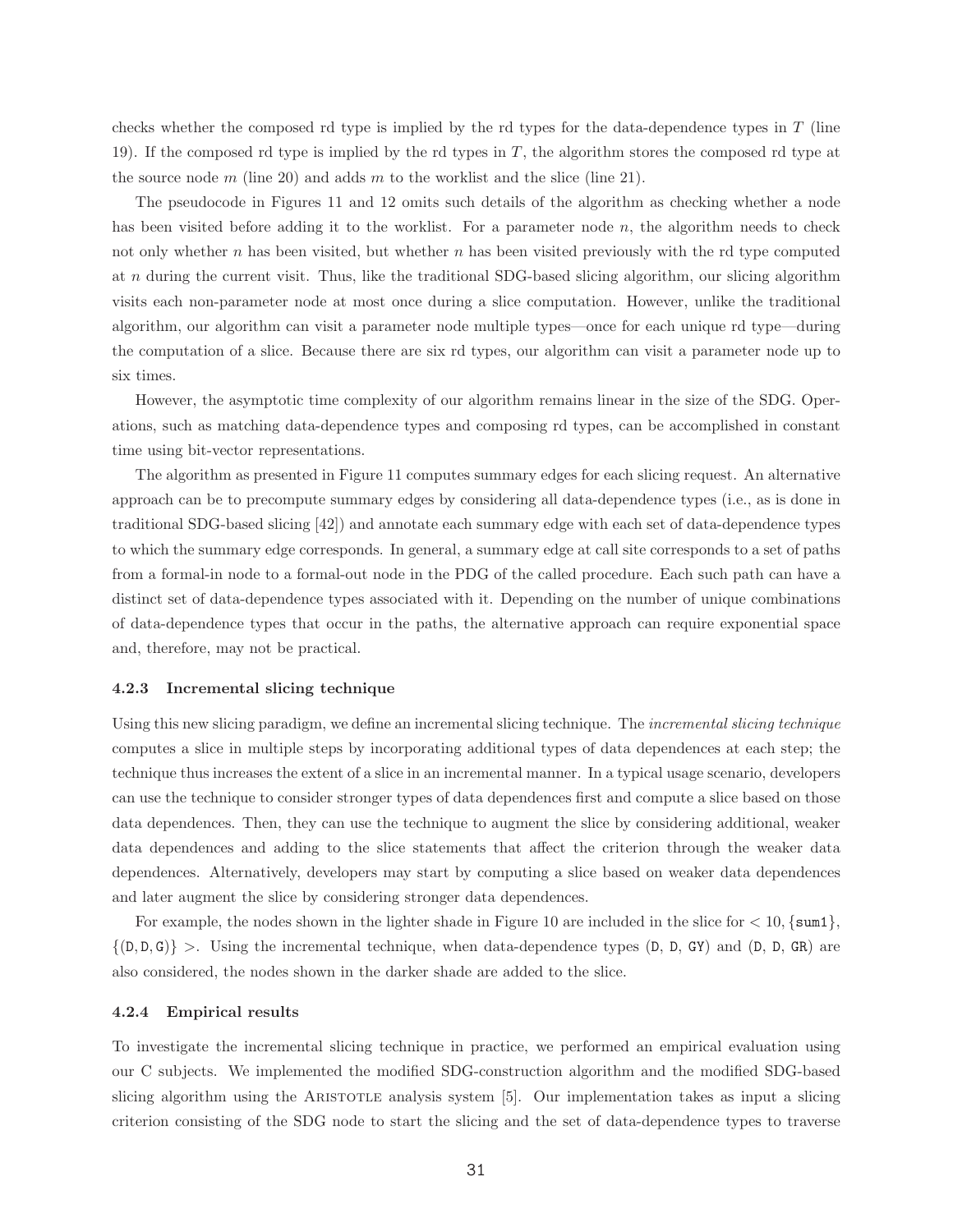checks whether the composed rd type is implied by the rd types for the data-dependence types in  $T$  (line 19). If the composed rd type is implied by the rd types in T, the algorithm stores the composed rd type at the source node  $m$  (line 20) and adds  $m$  to the worklist and the slice (line 21).

The pseudocode in Figures 11 and 12 omits such details of the algorithm as checking whether a node has been visited before adding it to the worklist. For a parameter node  $n$ , the algorithm needs to check not only whether n has been visited, but whether n has been visited previously with the rd type computed at n during the current visit. Thus, like the traditional SDG-based slicing algorithm, our slicing algorithm visits each non-parameter node at most once during a slice computation. However, unlike the traditional algorithm, our algorithm can visit a parameter node multiple types—once for each unique rd type—during the computation of a slice. Because there are six rd types, our algorithm can visit a parameter node up to six times.

However, the asymptotic time complexity of our algorithm remains linear in the size of the SDG. Operations, such as matching data-dependence types and composing rd types, can be accomplished in constant time using bit-vector representations.

The algorithm as presented in Figure 11 computes summary edges for each slicing request. An alternative approach can be to precompute summary edges by considering all data-dependence types (i.e., as is done in traditional SDG-based slicing [42]) and annotate each summary edge with each set of data-dependence types to which the summary edge corresponds. In general, a summary edge at call site corresponds to a set of paths from a formal-in node to a formal-out node in the PDG of the called procedure. Each such path can have a distinct set of data-dependence types associated with it. Depending on the number of unique combinations of data-dependence types that occur in the paths, the alternative approach can require exponential space and, therefore, may not be practical.

#### **4.2.3 Incremental slicing technique**

Using this new slicing paradigm, we define an incremental slicing technique. The *incremental slicing technique* computes a slice in multiple steps by incorporating additional types of data dependences at each step; the technique thus increases the extent of a slice in an incremental manner. In a typical usage scenario, developers can use the technique to consider stronger types of data dependences first and compute a slice based on those data dependences. Then, they can use the technique to augment the slice by considering additional, weaker data dependences and adding to the slice statements that affect the criterion through the weaker data dependences. Alternatively, developers may start by computing a slice based on weaker data dependences and later augment the slice by considering stronger data dependences.

For example, the nodes shown in the lighter shade in Figure 10 are included in the slice for  $\langle 10, \{\text{sum1}\},\}$  $\{(D, D, G)\}\geq$ . Using the incremental technique, when data-dependence types  $(D, D, GY)$  and  $(D, D, GR)$  are also considered, the nodes shown in the darker shade are added to the slice.

#### **4.2.4 Empirical results**

To investigate the incremental slicing technique in practice, we performed an empirical evaluation using our C subjects. We implemented the modified SDG-construction algorithm and the modified SDG-based slicing algorithm using the ARISTOTLE analysis system [5]. Our implementation takes as input a slicing criterion consisting of the SDG node to start the slicing and the set of data-dependence types to traverse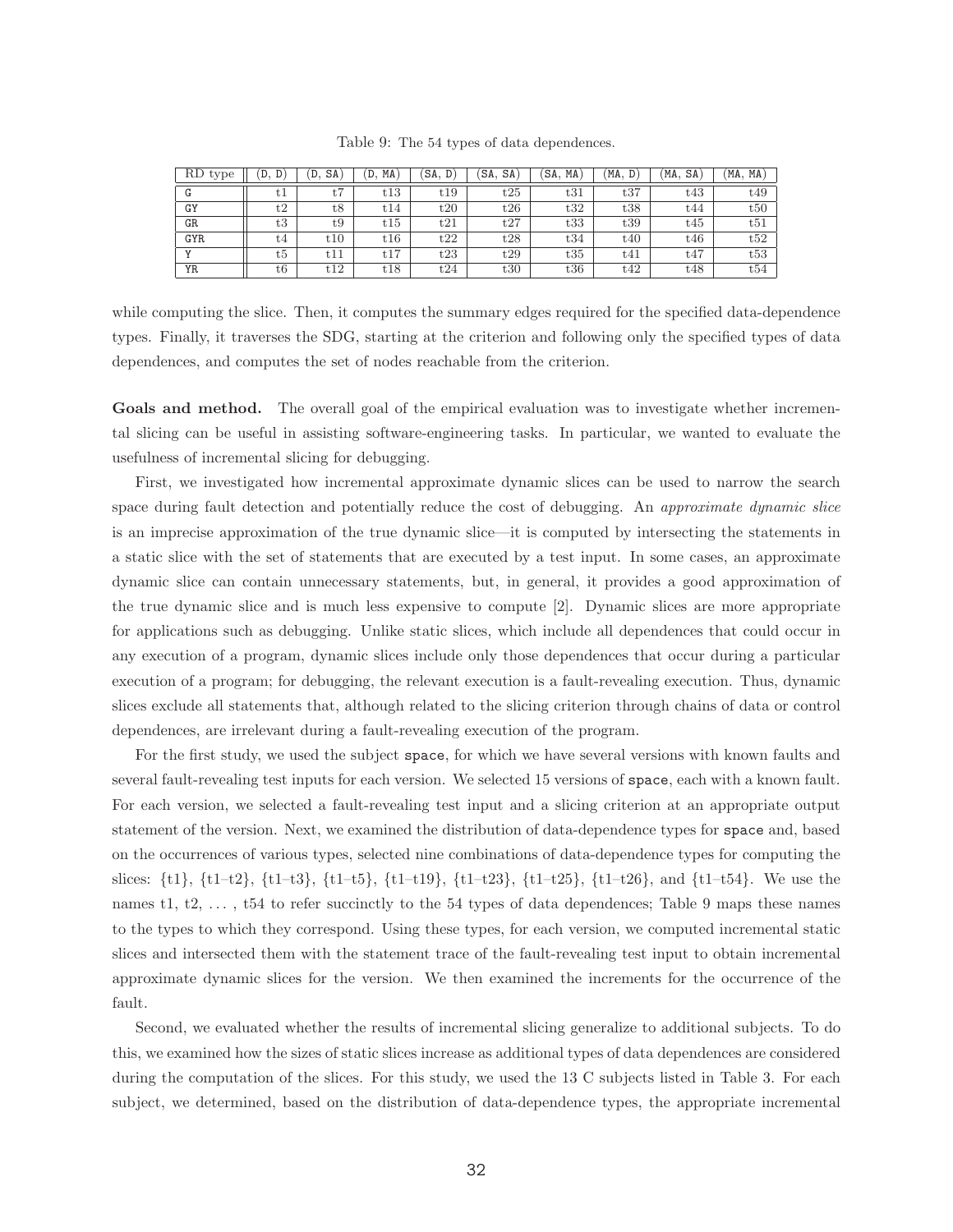| RD type    | D.<br>D | D.<br><b>SA</b> | D<br>MA <sup></sup> | 'SA,<br>D | SA.<br>SA | ΄SΑ.<br>MA <sup></sup> | MA.<br>D | (MA,<br>SA | (MA,<br>MA |
|------------|---------|-----------------|---------------------|-----------|-----------|------------------------|----------|------------|------------|
| G          | t1      | t7              | t13                 | t19       | t25       | t31                    | t37      | t43        | t49        |
| GY         | t2      | t8              | t14                 | t20       | t26       | t32                    | t38      | t44        | t50        |
| GR.        | t3      | t9              | t15                 | t21       | t27       | t33                    | t39      | t45        | t51        |
| <b>GYR</b> | t4      | t10             | t16                 | t22       | t28       | t34                    | t40      | t46        | t52        |
|            | t5      | t11             | t17                 | t23       | t29       | t35                    | t41      | t47        | t53        |
| YR.        | t6      | t 12            | t18                 | t24       | t30       | t36                    | t42      | t48        | t54        |

Table 9: The 54 types of data dependences.

while computing the slice. Then, it computes the summary edges required for the specified data-dependence types. Finally, it traverses the SDG, starting at the criterion and following only the specified types of data dependences, and computes the set of nodes reachable from the criterion.

Goals and method. The overall goal of the empirical evaluation was to investigate whether incremental slicing can be useful in assisting software-engineering tasks. In particular, we wanted to evaluate the usefulness of incremental slicing for debugging.

First, we investigated how incremental approximate dynamic slices can be used to narrow the search space during fault detection and potentially reduce the cost of debugging. An *approximate dynamic slice* is an imprecise approximation of the true dynamic slice—it is computed by intersecting the statements in a static slice with the set of statements that are executed by a test input. In some cases, an approximate dynamic slice can contain unnecessary statements, but, in general, it provides a good approximation of the true dynamic slice and is much less expensive to compute [2]. Dynamic slices are more appropriate for applications such as debugging. Unlike static slices, which include all dependences that could occur in any execution of a program, dynamic slices include only those dependences that occur during a particular execution of a program; for debugging, the relevant execution is a fault-revealing execution. Thus, dynamic slices exclude all statements that, although related to the slicing criterion through chains of data or control dependences, are irrelevant during a fault-revealing execution of the program.

For the first study, we used the subject space, for which we have several versions with known faults and several fault-revealing test inputs for each version. We selected 15 versions of space, each with a known fault. For each version, we selected a fault-revealing test input and a slicing criterion at an appropriate output statement of the version. Next, we examined the distribution of data-dependence types for space and, based on the occurrences of various types, selected nine combinations of data-dependence types for computing the slices:  $\{t1\}$ ,  $\{t1-t2\}$ ,  $\{t1-t3\}$ ,  $\{t1-t5\}$ ,  $\{t1-t19\}$ ,  $\{t1-t23\}$ ,  $\{t1-t25\}$ ,  $\{t1-t26\}$ , and  $\{t1-t54\}$ . We use the names t1, t2, ... , t54 to refer succinctly to the 54 types of data dependences; Table 9 maps these names to the types to which they correspond. Using these types, for each version, we computed incremental static slices and intersected them with the statement trace of the fault-revealing test input to obtain incremental approximate dynamic slices for the version. We then examined the increments for the occurrence of the fault.

Second, we evaluated whether the results of incremental slicing generalize to additional subjects. To do this, we examined how the sizes of static slices increase as additional types of data dependences are considered during the computation of the slices. For this study, we used the 13 C subjects listed in Table 3. For each subject, we determined, based on the distribution of data-dependence types, the appropriate incremental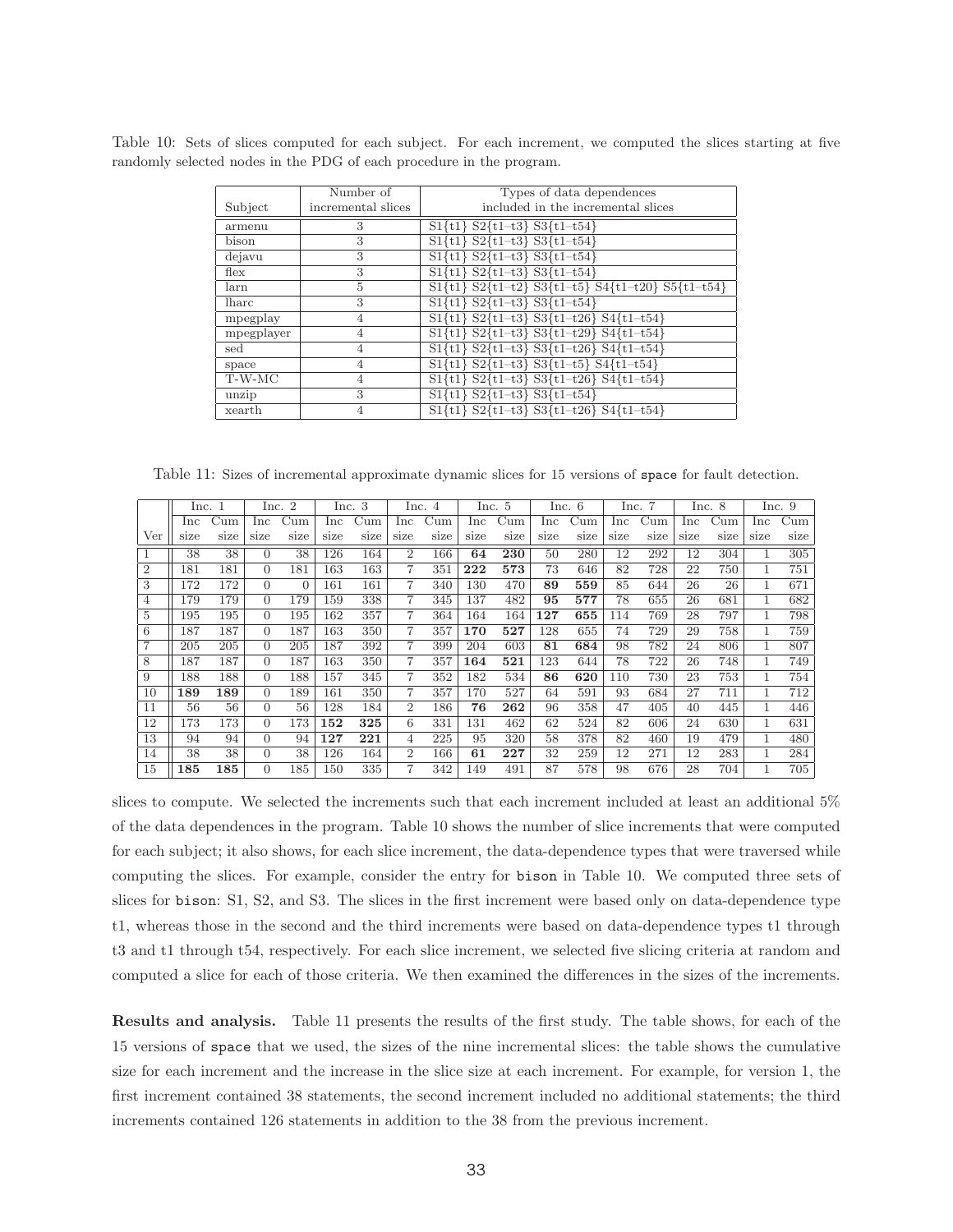Table 10: Sets of slices computed for each subject. For each increment, we computed the slices starting at five randomly selected nodes in the PDG of each procedure in the program.

|              | Number of          | Types of data dependences                                    |
|--------------|--------------------|--------------------------------------------------------------|
| Subject      | incremental slices | included in the incremental slices                           |
| armenu       | 3                  | $S1\{t1\} S2\{t1-t3\} S3\{t1-t54\}$                          |
| bison        | 3                  | $S1\{t1\} S2\{t1-t3\} S3\{t1-t54\}$                          |
| dejavu       | 3                  | $S1\{t1\} S2\{t1-t3\} S3\{t1-t54\}$                          |
| flex         | 3                  | $S1\{t1\} S2\{t1-t3\} S3\{t1-t54\}$                          |
| larn         | 5                  | $S1\{t1\} S2\{t1-t2\} S3\{t1-t5\} S4\{t1-t20\} S5\{t1-t54\}$ |
| <i>lharc</i> | 3                  | $S1\{t1\} S2\{t1-t3\} S3\{t1-t54\}$                          |
| mpegplay     | $\overline{4}$     | $S1\{t1\} S2\{t1-t3\} S3\{t1-t26\} S4\{t1-t54\}$             |
| mpegplayer   | $\overline{4}$     | $S1\{t1\} S2\{t1-t3\} S3\{t1-t29\} S4\{t1-t54\}$             |
| sed          | $\overline{4}$     | $S1\{t1\} S2\overline{\{t1-t3\} S3\{t1-t26\} S4\{t1-t54\}}$  |
| space        | 4                  | $S1\{t1\} S2\{t1-t3\} S3\{t1-t5\} S4\{t1-t54\}$              |
| T-W-MC       | 4                  | $S1\{t1\} S2\{t1-t3\} S3\{t1-t26\} S4\{t1-t54\}$             |
| unzip        | 3                  | $S1\{t1\} S2\{t1-t3\} S3\{t1-t54\}$                          |
| xearth       | 4                  | $S1\{t1\} S2\{t1-t3\} S3\{t1-t26\} S4\{t1-t54\}$             |

Table 11: Sizes of incremental approximate dynamic slices for 15 versions of space for fault detection.

|                | Inc.       |      | Inc.     | $\overline{2}$ | Inc. | 3    | Inc.           |      | Inc. | 5    | Inc. | 6    | Inc. |      | Inc. | 8               | Inc. $9$ |      |
|----------------|------------|------|----------|----------------|------|------|----------------|------|------|------|------|------|------|------|------|-----------------|----------|------|
|                | <b>Inc</b> | Cum  | Inc      | Cum            | Inc  | Cum  | Inc            | Cum  | Inc  | Cum  | Inc  | Cum  | Inc  | Cum  | Inc  | $_{\text{Cum}}$ | Inc      | Cum  |
| Ver            | size       | size | size     | size           | size | size | size           | size | size | size | size | size | size | size | size | size            | size     | size |
| $\mathbf{1}$   | 38         | 38   | $\Omega$ | 38             | 126  | 164  | $\overline{2}$ | 166  | 64   | 230  | 50   | 280  | 12   | 292  | 12   | 304             |          | 305  |
| $\overline{2}$ | 181        | 181  | $\Omega$ | 181            | 163  | 163  | 7              | 351  | 222  | 573  | 73   | 646  | 82   | 728  | 22   | 750             |          | 751  |
| 3              | 172        | 172  | $\Omega$ | $\Omega$       | 161  | 161  | 7              | 340  | 130  | 470  | 89   | 559  | 85   | 644  | 26   | 26              |          | 671  |
| 4              | 179        | 179  | $\Omega$ | 179            | 159  | 338  | 7              | 345  | 137  | 482  | 95   | 577  | 78   | 655  | 26   | 681             |          | 682  |
| 5              | 195        | 195  | $\Omega$ | 195            | 162  | 357  | 7              | 364  | 164  | 164  | 127  | 655  | 114  | 769  | 28   | 797             |          | 798  |
| 6              | 187        | 187  | $\Omega$ | 187            | 163  | 350  | 7              | 357  | 170  | 527  | 128  | 655  | 74   | 729  | 29   | 758             |          | 759  |
| 7              | 205        | 205  | $\Omega$ | 205            | 187  | 392  | 7              | 399  | 204  | 603  | 81   | 684  | 98   | 782  | 24   | 806             |          | 807  |
| 8              | 187        | 187  | $\Omega$ | 187            | 163  | 350  | 7              | 357  | 164  | 521  | 123  | 644  | 78   | 722  | 26   | 748             |          | 749  |
| 9              | 188        | 188  | $\Omega$ | 188            | 157  | 345  | 7              | 352  | 182  | 534  | 86   | 620  | 110  | 730  | 23   | 753             |          | 754  |
| 10             | 189        | 189  | $\Omega$ | 189            | 161  | 350  | 7              | 357  | 170  | 527  | 64   | 591  | 93   | 684  | 27   | 711             |          | 712  |
| 11             | 56         | 56   | $\Omega$ | 56             | 128  | 184  | 2              | 186  | 76   | 262  | 96   | 358  | 47   | 405  | 40   | 445             |          | 446  |
| 12             | 173        | 173  | $\Omega$ | 173            | 152  | 325  | 6              | 331  | 131  | 462  | 62   | 524  | 82   | 606  | 24   | 630             |          | 631  |
| 13             | 94         | 94   | $\Omega$ | 94             | 127  | 221  | 4              | 225  | 95   | 320  | 58   | 378  | 82   | 460  | 19   | 479             |          | 480  |
| 14             | 38         | 38   | $\Omega$ | 38             | 126  | 164  | $\overline{2}$ | 166  | 61   | 227  | 32   | 259  | 12   | 271  | 12   | 283             |          | 284  |
| 15             | 185        | 185  | $\Omega$ | 185            | 150  | 335  | $\overline{7}$ | 342  | 149  | 491  | 87   | 578  | 98   | 676  | 28   | 704             |          | 705  |

slices to compute. We selected the increments such that each increment included at least an additional  $5\%$ of the data dependences in the program. Table 10 shows the number of slice increments that were computed for each subject; it also shows, for each slice increment, the data-dependence types that were traversed while computing the slices. For example, consider the entry for bison in Table 10. We computed three sets of slices for bison: S1, S2, and S3. The slices in the first increment were based only on data-dependence type t1, whereas those in the second and the third increments were based on data-dependence types t1 through t3 and t1 through t54, respectively. For each slice increment, we selected five slicing criteria at random and computed a slice for each of those criteria. We then examined the differences in the sizes of the increments.

**Results and analysis.** Table 11 presents the results of the first study. The table shows, for each of the 15 versions of space that we used, the sizes of the nine incremental slices: the table shows the cumulative size for each increment and the increase in the slice size at each increment. For example, for version 1, the first increment contained 38 statements, the second increment included no additional statements; the third increments contained 126 statements in addition to the 38 from the previous increment.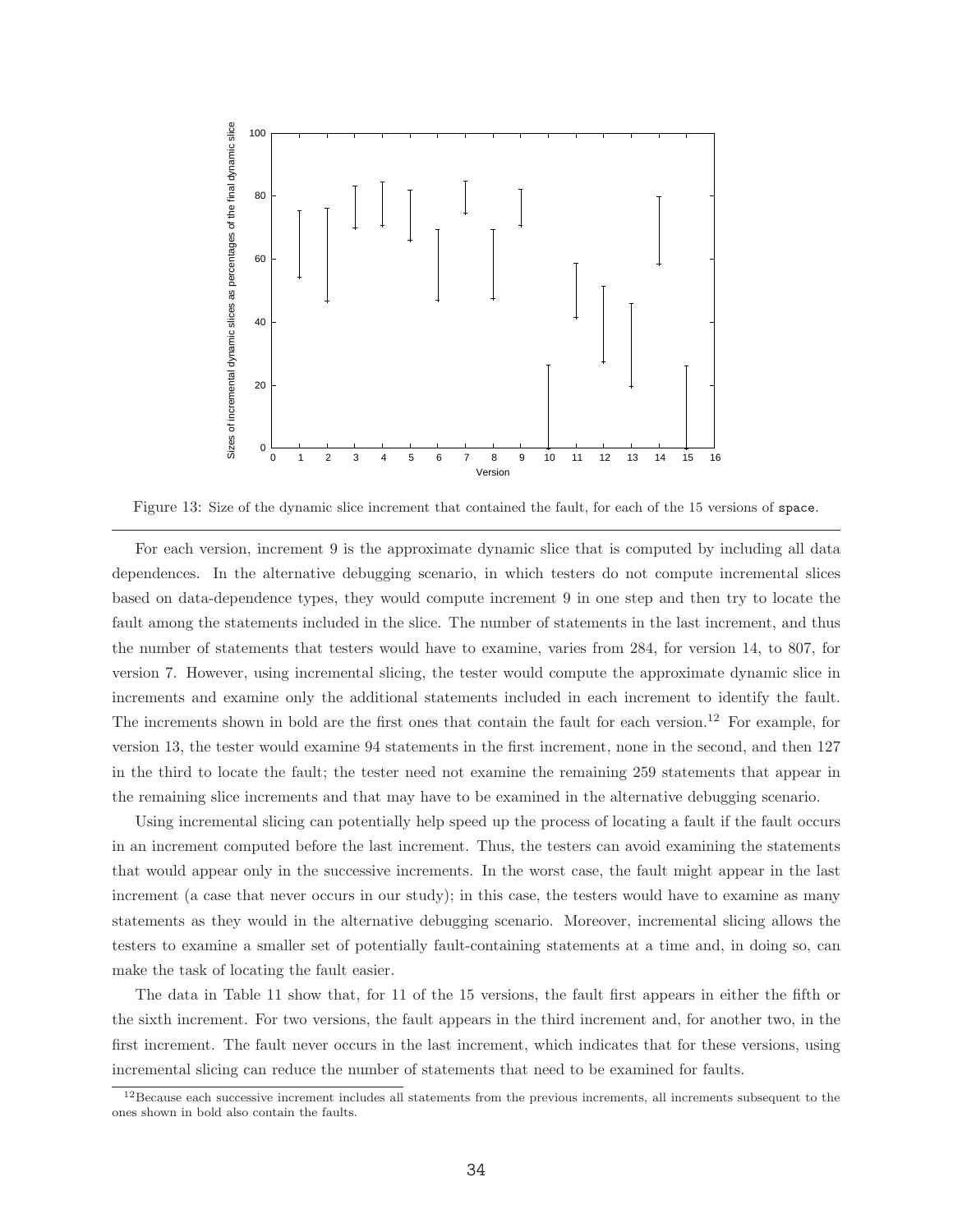

Figure 13: Size of the dynamic slice increment that contained the fault, for each of the 15 versions of space.

For each version, increment 9 is the approximate dynamic slice that is computed by including all data dependences. In the alternative debugging scenario, in which testers do not compute incremental slices based on data-dependence types, they would compute increment 9 in one step and then try to locate the fault among the statements included in the slice. The number of statements in the last increment, and thus the number of statements that testers would have to examine, varies from 284, for version 14, to 807, for version 7. However, using incremental slicing, the tester would compute the approximate dynamic slice in increments and examine only the additional statements included in each increment to identify the fault. The increments shown in bold are the first ones that contain the fault for each version.<sup>12</sup> For example, for version 13, the tester would examine 94 statements in the first increment, none in the second, and then 127 in the third to locate the fault; the tester need not examine the remaining 259 statements that appear in the remaining slice increments and that may have to be examined in the alternative debugging scenario.

Using incremental slicing can potentially help speed up the process of locating a fault if the fault occurs in an increment computed before the last increment. Thus, the testers can avoid examining the statements that would appear only in the successive increments. In the worst case, the fault might appear in the last increment (a case that never occurs in our study); in this case, the testers would have to examine as many statements as they would in the alternative debugging scenario. Moreover, incremental slicing allows the testers to examine a smaller set of potentially fault-containing statements at a time and, in doing so, can make the task of locating the fault easier.

The data in Table 11 show that, for 11 of the 15 versions, the fault first appears in either the fifth or the sixth increment. For two versions, the fault appears in the third increment and, for another two, in the first increment. The fault never occurs in the last increment, which indicates that for these versions, using incremental slicing can reduce the number of statements that need to be examined for faults.

 $12$ Because each successive increment includes all statements from the previous increments, all increments subsequent to the ones shown in bold also contain the faults.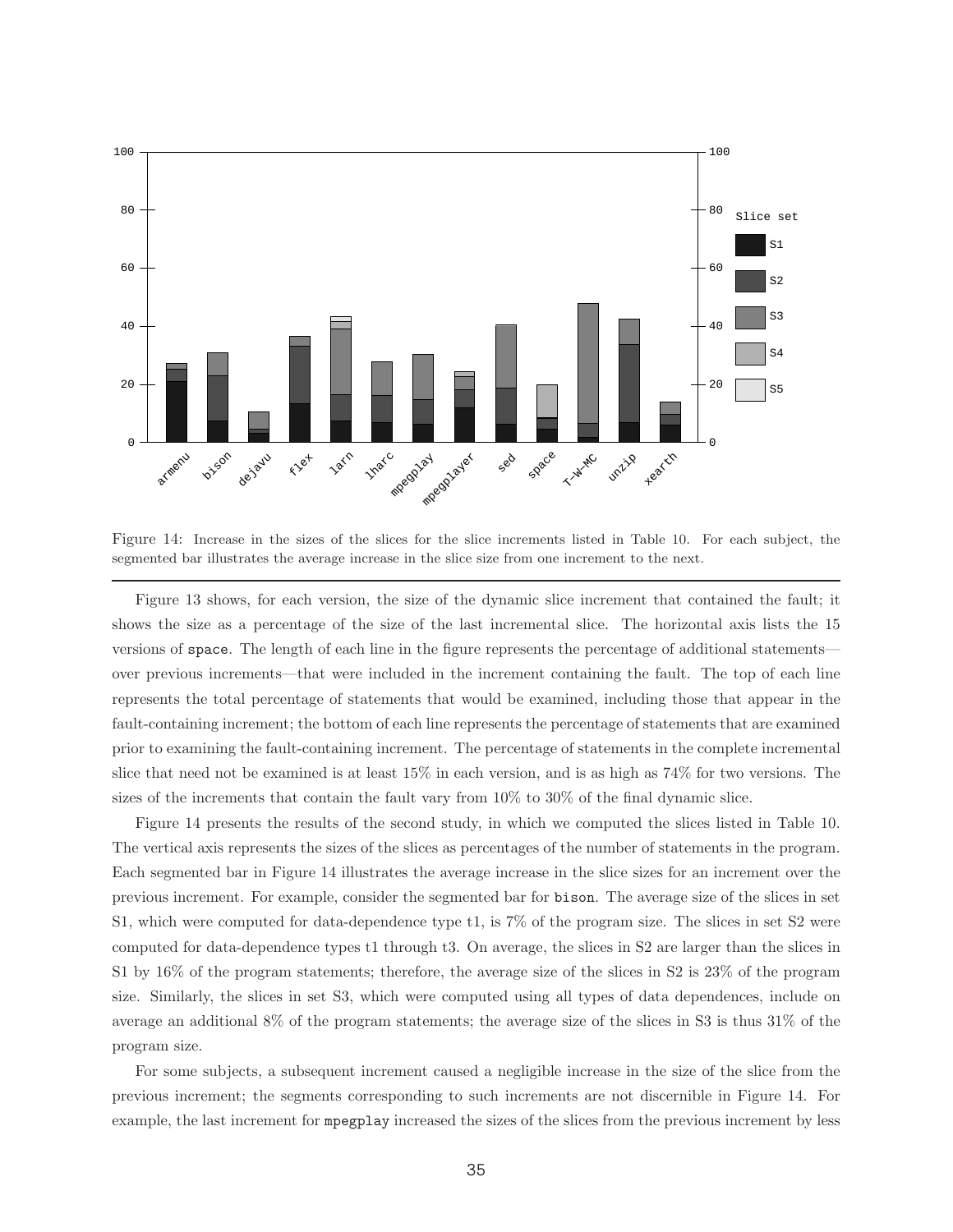

Figure 14: Increase in the sizes of the slices for the slice increments listed in Table 10. For each subject, the segmented bar illustrates the average increase in the slice size from one increment to the next.

Figure 13 shows, for each version, the size of the dynamic slice increment that contained the fault; it shows the size as a percentage of the size of the last incremental slice. The horizontal axis lists the 15 versions of space. The length of each line in the figure represents the percentage of additional statements over previous increments—that were included in the increment containing the fault. The top of each line represents the total percentage of statements that would be examined, including those that appear in the fault-containing increment; the bottom of each line represents the percentage of statements that are examined prior to examining the fault-containing increment. The percentage of statements in the complete incremental slice that need not be examined is at least 15% in each version, and is as high as 74% for two versions. The sizes of the increments that contain the fault vary from  $10\%$  to  $30\%$  of the final dynamic slice.

Figure 14 presents the results of the second study, in which we computed the slices listed in Table 10. The vertical axis represents the sizes of the slices as percentages of the number of statements in the program. Each segmented bar in Figure 14 illustrates the average increase in the slice sizes for an increment over the previous increment. For example, consider the segmented bar for bison. The average size of the slices in set S1, which were computed for data-dependence type t1, is 7% of the program size. The slices in set S2 were computed for data-dependence types t1 through t3. On average, the slices in S2 are larger than the slices in S1 by 16% of the program statements; therefore, the average size of the slices in S2 is 23% of the program size. Similarly, the slices in set S3, which were computed using all types of data dependences, include on average an additional 8% of the program statements; the average size of the slices in S3 is thus 31% of the program size.

For some subjects, a subsequent increment caused a negligible increase in the size of the slice from the previous increment; the segments corresponding to such increments are not discernible in Figure 14. For example, the last increment for mpegplay increased the sizes of the slices from the previous increment by less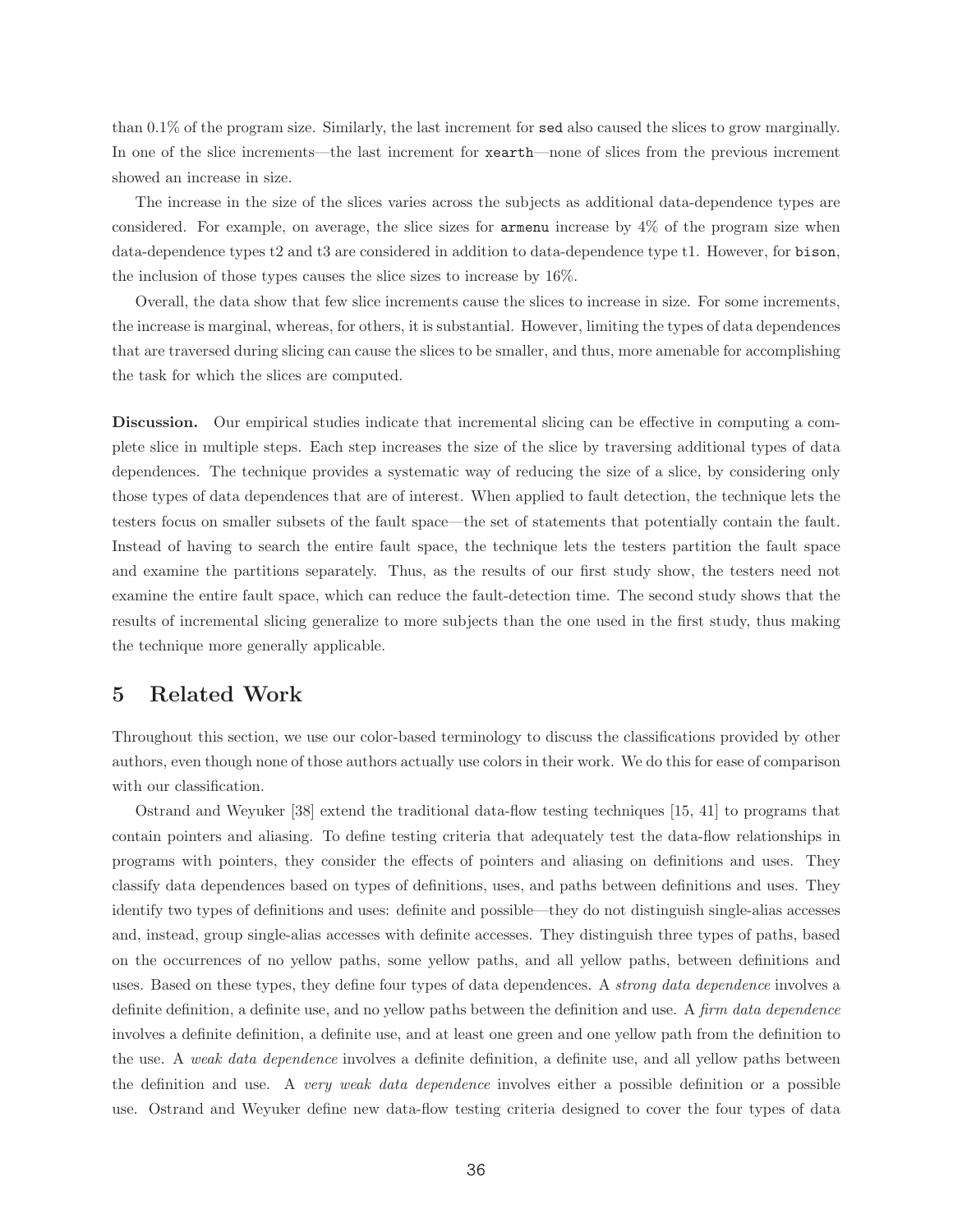than 0.1% of the program size. Similarly, the last increment for sed also caused the slices to grow marginally. In one of the slice increments—the last increment for xearth—none of slices from the previous increment showed an increase in size.

The increase in the size of the slices varies across the subjects as additional data-dependence types are considered. For example, on average, the slice sizes for armenu increase by 4% of the program size when data-dependence types t2 and t3 are considered in addition to data-dependence type t1. However, for bison, the inclusion of those types causes the slice sizes to increase by 16%.

Overall, the data show that few slice increments cause the slices to increase in size. For some increments, the increase is marginal, whereas, for others, it is substantial. However, limiting the types of data dependences that are traversed during slicing can cause the slices to be smaller, and thus, more amenable for accomplishing the task for which the slices are computed.

**Discussion.** Our empirical studies indicate that incremental slicing can be effective in computing a complete slice in multiple steps. Each step increases the size of the slice by traversing additional types of data dependences. The technique provides a systematic way of reducing the size of a slice, by considering only those types of data dependences that are of interest. When applied to fault detection, the technique lets the testers focus on smaller subsets of the fault space—the set of statements that potentially contain the fault. Instead of having to search the entire fault space, the technique lets the testers partition the fault space and examine the partitions separately. Thus, as the results of our first study show, the testers need not examine the entire fault space, which can reduce the fault-detection time. The second study shows that the results of incremental slicing generalize to more subjects than the one used in the first study, thus making the technique more generally applicable.

# **5 Related Work**

Throughout this section, we use our color-based terminology to discuss the classifications provided by other authors, even though none of those authors actually use colors in their work. We do this for ease of comparison with our classification.

Ostrand and Weyuker [38] extend the traditional data-flow testing techniques [15, 41] to programs that contain pointers and aliasing. To define testing criteria that adequately test the data-flow relationships in programs with pointers, they consider the effects of pointers and aliasing on definitions and uses. They classify data dependences based on types of definitions, uses, and paths between definitions and uses. They identify two types of definitions and uses: definite and possible—they do not distinguish single-alias accesses and, instead, group single-alias accesses with definite accesses. They distinguish three types of paths, based on the occurrences of no yellow paths, some yellow paths, and all yellow paths, between definitions and uses. Based on these types, they define four types of data dependences. A *strong data dependence* involves a definite definition, a definite use, and no yellow paths between the definition and use. A *firm data dependence* involves a definite definition, a definite use, and at least one green and one yellow path from the definition to the use. A *weak data dependence* involves a definite definition, a definite use, and all yellow paths between the definition and use. A *very weak data dependence* involves either a possible definition or a possible use. Ostrand and Weyuker define new data-flow testing criteria designed to cover the four types of data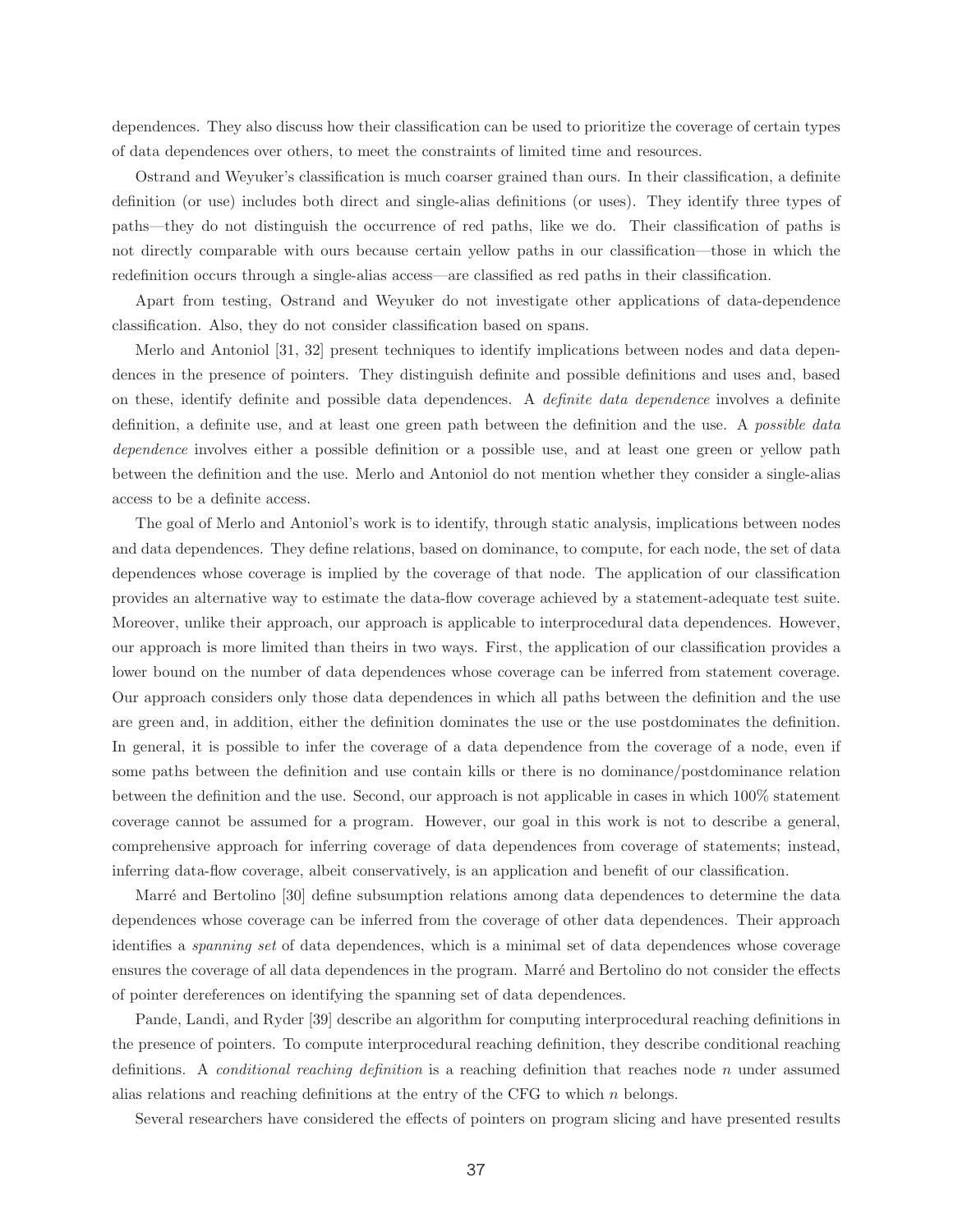dependences. They also discuss how their classification can be used to prioritize the coverage of certain types of data dependences over others, to meet the constraints of limited time and resources.

Ostrand and Weyuker's classification is much coarser grained than ours. In their classification, a definite definition (or use) includes both direct and single-alias definitions (or uses). They identify three types of paths—they do not distinguish the occurrence of red paths, like we do. Their classification of paths is not directly comparable with ours because certain yellow paths in our classification—those in which the redefinition occurs through a single-alias access—are classified as red paths in their classification.

Apart from testing, Ostrand and Weyuker do not investigate other applications of data-dependence classification. Also, they do not consider classification based on spans.

Merlo and Antoniol [31, 32] present techniques to identify implications between nodes and data dependences in the presence of pointers. They distinguish definite and possible definitions and uses and, based on these, identify definite and possible data dependences. A *definite data dependence* involves a definite definition, a definite use, and at least one green path between the definition and the use. A *possible data dependence* involves either a possible definition or a possible use, and at least one green or yellow path between the definition and the use. Merlo and Antoniol do not mention whether they consider a single-alias access to be a definite access.

The goal of Merlo and Antoniol's work is to identify, through static analysis, implications between nodes and data dependences. They define relations, based on dominance, to compute, for each node, the set of data dependences whose coverage is implied by the coverage of that node. The application of our classification provides an alternative way to estimate the data-flow coverage achieved by a statement-adequate test suite. Moreover, unlike their approach, our approach is applicable to interprocedural data dependences. However, our approach is more limited than theirs in two ways. First, the application of our classification provides a lower bound on the number of data dependences whose coverage can be inferred from statement coverage. Our approach considers only those data dependences in which all paths between the definition and the use are green and, in addition, either the definition dominates the use or the use postdominates the definition. In general, it is possible to infer the coverage of a data dependence from the coverage of a node, even if some paths between the definition and use contain kills or there is no dominance/postdominance relation between the definition and the use. Second, our approach is not applicable in cases in which 100% statement coverage cannot be assumed for a program. However, our goal in this work is not to describe a general, comprehensive approach for inferring coverage of data dependences from coverage of statements; instead, inferring data-flow coverage, albeit conservatively, is an application and benefit of our classification.

Marré and Bertolino [30] define subsumption relations among data dependences to determine the data dependences whose coverage can be inferred from the coverage of other data dependences. Their approach identifies a *spanning set* of data dependences, which is a minimal set of data dependences whose coverage ensures the coverage of all data dependences in the program. Marré and Bertolino do not consider the effects of pointer dereferences on identifying the spanning set of data dependences.

Pande, Landi, and Ryder [39] describe an algorithm for computing interprocedural reaching definitions in the presence of pointers. To compute interprocedural reaching definition, they describe conditional reaching definitions. A *conditional reaching definition* is a reaching definition that reaches node n under assumed alias relations and reaching definitions at the entry of the CFG to which  $n$  belongs.

Several researchers have considered the effects of pointers on program slicing and have presented results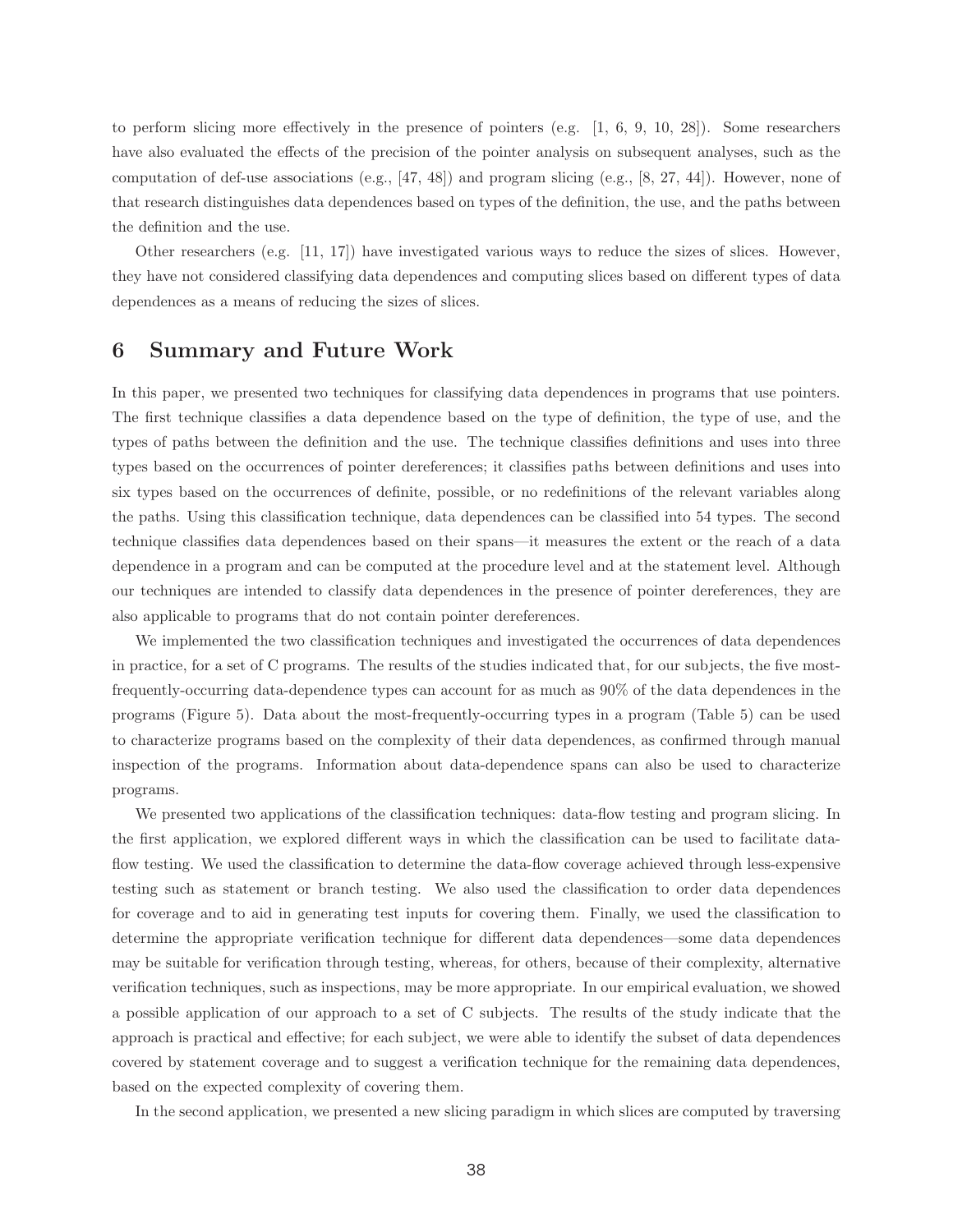to perform slicing more effectively in the presence of pointers (e.g. [1, 6, 9, 10, 28]). Some researchers have also evaluated the effects of the precision of the pointer analysis on subsequent analyses, such as the computation of def-use associations (e.g., [47, 48]) and program slicing (e.g., [8, 27, 44]). However, none of that research distinguishes data dependences based on types of the definition, the use, and the paths between the definition and the use.

Other researchers (e.g. [11, 17]) have investigated various ways to reduce the sizes of slices. However, they have not considered classifying data dependences and computing slices based on different types of data dependences as a means of reducing the sizes of slices.

# **6 Summary and Future Work**

In this paper, we presented two techniques for classifying data dependences in programs that use pointers. The first technique classifies a data dependence based on the type of definition, the type of use, and the types of paths between the definition and the use. The technique classifies definitions and uses into three types based on the occurrences of pointer dereferences; it classifies paths between definitions and uses into six types based on the occurrences of definite, possible, or no redefinitions of the relevant variables along the paths. Using this classification technique, data dependences can be classified into 54 types. The second technique classifies data dependences based on their spans—it measures the extent or the reach of a data dependence in a program and can be computed at the procedure level and at the statement level. Although our techniques are intended to classify data dependences in the presence of pointer dereferences, they are also applicable to programs that do not contain pointer dereferences.

We implemented the two classification techniques and investigated the occurrences of data dependences in practice, for a set of C programs. The results of the studies indicated that, for our subjects, the five mostfrequently-occurring data-dependence types can account for as much as 90% of the data dependences in the programs (Figure 5). Data about the most-frequently-occurring types in a program (Table 5) can be used to characterize programs based on the complexity of their data dependences, as confirmed through manual inspection of the programs. Information about data-dependence spans can also be used to characterize programs.

We presented two applications of the classification techniques: data-flow testing and program slicing. In the first application, we explored different ways in which the classification can be used to facilitate dataflow testing. We used the classification to determine the data-flow coverage achieved through less-expensive testing such as statement or branch testing. We also used the classification to order data dependences for coverage and to aid in generating test inputs for covering them. Finally, we used the classification to determine the appropriate verification technique for different data dependences—some data dependences may be suitable for verification through testing, whereas, for others, because of their complexity, alternative verification techniques, such as inspections, may be more appropriate. In our empirical evaluation, we showed a possible application of our approach to a set of C subjects. The results of the study indicate that the approach is practical and effective; for each subject, we were able to identify the subset of data dependences covered by statement coverage and to suggest a verification technique for the remaining data dependences, based on the expected complexity of covering them.

In the second application, we presented a new slicing paradigm in which slices are computed by traversing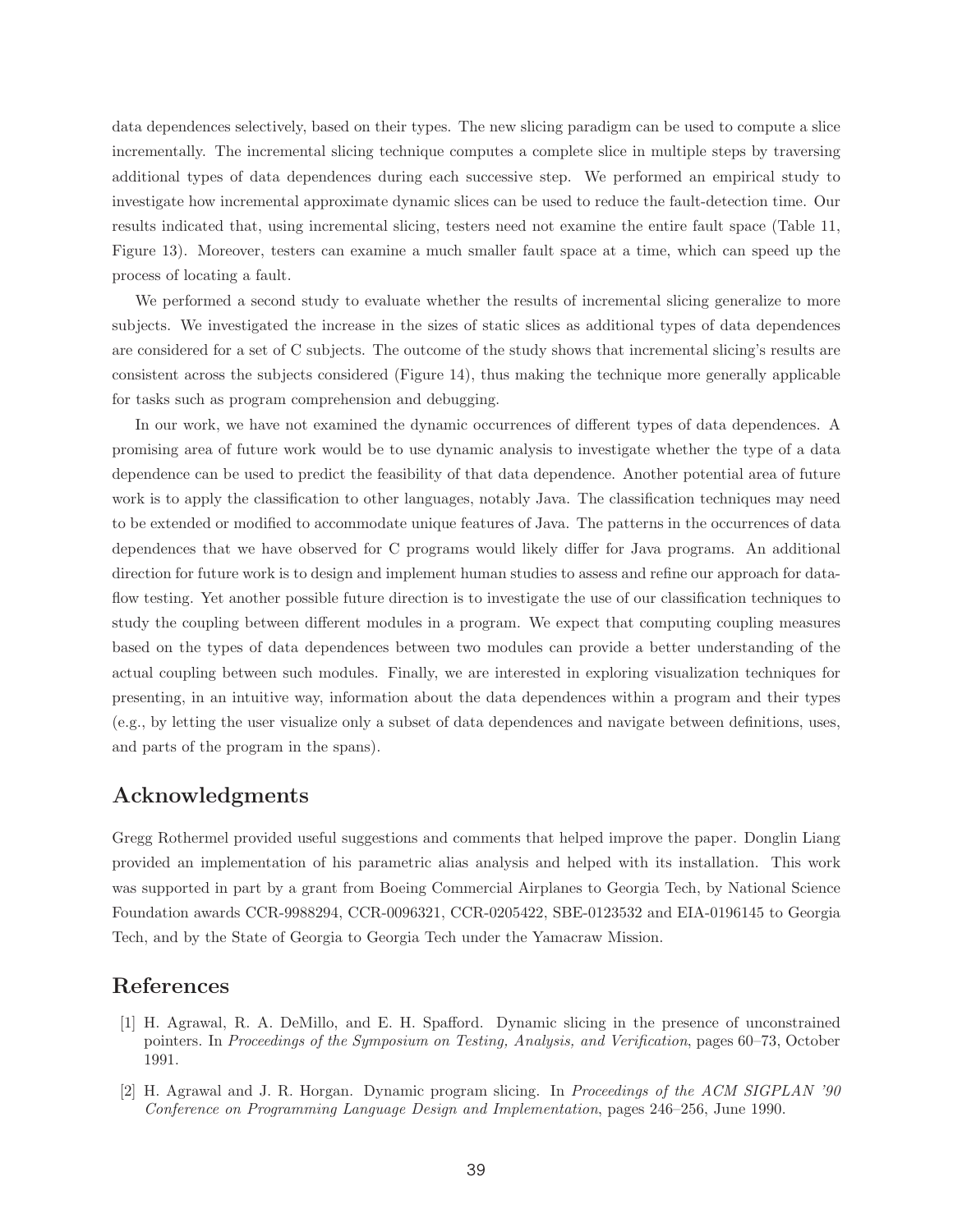data dependences selectively, based on their types. The new slicing paradigm can be used to compute a slice incrementally. The incremental slicing technique computes a complete slice in multiple steps by traversing additional types of data dependences during each successive step. We performed an empirical study to investigate how incremental approximate dynamic slices can be used to reduce the fault-detection time. Our results indicated that, using incremental slicing, testers need not examine the entire fault space (Table 11, Figure 13). Moreover, testers can examine a much smaller fault space at a time, which can speed up the process of locating a fault.

We performed a second study to evaluate whether the results of incremental slicing generalize to more subjects. We investigated the increase in the sizes of static slices as additional types of data dependences are considered for a set of C subjects. The outcome of the study shows that incremental slicing's results are consistent across the subjects considered (Figure 14), thus making the technique more generally applicable for tasks such as program comprehension and debugging.

In our work, we have not examined the dynamic occurrences of different types of data dependences. A promising area of future work would be to use dynamic analysis to investigate whether the type of a data dependence can be used to predict the feasibility of that data dependence. Another potential area of future work is to apply the classification to other languages, notably Java. The classification techniques may need to be extended or modified to accommodate unique features of Java. The patterns in the occurrences of data dependences that we have observed for C programs would likely differ for Java programs. An additional direction for future work is to design and implement human studies to assess and refine our approach for dataflow testing. Yet another possible future direction is to investigate the use of our classification techniques to study the coupling between different modules in a program. We expect that computing coupling measures based on the types of data dependences between two modules can provide a better understanding of the actual coupling between such modules. Finally, we are interested in exploring visualization techniques for presenting, in an intuitive way, information about the data dependences within a program and their types (e.g., by letting the user visualize only a subset of data dependences and navigate between definitions, uses, and parts of the program in the spans).

# **Acknowledgments**

Gregg Rothermel provided useful suggestions and comments that helped improve the paper. Donglin Liang provided an implementation of his parametric alias analysis and helped with its installation. This work was supported in part by a grant from Boeing Commercial Airplanes to Georgia Tech, by National Science Foundation awards CCR-9988294, CCR-0096321, CCR-0205422, SBE-0123532 and EIA-0196145 to Georgia Tech, and by the State of Georgia to Georgia Tech under the Yamacraw Mission.

# **References**

- [1] H. Agrawal, R. A. DeMillo, and E. H. Spafford. Dynamic slicing in the presence of unconstrained pointers. In *Proceedings of the Symposium on Testing, Analysis, and Verification*, pages 60–73, October 1991.
- [2] H. Agrawal and J. R. Horgan. Dynamic program slicing. In *Proceedings of the ACM SIGPLAN '90 Conference on Programming Language Design and Implementation*, pages 246–256, June 1990.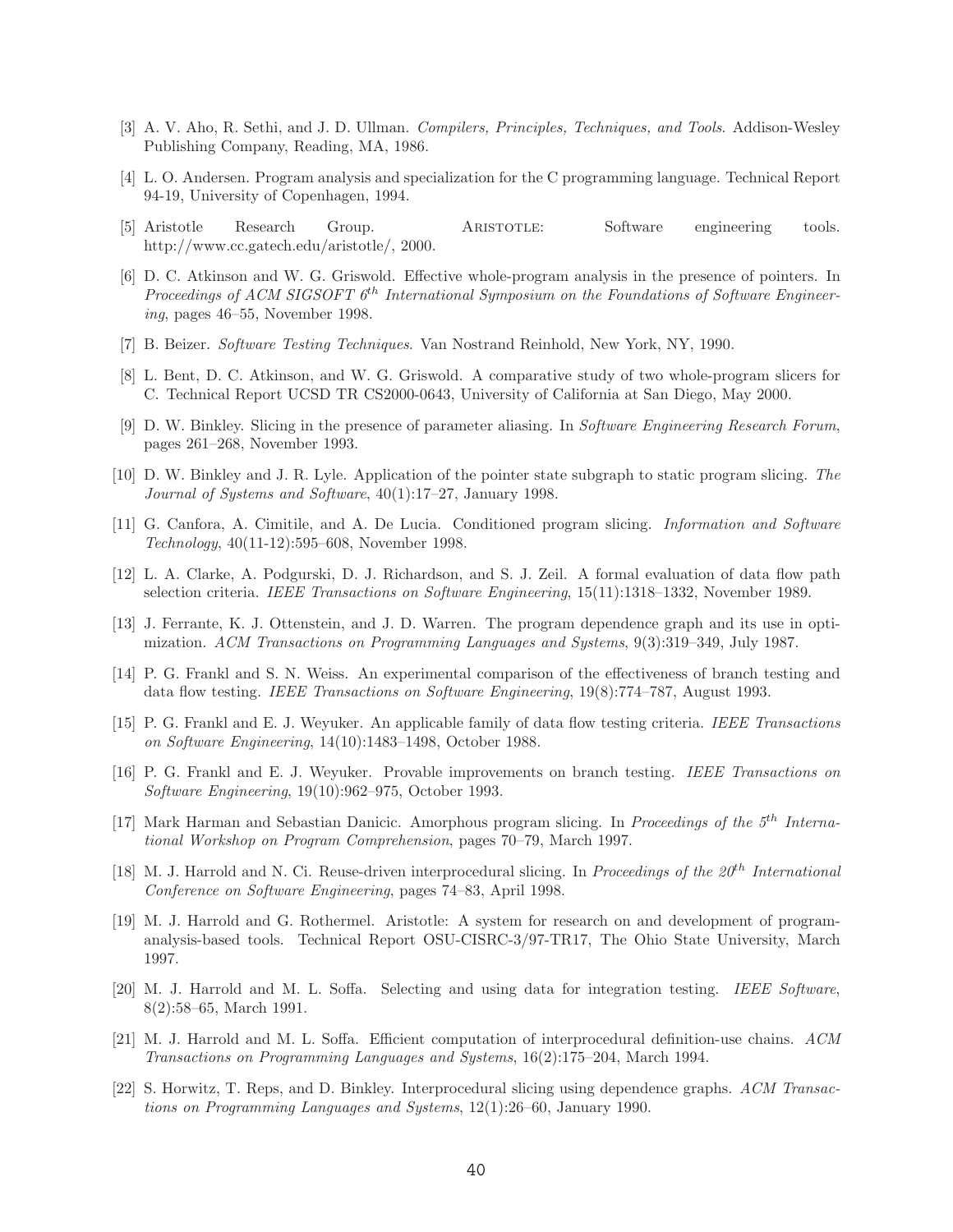- [3] A. V. Aho, R. Sethi, and J. D. Ullman. *Compilers, Principles, Techniques, and Tools*. Addison-Wesley Publishing Company, Reading, MA, 1986.
- [4] L. O. Andersen. Program analysis and specialization for the C programming language. Technical Report 94-19, University of Copenhagen, 1994.
- [5] Aristotle Research Group. Aristotle: Software engineering tools. http://www.cc.gatech.edu/aristotle/, 2000.
- [6] D. C. Atkinson and W. G. Griswold. Effective whole-program analysis in the presence of pointers. In *Proceedings of ACM SIGSOFT 6*th *International Symposium on the Foundations of Software Engineering*, pages 46–55, November 1998.
- [7] B. Beizer. *Software Testing Techniques*. Van Nostrand Reinhold, New York, NY, 1990.
- [8] L. Bent, D. C. Atkinson, and W. G. Griswold. A comparative study of two whole-program slicers for C. Technical Report UCSD TR CS2000-0643, University of California at San Diego, May 2000.
- [9] D. W. Binkley. Slicing in the presence of parameter aliasing. In *Software Engineering Research Forum*, pages 261–268, November 1993.
- [10] D. W. Binkley and J. R. Lyle. Application of the pointer state subgraph to static program slicing. *The Journal of Systems and Software*, 40(1):17–27, January 1998.
- [11] G. Canfora, A. Cimitile, and A. De Lucia. Conditioned program slicing. *Information and Software Technology*, 40(11-12):595–608, November 1998.
- [12] L. A. Clarke, A. Podgurski, D. J. Richardson, and S. J. Zeil. A formal evaluation of data flow path selection criteria. *IEEE Transactions on Software Engineering*, 15(11):1318–1332, November 1989.
- [13] J. Ferrante, K. J. Ottenstein, and J. D. Warren. The program dependence graph and its use in optimization. *ACM Transactions on Programming Languages and Systems*, 9(3):319–349, July 1987.
- [14] P. G. Frankl and S. N. Weiss. An experimental comparison of the effectiveness of branch testing and data flow testing. *IEEE Transactions on Software Engineering*, 19(8):774–787, August 1993.
- [15] P. G. Frankl and E. J. Weyuker. An applicable family of data flow testing criteria. *IEEE Transactions on Software Engineering*, 14(10):1483–1498, October 1988.
- [16] P. G. Frankl and E. J. Weyuker. Provable improvements on branch testing. *IEEE Transactions on Software Engineering*, 19(10):962–975, October 1993.
- [17] Mark Harman and Sebastian Danicic. Amorphous program slicing. In *Proceedings of the 5*th *International Workshop on Program Comprehension*, pages 70–79, March 1997.
- [18] M. J. Harrold and N. Ci. Reuse-driven interprocedural slicing. In *Proceedings of the 20*th *International Conference on Software Engineering*, pages 74–83, April 1998.
- [19] M. J. Harrold and G. Rothermel. Aristotle: A system for research on and development of programanalysis-based tools. Technical Report OSU-CISRC-3/97-TR17, The Ohio State University, March 1997.
- [20] M. J. Harrold and M. L. Soffa. Selecting and using data for integration testing. *IEEE Software*, 8(2):58–65, March 1991.
- [21] M. J. Harrold and M. L. Soffa. Efficient computation of interprocedural definition-use chains. *ACM Transactions on Programming Languages and Systems*, 16(2):175–204, March 1994.
- [22] S. Horwitz, T. Reps, and D. Binkley. Interprocedural slicing using dependence graphs. *ACM Transactions on Programming Languages and Systems*, 12(1):26–60, January 1990.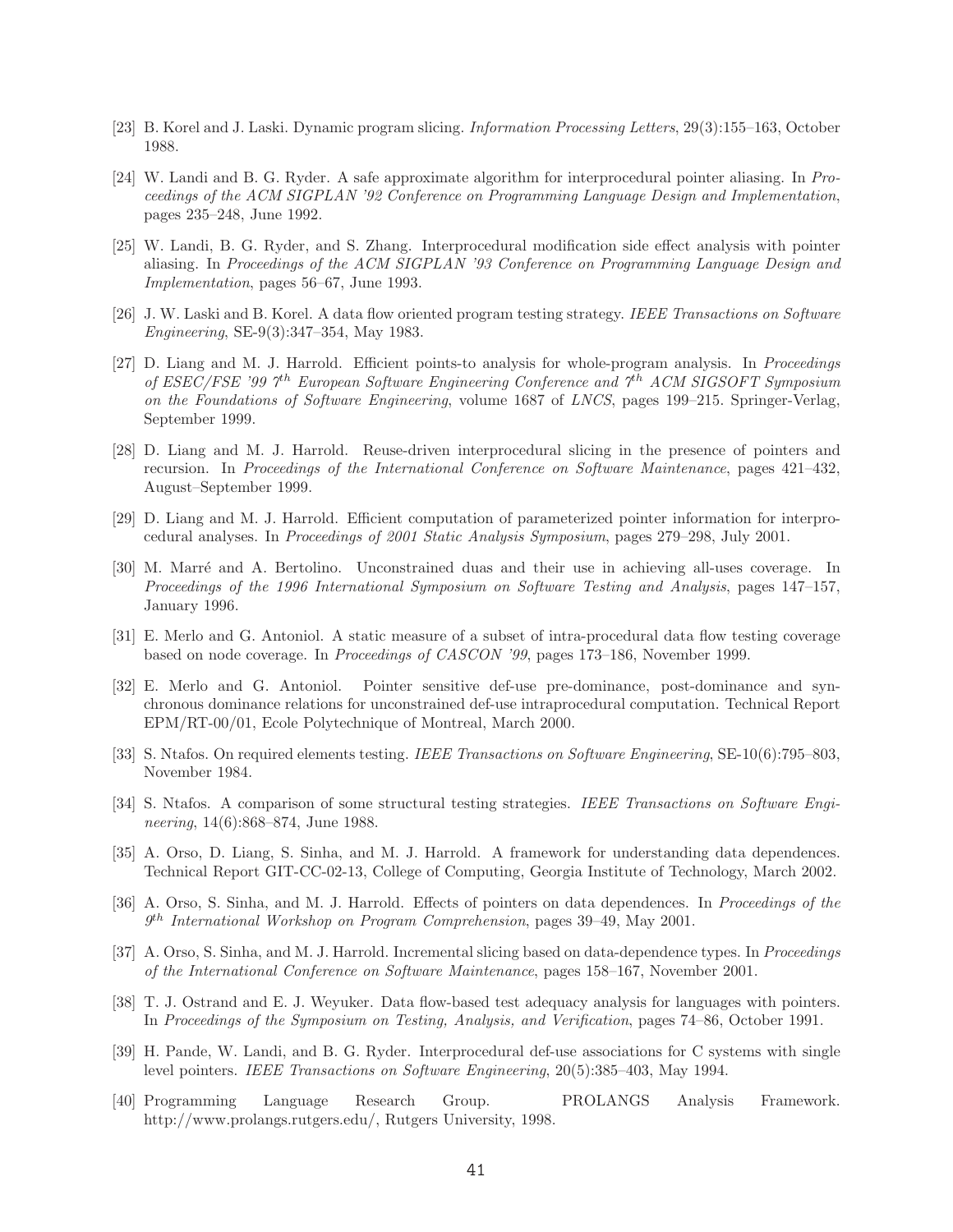- [23] B. Korel and J. Laski. Dynamic program slicing. *Information Processing Letters*, 29(3):155–163, October 1988.
- [24] W. Landi and B. G. Ryder. A safe approximate algorithm for interprocedural pointer aliasing. In *Proceedings of the ACM SIGPLAN '92 Conference on Programming Language Design and Implementation*, pages 235–248, June 1992.
- [25] W. Landi, B. G. Ryder, and S. Zhang. Interprocedural modification side effect analysis with pointer aliasing. In *Proceedings of the ACM SIGPLAN '93 Conference on Programming Language Design and Implementation*, pages 56–67, June 1993.
- [26] J. W. Laski and B. Korel. A data flow oriented program testing strategy. *IEEE Transactions on Software Engineering*, SE-9(3):347–354, May 1983.
- [27] D. Liang and M. J. Harrold. Efficient points-to analysis for whole-program analysis. In *Proceedings of ESEC/FSE '99 7*th *European Software Engineering Conference and 7*th *ACM SIGSOFT Symposium on the Foundations of Software Engineering*, volume 1687 of *LNCS*, pages 199–215. Springer-Verlag, September 1999.
- [28] D. Liang and M. J. Harrold. Reuse-driven interprocedural slicing in the presence of pointers and recursion. In *Proceedings of the International Conference on Software Maintenance*, pages 421–432, August–September 1999.
- [29] D. Liang and M. J. Harrold. Efficient computation of parameterized pointer information for interprocedural analyses. In *Proceedings of 2001 Static Analysis Symposium*, pages 279–298, July 2001.
- [30] M. Marré and A. Bertolino. Unconstrained duas and their use in achieving all-uses coverage. In *Proceedings of the 1996 International Symposium on Software Testing and Analysis*, pages 147–157, January 1996.
- [31] E. Merlo and G. Antoniol. A static measure of a subset of intra-procedural data flow testing coverage based on node coverage. In *Proceedings of CASCON '99*, pages 173–186, November 1999.
- [32] E. Merlo and G. Antoniol. Pointer sensitive def-use pre-dominance, post-dominance and synchronous dominance relations for unconstrained def-use intraprocedural computation. Technical Report EPM/RT-00/01, Ecole Polytechnique of Montreal, March 2000.
- [33] S. Ntafos. On required elements testing. *IEEE Transactions on Software Engineering*, SE-10(6):795–803, November 1984.
- [34] S. Ntafos. A comparison of some structural testing strategies. *IEEE Transactions on Software Engineering*, 14(6):868–874, June 1988.
- [35] A. Orso, D. Liang, S. Sinha, and M. J. Harrold. A framework for understanding data dependences. Technical Report GIT-CC-02-13, College of Computing, Georgia Institute of Technology, March 2002.
- [36] A. Orso, S. Sinha, and M. J. Harrold. Effects of pointers on data dependences. In *Proceedings of the 9*th *International Workshop on Program Comprehension*, pages 39–49, May 2001.
- [37] A. Orso, S. Sinha, and M. J. Harrold. Incremental slicing based on data-dependence types. In *Proceedings of the International Conference on Software Maintenance*, pages 158–167, November 2001.
- [38] T. J. Ostrand and E. J. Weyuker. Data flow-based test adequacy analysis for languages with pointers. In *Proceedings of the Symposium on Testing, Analysis, and Verification*, pages 74–86, October 1991.
- [39] H. Pande, W. Landi, and B. G. Ryder. Interprocedural def-use associations for C systems with single level pointers. *IEEE Transactions on Software Engineering*, 20(5):385–403, May 1994.
- [40] Programming Language Research Group. PROLANGS Analysis Framework. http://www.prolangs.rutgers.edu/, Rutgers University, 1998.